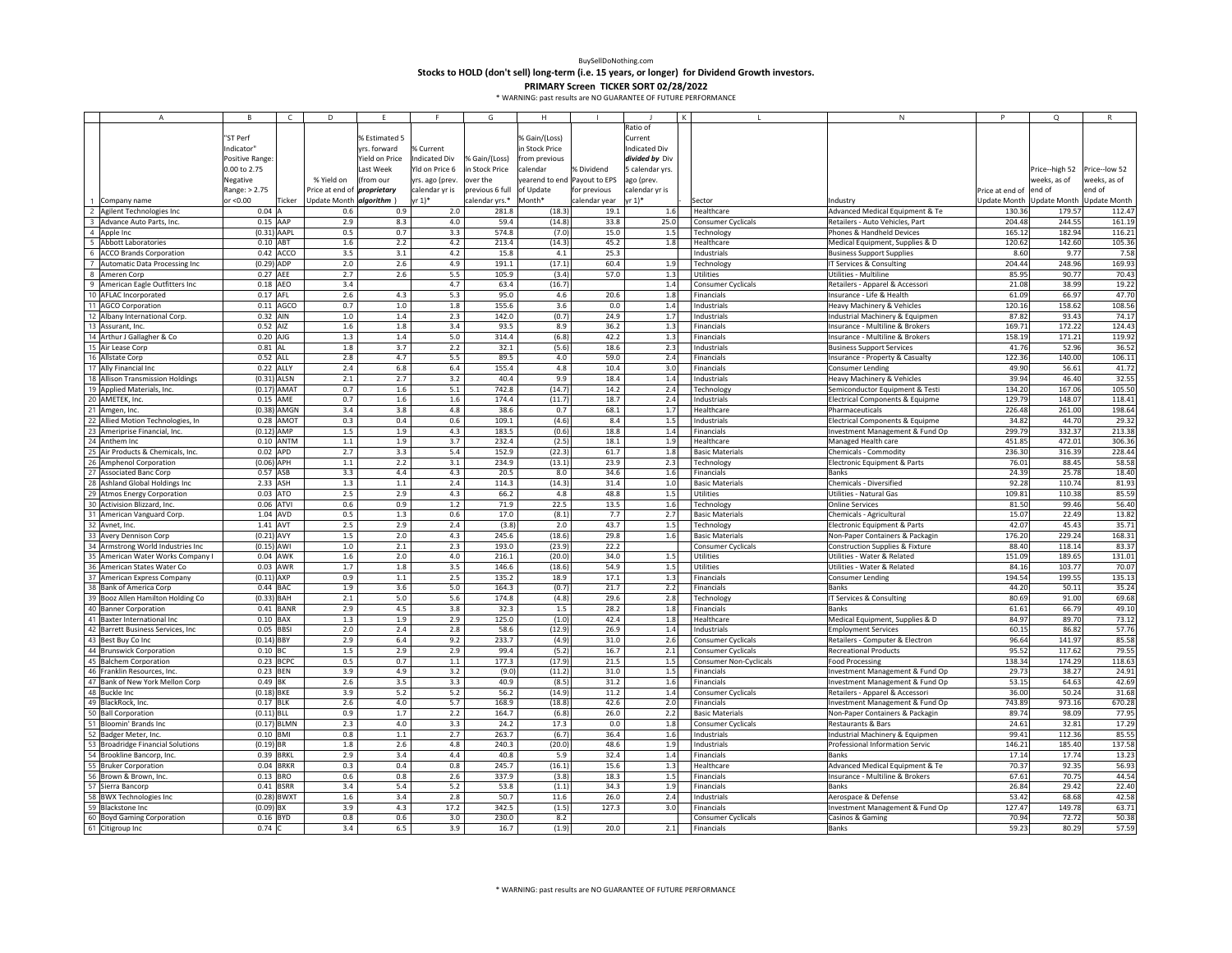**Stocks to HOLD (don't sell) long‐term (i.e. 15 years, or longer) for Dividend Growth investors.**

|    | A                                  | <b>B</b>        | $\mathsf{C}$  | D                        | F              |                 | G               | H                            |               |                 |                           | N                                          |                 | $\circ$                   |               |
|----|------------------------------------|-----------------|---------------|--------------------------|----------------|-----------------|-----------------|------------------------------|---------------|-----------------|---------------------------|--------------------------------------------|-----------------|---------------------------|---------------|
|    |                                    |                 |               |                          |                |                 |                 |                              |               | Ratio of        |                           |                                            |                 |                           |               |
|    |                                    | "ST Perf        |               |                          | % Estimated 5  |                 |                 | % Gain/(Loss)                |               | Current         |                           |                                            |                 |                           |               |
|    |                                    | Indicator"      |               |                          | yrs. forward   | 6 Current       |                 | n Stock Price                |               | ndicated Div    |                           |                                            |                 |                           |               |
|    |                                    | Positive Range: |               |                          | Yield on Price | ndicated Div    | % Gain/(Loss)   | from previous                |               | divided by Div  |                           |                                            |                 |                           |               |
|    |                                    |                 |               |                          |                |                 |                 |                              |               |                 |                           |                                            |                 |                           |               |
|    |                                    | 0.00 to 2.75    |               |                          | Last Week      | rld on Price 6  | n Stock Price   | calendar                     | % Dividend    | 5 calendar yrs. |                           |                                            |                 | Price--high 52            | Price--low 52 |
|    |                                    | Negative        |               | % Yield on               | from our       | yrs. ago (prev. | over the        | yearend to end Payout to EPS |               | ago (prev.      |                           |                                            |                 | weeks, as of              | weeks, as of  |
|    |                                    | Range: > 2.75   |               | Price at end of          | proprietary    | calendar yr is  | previous 6 full | of Update                    | for previous  | calendar yr is  |                           |                                            | Price at end of | end of                    | end of        |
|    | 1 Company name                     | or <0.00        | Ticker        | Update Month algorithm ) |                | r 1)*           | calendar yrs.*  | Month*                       | calendar year | yr 1)*          | Sector                    | Industry                                   | Update Month    | Update Month Update Month |               |
|    | 2 Agilent Technologies Inc         | $0.04$ A        |               | 0.6                      | 0.9            | 2.0             | 281.8           | (18.3)                       | 19.1          | 1.6             | Healthcare                | Advanced Medical Equipment & Te            | 130.36          | 179.57                    | 112.47        |
|    | 3 Advance Auto Parts, Inc.         | $0.15$ AAP      |               | 2.9                      | 8.3            | 4.0             | 59.4            | (14.8)                       | 33.8          | 25.0            | Consumer Cyclicals        | Retailers - Auto Vehicles, Part            | 204.48          | 244.55                    | 161.19        |
|    | 4 Apple Inc                        | $(0.31)$ AAPL   |               | 0.5                      | 0.7            | 3.3             | 574.8           | (7.0)                        | 15.0          | 1.5             | Technology                | Phones & Handheld Devices                  | 165.12          | 182.94                    | 116.21        |
|    | 5 Abbott Laboratories              | $0.10$ ABT      |               | 1.6                      | 2.2            | 4.2             | 213.4           | (14.3)                       | 45.2          | 1.8             | Healthcare                | Medical Equipment, Supplies & D            | 120.62          | 142.60                    | 105.36        |
|    | 6 ACCO Brands Corporation          |                 | 0.42 ACCO     | 3.5                      | 3.1            | 4.2             | 15.8            | $4.1\,$                      | 25.3          |                 | Industrials               | <b>Business Support Supplies</b>           | 8.60            | 9.77                      | 7.58          |
|    | 7 Automatic Data Processing Inc    | $(0.29)$ ADP    |               | 2.0                      | 2.6            | 4.9             | 191.1           | (17.1)                       | 60.4          | 1.9             | Technology                | IT Services & Consulting                   | 204.44          | 248.96                    | 169.9         |
|    | 8 Ameren Corp                      | 0.27 AEE        |               | 2.7                      | 2.6            | 5.5             | 105.9           | (3.4)                        | 57.0          | 1.3             | Utilities                 | Utilities - Multiline                      | 85.95           | 90.77                     | 70.43         |
|    |                                    | 0.18 AEO        |               | 3.4                      |                | 4.7             | 63.4            | (16.7)                       |               |                 |                           |                                            | 21.08           | 38.99                     | 19.22         |
|    | 9 American Eagle Outfitters Inc    |                 |               |                          |                |                 |                 |                              |               | 1.4             | Consumer Cyclicals        | Retailers - Apparel & Accessori            |                 |                           |               |
|    | 10 AFLAC Incorporated              | 0.17 AFL        |               | 2.6                      | 4.3            | 5.3             | 95.0            | 4.6                          | 20.6          | 1.8             | Financials                | Insurance - Life & Health                  | 61.09           | 66.97                     | 47.70         |
|    | 11 AGCO Corporation                |                 | $0.11$ AGCO   | 0.7                      | 1.0            | 1.8             | 155.6           | 3.6                          | 0.0           | 1.4             | Industrials               | Heavy Machinery & Vehicles                 | 120.16          | 158.62                    | 108.56        |
|    | 12 Albany International Corp.      | 0.32 AIN        |               | 1.0                      | 1.4            | 2.3             | 142.0           | (0.7)                        | 24.9          | 1.7             | Industrials               | Industrial Machinery & Equipmen            | 87.82           | 93.43                     | 74.17         |
|    | 13 Assurant, Inc.                  | 0.52 AIZ        |               | 1.6                      | 1.8            | 3.4             | 93.5            | 8.9                          | 36.2          | 1.3             | Financials                | Insurance - Multiline & Brokers            | 169.71          | 172.22                    | 124.43        |
|    | 14 Arthur J Gallagher & Co         | 0.20 AJG        |               | 1.3                      | 1.4            | 5.0             | 314.4           | (6.8)                        | 42.2          | 1.3             | Financials                | Insurance - Multiline & Brokers            | 158.19          | 171.21                    | 119.92        |
|    | 15 Air Lease Corp                  | $0.81$ AL       |               | 1.8                      | 3.7            | 2.2             | 32.1            | (5.6)                        | 18.6          | 2.3             | Industrials               | <b>Business Support Services</b>           | 41.76           | 52.96                     | 36.52         |
|    | 16 Allstate Corp                   | 0.52 ALL        |               | 2.8                      | 4.7            | 5.5             | 89.5            | 4.0                          | 59.0          | 2.4             | Financials                | Insurance - Property & Casualty            | 122.36          | 140.00                    | 106.11        |
|    | 17 Ally Financial Inc              | 0.22 ALLY       |               | 2.4                      | 6.8            | 6.4             | 155.4           | 4.8                          | 10.4          | 3.0             | Financials                | <b>Consumer Lending</b>                    | 49.90           | 56.61                     | 41.72         |
|    | 18 Allison Transmission Holdings   | $(0.31)$ ALSN   |               | 2.1                      | 2.7            | 3.2             | 40.4            | 9.9                          | 18.4          | 1.4             | Industrials               | Heavy Machinery & Vehicles                 | 39.94           | 46.40                     | 32.55         |
|    | 19 Applied Materials, Inc.         |                 | $(0.17)$ AMAT | 0.7                      | 1.6            | 5.1             | 742.8           | (14.7)                       | 14.2          | 2.4             | <b>Technology</b>         | Semiconductor Equipment & Testi            | 134.20          | 167.06                    | 105.50        |
|    | 20 AMETEK, Inc.                    | 0.15 AME        |               | 0.7                      | 1.6            | 1.6             | 174.4           | (11.7)                       | 18.7          | 2.4             | Industrials               | Electrical Components & Equipme            | 129.79          | 148.07                    | 118.41        |
|    |                                    |                 |               |                          |                |                 |                 |                              |               |                 |                           |                                            | 226.48          |                           |               |
|    | 21 Amgen, Inc.                     |                 | $(0.38)$ AMGN | 3.4                      | 3.8            | 4.8             | 38.6            | 0.7                          | 68.1          | 1.7             | Healthcare                | Pharmaceuticals                            |                 | 261.00                    | 198.64        |
|    | 22 Allied Motion Technologies, In  |                 | 0.28 AMOT     | 0.3                      | 0.4            | 0.6             | 109.1           | (4.6)                        | 8.4           | 1.5             | Industrials               | Electrical Components & Equipme            | 34.82           | 44.70                     | 29.32         |
|    | 23 Ameriprise Financial, Inc.      | $(0.12)$ AMP    |               | $1.5$                    | 1.9            | 4.3             | 183.5           | (0.6)                        | 18.8          | 1.4             | Financials                | Investment Management & Fund Op            | 299.79          | 332.37                    | 213.38        |
|    | 24 Anthem Inc                      |                 | $0.10$ ANTM   | 1.1                      | 1.9            | 3.7             | 232.4           | (2.5)                        | 18.1          | 1.9             | Healthcare                | Managed Health care                        | 451.85          | 472.01                    | 306.36        |
|    | 25 Air Products & Chemicals, Inc.  | 0.02 APD        |               | 2.7                      | 3.3            | 5.4             | 152.9           | (22.3)                       | 61.7          | 1.8             | <b>Basic Materials</b>    | Chemicals - Commodity                      | 236.30          | 316.39                    | 228.44        |
|    | 26 Amphenol Corporation            | $(0.06)$ APH    |               | 1.1                      | 2.2            | 3.1             | 234.9           | (13.1)                       | 23.9          | 2.3             | Technology                | Electronic Equipment & Parts               | 76.01           | 88.45                     | 58.58         |
|    | 27 Associated Banc Corp            | 0.57 ASB        |               | 3.3                      | 4.4            | 4.3             | 20.5            | 8.0                          | 34.6          | 1.6             | Financials                | <b>Banks</b>                               | 24.39           | 25.78                     | 18.40         |
|    | 28 Ashland Global Holdings Inc     | 2.33 ASH        |               | 1.3                      | $1.1$          | 2.4             | 114.3           | (14.3)                       | 31.4          | $1.0$           | <b>Basic Materials</b>    | <b>Chemicals - Diversified</b>             | 92.28           | 110.74                    | 81.93         |
|    | 29 Atmos Energy Corporation        | 0.03 ATO        |               | 2.5                      | 2.9            | 4.3             | 66.2            | 4.8                          | 48.8          | 1.5             | Utilities                 | <b>Utilities - Natural Gas</b>             | 109.81          | 110.38                    | 85.59         |
|    | 30 Activision Blizzard, Inc.       | 0.06 ATVI       |               | 0.6                      | 0.9            | $1.2\,$         | 71.9            | 22.5                         | 13.5          | 1.6             | Technology                | <b>Online Services</b>                     | 81.50           | 99.46                     | 56.40         |
|    | 31 American Vanguard Corp.         | 1.04 AVD        |               | 0.5                      | 1.3            | 0.6             | 17.0            | (8.1)                        | 7.7           | 2.7             | <b>Basic Materials</b>    | Chemicals - Agricultural                   | 15.07           | 22.49                     | 13.82         |
| 32 | Avnet, Inc.                        | 1.41 AVT        |               | 2.5                      | 2.9            | 2.4             | (3.8)           | 2.0                          | 43.7          | 1.5             | Technology                | Electronic Equipment & Parts               | 42.07           | 45.43                     | 35.71         |
|    | 33 Avery Dennison Corp             | $(0.21)$ AVY    |               | $1.5$                    | 2.0            | 4.3             | 245.6           | (18.6)                       | 29.8          |                 |                           |                                            | 176.20          | 229.24                    | 168.31        |
|    |                                    |                 |               |                          |                |                 |                 |                              |               | 1.6             | <b>Basic Materials</b>    | Non-Paper Containers & Packagin            |                 |                           |               |
|    | 34 Armstrong World Industries Inc. | $(0.15)$ AWI    |               | $1.0$                    | 2.1            | 2.3             | 193.0           | (23.9)                       | 22.2          |                 | <b>Consumer Cyclicals</b> | <b>Construction Supplies &amp; Fixture</b> | 88.40           | 118.14                    | 83.37         |
|    | 35 American Water Works Company I  | 0.04 AWK        |               | 1.6                      | 2.0            | 4.0             | 216.1           | (20.0)                       | 34.0          | 1.5             | Utilities                 | Utilities - Water & Related                | 151.09          | 189.65                    | 131.01        |
|    | 36 American States Water Co        | 0.03 AWR        |               | 1.7                      | 1.8            | 3.5             | 146.6           | (18.6)                       | 54.9          | 1.5             | Utilities                 | Utilities - Water & Related                | 84.16           | 103.77                    | 70.07         |
|    | 37 American Express Company        | $(0.11)$ AXP    |               | 0.9                      | $1.1$          | 2.5             | 135.2           | 18.9                         | 17.1          | 1.3             | Financials                | <b>Consumer Lending</b>                    | 194.54          | 199.55                    | 135.13        |
| 38 | <b>Bank of America Corp</b>        | $0.44$ BAC      |               | 1.9                      | 3.6            | 5.0             | 164.3           | (0.7)                        | 21.7          | 2.2             | Financials                | Banks                                      | 44.20           | 50.11                     | 35.24         |
|    | 39 Booz Allen Hamilton Holding Co  | $(0.33)$ BAH    |               | 2.1                      | 5.0            | 5.6             | 174.8           | (4.8)                        | 29.6          | 2.8             | <b>Technology</b>         | IT Services & Consulting                   | 80.69           | 91.00                     | 69.68         |
|    | 40 Banner Corporation              |                 | $0.41$ BANR   | 2.9                      | 4.5            | 3.8             | 32.3            | 1.5                          | 28.2          | 1.8             | Financials                | Banks                                      | 61.61           | 66.79                     | 49.10         |
|    | 41 Baxter International Inc        | $0.10$ BAX      |               | 1.3                      | 1.9            | 2.9             | 125.0           | (1.0)                        | 42.4          | 1.8             | Healthcare                | Medical Equipment, Supplies & D            | 84.97           | 89.70                     | 73.12         |
|    | 42 Barrett Business Services, Inc. | 0.05 BBSI       |               | 2.0                      | 2.4            | 2.8             | 58.6            | (12.9)                       | 26.9          | 1.4             | Industrials               | <b>Employment Services</b>                 | 60.15           | 86.82                     | 57.76         |
|    | 43 Best Buy Co Inc                 | $(0.14)$ BBY    |               | 2.9                      | 6.4            | 9.2             | 233.7           | (4.9)                        | 31.0          | 2.6             | Consumer Cyclicals        | Retailers - Computer & Electron            | 96.64           | 141.97                    | 85.58         |
|    | 44 Brunswick Corporation           | $0.10$ BC       |               | 1.5                      | 2.9            | 2.9             | 99.4            | (5.2)                        | 16.7          | 2.1             | <b>Consumer Cyclicals</b> | <b>Recreational Products</b>               | 95.52           | 117.62                    | 79.55         |
|    | 45 Balchem Corporation             |                 | 0.23 BCPC     | 0.5                      | 0.7            | 1.1             | 177.3           | (17.9)                       | 21.5          | 1.5             | Consumer Non-Cyclicals    | <b>Food Processing</b>                     | 138.34          | 174.29                    | 118.63        |
|    | 46 Franklin Resources, Inc.        | 0.23 BEN        |               | 3.9                      | 4.9            | 3.2             | (9.0)           | (11.2)                       | 31.0          | 1.5             | Financials                | Investment Management & Fund Op            | 29.73           | 38.27                     | 24.91         |
|    | 47 Bank of New York Mellon Corp    | 0.49 BK         |               | 2.6                      | 3.5            | 3.3             | 40.9            | (8.5)                        | 31.2          | 1.6             | Financials                | Investment Management & Fund Op            | 53.15           | 64.63                     | 42.69         |
|    |                                    |                 |               |                          |                |                 |                 |                              |               |                 |                           |                                            |                 |                           |               |
|    | 48 Buckle Inc                      | $(0.18)$ BKE    |               | 3.9                      | 5.2            | 5.2             | 56.2            | (14.9)                       | $11.2\,$      | $1.4\,$         | Consumer Cyclicals        | Retailers - Apparel & Accessor             | 36.00           | 50.24                     | 31.68         |
|    | 49 BlackRock, Inc.                 | 0.17 BLK        |               | 2.6                      | 4.0            | 5.7             | 168.9           | (18.8)                       | 42.6          | 2.0             | Financials                | Investment Management & Fund Op            | 743.89          | 973.16                    | 670.28        |
|    | 50 Ball Corporation                | $(0.11)$ BLL    |               | 0.9                      | 1.7            | 2.2             | 164.7           | (6.8)                        | 26.0          | 2.2             | <b>Basic Materials</b>    | Non-Paper Containers & Packagin            | 89.74           | 98.09                     | 77.95         |
|    | 51 Bloomin' Brands Inc.            | $(0.17)$ BLMN   |               | 2.3                      | 4.0            | 3.3             | 24.2            | 17.3                         | 0.0           | 1.8             | Consumer Cyclicals        | Restaurants & Bars                         | 24.61           | 32.81                     | 17.29         |
|    | 52 Badger Meter, Inc.              | 0.10 BMI        |               | 0.8                      | $1.1$          | 2.7             | 263.7           | (6.7)                        | 36.4          | 1.6             | Industrials               | Industrial Machinery & Equipmen            | 99.41           | 112.36                    | 85.5          |
|    | 53 Broadridge Financial Solutions  | $(0.19)$ BR     |               | 1.8                      | 2.6            | 4.8             | 240.3           | (20.0)                       | 48.6          | 1.9             | Industrials               | Professional Information Servic            | 146.21          | 185.40                    | 137.58        |
|    | 54 Brookline Bancorp, Inc.         | 0.39 BRKL       |               | 2.9                      | 3.4            | 4.4             | 40.8            | 5.9                          | 32.4          | 1.4             | Financials                | <b>Banks</b>                               | 17.14           | 17.74                     | 13.23         |
|    | 55 Bruker Corporation              |                 | 0.04 BRKR     | 0.3                      | 0.4            | 0.8             | 245.7           | (16.1)                       | 15.6          | $1.3$           | Healthcare                | Advanced Medical Equipment & Te            | 70.37           | 92.35                     | 56.9          |
|    | 56 Brown & Brown, Inc.             | $0.13$ BRO      |               | 0.6                      | 0.8            | 2.6             | 337.9           | (3.8)                        | 18.3          | 1.5             | Financials                | Insurance - Multiline & Brokers            | 67.61           | 70.75                     | 44.54         |
|    | 57 Sierra Bancorp                  |                 | 0.41 BSRR     | 3.4                      | 5.4            | 5.2             | 53.8            | (1.1)                        | 34.3          | 1.9             | Financials                | Banks                                      | 26.84           | 29.42                     | 22.40         |
|    | 58 BWX Technologies Inc            |                 | (0.28) BWXT   | 1.6                      | 3.4            | 2.8             | 50.7            | 11.6                         | 26.0          | 2.4             | Industrials               | Aerospace & Defense                        | 53.42           | 68.68                     | 42.58         |
|    | 59 Blackstone Inc                  | $(0.09)$ BX     |               | 3.9                      | 4.3            | 17.2            | 342.5           | (1.5)                        | 127.3         | 3.0             | Financials                | Investment Management & Fund Op            | 127.47          | 149.78                    | 63.71         |
|    | 60 Boyd Gaming Corporation         | 0.16 BYD        |               | 0.8                      | 0.6            | 3.0             | 230.0           | 8.2                          |               |                 | Consumer Cyclicals        | Casinos & Gaming                           | 70.94           | 72.72                     | 50.38         |
|    | 61 Citigroup Inc                   | $0.74$ C        |               | 3.4                      | 6.5            | 3.9             | 16.7            | (1.9)                        | 20.0          | 2.1             | Financials                | Banks                                      | 59.23           | 80.29                     | 57.59         |
|    |                                    |                 |               |                          |                |                 |                 |                              |               |                 |                           |                                            |                 |                           |               |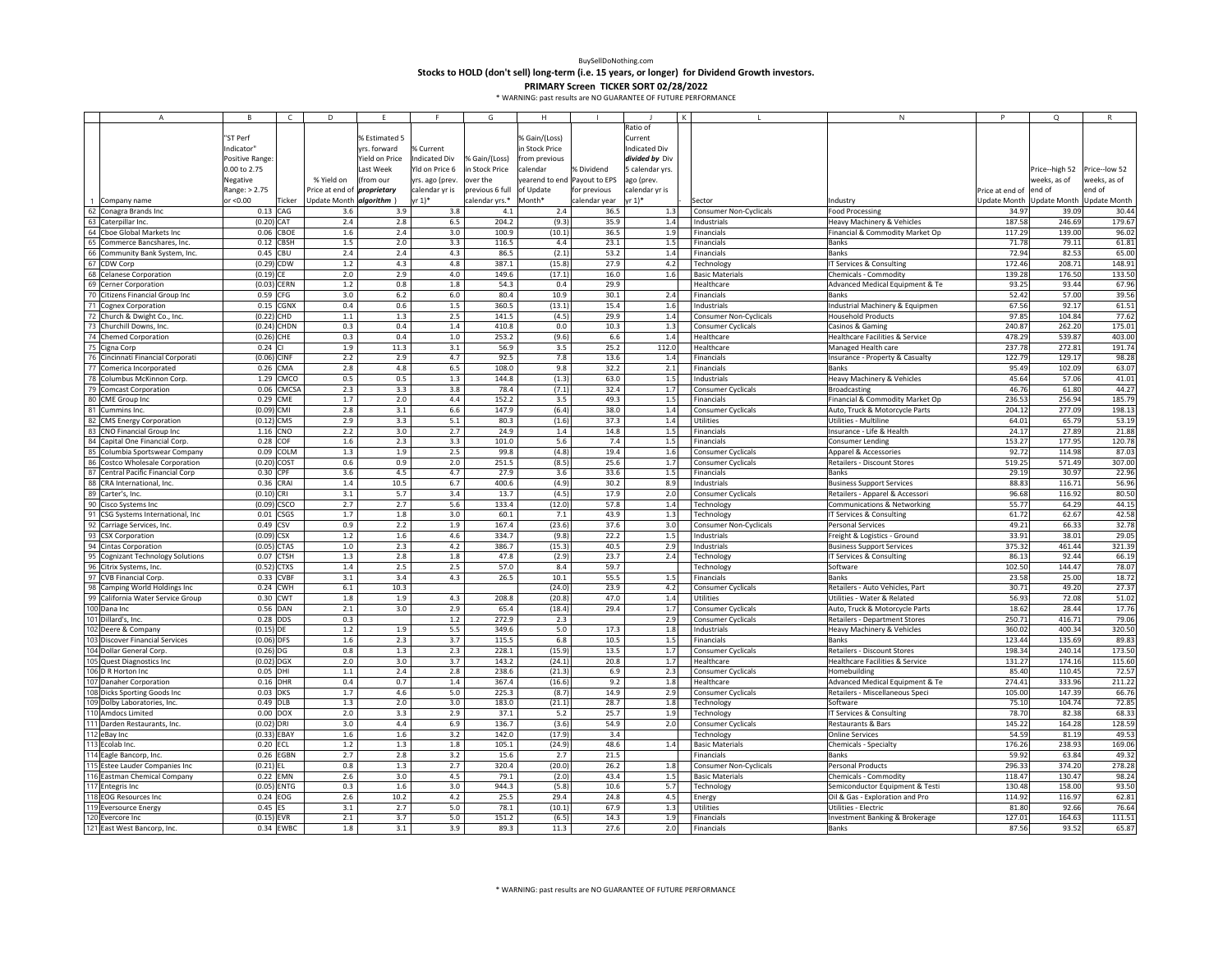**Stocks to HOLD (don't sell) long‐term (i.e. 15 years, or longer) for Dividend Growth investors.**

| Α                                           | R.             | C             | D                                  | F.             |                 | G               | H                            |               |                 |                               | N                                          | P               | $\Omega$        |                     |
|---------------------------------------------|----------------|---------------|------------------------------------|----------------|-----------------|-----------------|------------------------------|---------------|-----------------|-------------------------------|--------------------------------------------|-----------------|-----------------|---------------------|
|                                             |                |               |                                    |                |                 |                 |                              |               | Ratio of        |                               |                                            |                 |                 |                     |
|                                             | "ST Perf       |               |                                    | % Estimated 5  |                 |                 | % Gain/(Loss)                |               | Current         |                               |                                            |                 |                 |                     |
|                                             | ndicator"      |               |                                    | rrs. forward   | 6 Current       |                 | in Stock Price               |               | Indicated Div   |                               |                                            |                 |                 |                     |
|                                             | Positive Range |               |                                    | field on Price | ndicated Div    | % Gain/(Loss)   | from previous                |               | divided by Div  |                               |                                            |                 |                 |                     |
|                                             | 0.00 to 2.75   |               |                                    | Last Week      | Yld on Price 6  | in Stock Price  | calendar                     | % Dividend    | 5 calendar yrs. |                               |                                            |                 | Price--high 52  | Price--low 52       |
|                                             | Negative       |               | % Yield on                         | (from our      | yrs. ago (prev. | over the        | yearend to end Payout to EPS |               | ago (prev.      |                               |                                            |                 | weeks, as of    | weeks, as of        |
|                                             | Range: > 2.75  |               | Price at end of <i>proprietary</i> |                | calendar yr is  | previous 6 full | of Update                    | for previous  | calendar yr is  |                               |                                            | Price at end of | end of          | end of              |
| Company name                                | or <0.00       | Ticker        | Update Month algorithm )           |                | yr 1)*          | calendar yrs.*  | Month*                       | calendar year | yr 1)*          | Sector                        | Industry                                   | Jpdate Month    | Update Month    | <b>Update Month</b> |
| 62<br>Conagra Brands Inc                    | 0.13           | CAG           | 3.6                                | 3.9            | 3.8             | 4.1             | 2.4                          | 36.5          | 1.3             | <b>Consumer Non-Cyclicals</b> | <b>Food Processing</b>                     | 34.97           | 39.09           | 30.44               |
| 63<br>Caterpillar Inc.                      | $(0.20)$ CAT   |               | 2.4                                | 2.8            | 6.5             | 204.2           | (9.3)                        | 35.9          | 1.4             | Industrials                   | Heavy Machinery & Vehicles                 | 187.58          | 246.69          | 179.67              |
| 64 Cboe Global Markets Inc                  | 0.06           | CBOE          | $1.6\,$                            | 2.4            | 3.0             | 100.9           | (10.1)                       | 36.5          | 1.9             | Financials                    | Financial & Commodity Market Op            | 117.29          | 139.00          | 96.02               |
| 65<br>Commerce Bancshares, Inc.             | 0.12           | CBSH          | 1.5                                | 2.0            | 3.3             | 116.5           | 4.4                          | 23.1          | 1.5             | Financials                    | <b>Banks</b>                               | 71.78           | 79.11           | 61.81               |
| 66<br>Community Bank System, Inc.           | 0.45           | CBU           | 2.4                                | 2.4            | 4.3             | 86.5            | (2.1)                        | 53.2          | 1.4             | Financials                    | <b>Banks</b>                               | 72.94           | 82.53           | 65.00               |
| 67 CDW Corp                                 |                | (0.29) CDW    | 1.2                                | 4.3            | 4.8             | 387.1           | (15.8)                       | 27.9          | 4.2             | Technology                    | IT Services & Consulting                   | 172.46          | 208.71          | 148.91              |
| 68<br>Celanese Corporation                  | $(0.19)$ CE    |               | 2.0                                | 2.9            | 4.0             | 149.6           | (17.1)                       | 16.0          | 1.6             | <b>Basic Materials</b>        | Chemicals - Commodity                      | 139.28          | 176.50          | 133.50              |
| 69<br>Cerner Corporation                    | (0.03)         | CERN          | $1.2\,$                            | 0.8            | $1.8\,$         | 54.3            | $0.4\,$                      | 29.9          |                 | Healthcare                    | Advanced Medical Equipment & Te            | 93.25           | 93.44           | 67.96               |
| 70<br>Citizens Financial Group Inc          | 0.59           | CFG           | 3.0                                | 6.2            | 6.0             | 80.4            | 10.9                         | 30.1          | 2.4             | Financials                    | Banks                                      | 52.42           | 57.00           | 39.56               |
| 71<br><b>Cognex Corporation</b>             | 0.15           | CGNX          | 0.4                                | 0.6            | $1.5$           | 360.5           | (13.1)                       | 15.4          | 1.6             | Industrials                   | Industrial Machinery & Equipmen            | 67.56           | 92.17           | 61.51               |
| 72<br>Church & Dwight Co., Inc.             |                | (0.22) CHD    | 1.1                                | 1.3            | 2.5             | 141.5           | (4.5)                        | 29.9          | 1.4             | <b>Consumer Non-Cyclicals</b> | <b>Household Products</b>                  | 97.85           | 104.84          | 77.62               |
|                                             |                |               |                                    |                |                 |                 |                              |               |                 |                               |                                            | 240.87          |                 |                     |
| 73 Churchill Downs, Inc.                    |                | $(0.24)$ CHDN | 0.3                                | 0.4            | 1.4             | 410.8           | 0.0                          | 10.3          | 1.3             | Consumer Cyclicals            | Casinos & Gaming                           |                 | 262.20          | 175.01              |
| 74<br>Chemed Corporation                    | (0.26)         | CHF           | 0.3                                | 0.4            | $1.0$           | 253.2           | (9.6)                        | 6.6           | 1.4             | Healthcare                    | Healthcare Facilities & Service            | 478.29          | 539.87          | 403.00              |
| 75<br>Cigna Corp                            | 0.24           |               | 1.9                                | 11.3           | 3.1             | 56.9            | 3.5                          | 25.2          | 112.0           | Healthcare                    | Managed Health care                        | 237.78          | 272.81          | 191.74              |
| 76<br>Cincinnati Financial Corporati        | (0.06) CINF    |               | 2.2                                | 2.9            | 4.7             | 92.5            | 7.8                          | 13.6          | 1.4             | Financials                    | Insurance - Property & Casualty            | 122.79          | 129.17          | 98.28               |
| 77 Comerica Incorporated                    | 0.26           | CMA           | 2.8                                | 4.8            | 6.5             | 108.0           | 9.8                          | 32.2          | 2.1             | Financials                    | <b>Banks</b>                               | 95.49           | 102.09          | 63.0                |
| Columbus McKinnon Corp.<br>78               | 1.29           | CMCO          | 0.5                                | 0.5            | 1.3             | 144.8           | (1.3)                        | 63.0          | 1.5             | Industrials                   | Heavy Machinery & Vehicles                 | 45.64           | 57.06           | 41.01               |
| 79<br><b>Comcast Corporation</b>            | 0.06           | <b>CMCSA</b>  | 2.3                                | 3.3            | 3.8             | 78.4            | (7.1)                        | 32.4          | 1.7             | Consumer Cyclicals            | <b>Broadcasting</b>                        | 46.76           | 61.80           | 44.27               |
| 80<br>CME Group Inc                         | 0.29           | CME           | 1.7                                | 2.0            | 4.4             | 152.2           | 3.5                          | 49.3          | 1.5             | Financials                    | Financial & Commodity Market Op            | 236.53          | 256.94          | 185.79              |
| 81<br>Cummins Inc.                          | (0.09)         | CMI           | 2.8                                | $3.1\,$        | 6.6             | 147.9           | (6.4)                        | 38.0          | 1.4             | Consumer Cyclicals            | Auto, Truck & Motorcycle Parts             | 204.12          | 277.09          | 198.1               |
| 82<br><b>CMS Energy Corporation</b>         |                | (0.12) CMS    | 2.9                                | 3.3            | 5.1             | 80.3            | (1.6)                        | 37.3          | 1.4             | Utilities                     | Utilities - Multiline                      | 64.01           | 65.79           | 53.19               |
| 83 CNO Financial Group Inc                  | 1.16           | CNO           | 2.2                                | 3.0            | 2.7             | 24.9            | 1.4                          | 14.8          | 1.5             | Financials                    | Insurance - Life & Health                  | 24.17           | 27.89           | 21.88               |
| 84<br>Capital One Financial Corp.           | 0.28           | COF           | 1.6                                | 2.3            | 3.3             | 101.0           | 5.6                          | 7.4           | 1.5             | Financials                    | Consumer Lending                           | 153.27          | 177.95          | 120.78              |
| 85 Columbia Sportswear Company              |                | 0.09 COLM     | $1.3\,$                            | 1.9            | 2.5             | 99.8            | (4.8)                        | 19.4          | 1.6             | <b>Consumer Cyclicals</b>     | Apparel & Accessories                      | 92.72           | 114.98          | 87.03               |
| 86<br>Costco Wholesale Corporation          |                | $(0.20)$ COST | 0.6                                | 0.9            | 2.0             | 251.5           | (8.5)                        | 25.6          | 1.7             | Consumer Cyclicals            | Retailers - Discount Stores                | 519.25          | 571.49          | 307.00              |
| 87<br>Central Pacific Financial Corp        | 0.30           | CPF           | 3.6                                | 4.5            | 4.7             | 27.9            | 3.6                          | 33.6          | 1.5             | Financials                    | Banks                                      | 29.19           | 30.97           | 22.96               |
| 88<br>CRA International, Inc.               | 0.36           | CRAI          | $1.4\,$                            | 10.5           | 6.7             | 400.6           | (4.9)                        | 30.2          | 8.9             | Industrials                   | <b>Business Support Services</b>           | 88.83           | 116.71          | 56.96               |
| 89<br>Carter's, Inc.                        | $(0.10)$ CRI   |               | 3.1                                | 5.7            | 3.4             | 13.7            | (4.5)                        | 17.9          | 2.0             | <b>Consumer Cyclicals</b>     | Retailers - Apparel & Accessori            | 96.68           | 116.92          | 80.50               |
| 90<br>Cisco Systems Inc                     |                | $(0.09)$ CSCO | 2.7                                | 2.7            | 5.6             | 133.4           | (12.0)                       | 57.8          | 1.4             | Technology                    | <b>Communications &amp; Networking</b>     | 55.77           | 64.29           | 44.15               |
| 91 CSG Systems International, Inc.          | 0.01           | CSGS          | 1.7                                | 1.8            | 3.0             | 60.1            | $7.1\,$                      | 43.9          | 1.3             | Technology                    | IT Services & Consulting                   | 61.72           | 62.67           | 42.58               |
| 92<br>Carriage Services, Inc.               | 0.49           | CSV           | 0.9                                | 2.2            | 1.9             | 167.4           | (23.6)                       | 37.6          | 3.0             | <b>Consumer Non-Cyclicals</b> | <b>Personal Services</b>                   | 49.21           | 66.33           | 32.78               |
| 93<br><b>CSX Corporation</b>                | (0.09)         | <b>CSX</b>    | 1.2                                | 1.6            | 4.6             | 334.7           | (9.8)                        | 22.2          | 1.5             | Industrials                   | Freight & Logistics - Ground               | 33.91           | 38.01           | 29.05               |
| 94 Cintas Corporation                       | (0.05)         | CTAS          | $1.0\,$                            | 2.3            | 4.2             | 386.7           | (15.3)                       | 40.5          | 2.9             | Industrials                   | <b>Business Support Services</b>           | 375.32          | 461.44          | 321.39              |
| 95<br><b>Cognizant Technology Solutions</b> | 0.07           | CTSH          | 1.3                                | 2.8            | 1.8             | 47.8            | (2.9)                        | 23.7          | 2.4             | Technology                    | IT Services & Consulting                   | 86.13           | 92.44           | 66.19               |
| 96<br>Citrix Systems, Inc.                  |                | (0.52) CTXS   | 1.4                                | 2.5            | 2.5             | 57.0            | 8.4                          | 59.7          |                 | Technology                    | Software                                   | 102.50          | 144.47          | 78.07               |
| 97 CVB Financial Corp.                      |                | 0.33 CVBF     | 3.1                                | 3.4            | 4.3             | 26.5            | 10.1                         | 55.5          | 1.5             | Financials                    | Banks                                      | 23.58           | 25.00           | 18.72               |
| 98<br>Camping World Holdings Inc            | 0.24           | <b>CWH</b>    | $6.1\,$                            | 10.3           |                 |                 | (24.0)                       | 23.9          | 4.2             | Consumer Cyclicals            | Retailers - Auto Vehicles, Part            | 30.71           | 49.20           | 27.37               |
| 99<br>California Water Service Group        | 0.30           | <b>CWT</b>    | 1.8                                | 1.9            | 4.3             | 208.8           | (20.8)                       | 47.0          | 1.4             | Utilities                     | Utilities - Water & Related                | 56.93           | 72.08           | 51.02               |
| 100 Dana Inc                                | 0.56           | DAN           | 2.1                                | 3.0            | 2.9             | 65.4            | (18.4)                       | 29.4          | 1.7             | Consumer Cyclicals            | Auto, Truck & Motorcycle Parts             | 18.62           | 28.44           | 17.76               |
| 101<br>Dillard's, Inc.                      | 0.28           | DDS           | 0.3                                |                | $1.2$           | 272.9           | 2.3                          |               | 2.9             | Consumer Cyclicals            | <b>Retailers - Department Stores</b>       | 250.71          | 416.71          | 79.06               |
| 102<br>Deere & Company                      | $(0.15)$ DE    |               | 1.2                                | 1.9            | 5.5             | 349.6           | 5.0                          | 17.3          | 1.8             | Industrials                   | <b>Heavy Machinery &amp; Vehicles</b>      | 360.02          | 400.34          | 320.50              |
| 103<br><b>Discover Financial Services</b>   | $(0.06)$ DFS   |               | 1.6                                | 2.3            | 3.7             | 115.5           | $6.8\,$                      | 10.5          | 1.5             | Financials                    | <b>Banks</b>                               | 123.44          | 135.69          | 89.83               |
| 104<br>Dollar General Corp.                 | $(0.26)$ DG    |               | 0.8                                | 1.3            | 2.3             | 228.1           | (15.9)                       | 13.5          | 1.7             | <b>Consumer Cyclicals</b>     | Retailers - Discount Stores                | 198.34          | 240.14          | 173.50              |
| 105<br>Quest Diagnostics Inc                | (0.02)         | <b>DGX</b>    | 2.0                                | 3.0            | 3.7             | 143.2           | (24.1)                       | 20.8          | 1.7             | Healthcare                    | <b>Healthcare Facilities &amp; Service</b> | 131.27          | 174.16          | 115.60              |
| 106 D R Horton Inc                          | 0.05           | DHI           | $1.1$                              | 2.4            | 2.8             | 238.6           | (21.3)                       | 6.9           | 2.3             | Consumer Cyclicals            | Homebuilding                               | 85.40           | 110.45          | 72.57               |
| 107<br><b>Danaher Corporation</b>           | 0.16           | <b>DHR</b>    | 0.4                                | 0.7            | $1.4$           | 367.4           | (16.6)                       | 9.2           | 1.8             | Healthcare                    | Advanced Medical Equipment & Te            | 274.41          | 333.96          | 211.22              |
| 108                                         | 0.03           | <b>DKS</b>    | 1.7                                | 4.6            | $5.0$           | 225.3           | (8.7)                        | 14.9          | 2.9             | Consumer Cyclicals            |                                            | 105.00          | 147.39          | 66.76               |
| Dicks Sporting Goods Inc<br>109             |                |               |                                    | 2.0            |                 | 183.0           |                              |               | 1.8             |                               | Retailers - Miscellaneous Speci            | 75.10           | 104.74          | 72.85               |
| Dolby Laboratories, Inc.<br>110             |                | $0.49$ DLB    | $1.3\,$                            |                | 3.0             |                 | (21.1)                       | 28.7          |                 | Technology                    | Software                                   |                 |                 |                     |
| Amdocs Limited                              |                | $0.00$ DOX    | 2.0<br>3.0                         | 3.3<br>4.4     | 2.9             | 37.1<br>136.7   | 5.2                          | 25.7          | 1.9             | Technology                    | IT Services & Consulting                   | 78.70<br>145.22 | 82.38<br>164.28 | 68.33               |
| Darden Restaurants, Inc.                    | $(0.02)$ DRI   |               |                                    |                | 6.9             |                 | (3.6)                        | 54.9          | 2.0             | Consumer Cyclicals            | Restaurants & Bars                         |                 |                 | 128.59              |
| 112 eBay Inc                                |                | $(0.33)$ EBAY | 1.6                                | 1.6            | 3.2             | 142.0           | (17.9)                       | 3.4           |                 | Technology                    | <b>Online Services</b>                     | 54.59           | 81.19           | 49.53               |
| 113 Ecolab Inc.                             | 0.20           | ECL           | 1.2                                | 1.3            | 1.8             | 105.1           | (24.9)                       | 48.6          | 1.4             | <b>Basic Materials</b>        | Chemicals - Specialty                      | 176.26          | 238.93          | 169.06              |
| 114 Eagle Bancorp, Inc.                     | 0.26           | EGBN          | 2.7                                | 2.8            | 3.2             | 15.6            | 2.7                          | 21.5          |                 | Financials                    | <b>Banks</b>                               | 59.92           | 63.84           | 49.32               |
| 115 Estee Lauder Companies Inc              | $(0.21)$ EL    |               | 0.8                                | 1.3            | 2.7             | 320.4           | (20.0)                       | 26.2          | 1.8             | Consumer Non-Cyclicals        | Personal Products                          | 296.33          | 374.20          | 278.28              |
| 116<br><b>Eastman Chemical Company</b>      | 0.22           | <b>EMN</b>    | 2.6                                | 3.0            | 4.5             | 79.1            | (2.0)                        | 43.4          | 1.5             | <b>Basic Materials</b>        | Chemicals - Commodity                      | 118.47          | 130.47          | 98.2                |
| 117<br>Entegris Inc                         | (0.05)         | <b>ENTG</b>   | 0.3                                | 1.6            | 3.0             | 944.3           | (5.8)                        | 10.6          | 5.7             | Technology                    | Semiconductor Equipment & Testi            | 130.48          | 158.00          | 93.50               |
| 118 EOG Resources Inc                       | 0.24           | EOG           | 2.6                                | 10.2           | $4.2\,$         | 25.5            | 29.4                         | 24.8          | 4.5             | Energy                        | Oil & Gas - Exploration and Pro            | 114.92          | 116.97          | 62.81               |
| 119 Eversource Energy                       | 0.45           | FŚ            | 3.1                                | 2.7            | 5.0             | 78.1            | (10.1)                       | 67.9          | 1.3             | Utilities                     | <b>Utilities - Electric</b>                | 81.80           | 92.66           | 76.64               |
| 120 Evercore Inc                            |                | $(0.15)$ EVR  | 2.1                                | 3.7            | 5.0             | 151.2           | (6.5)                        | 14.3          | 1.9             | Financials                    | Investment Banking & Brokerage             | 127.01          | 164.63          | 111.51              |
| 121 East West Bancorp, Inc.                 |                | 0.34 EWBC     | 1.8                                | 3.1            | 3.9             | 89.3            | 11.3                         | 27.6          | 2.0             | Financials                    | Banks                                      | 87.56           | 93.52           | 65.87               |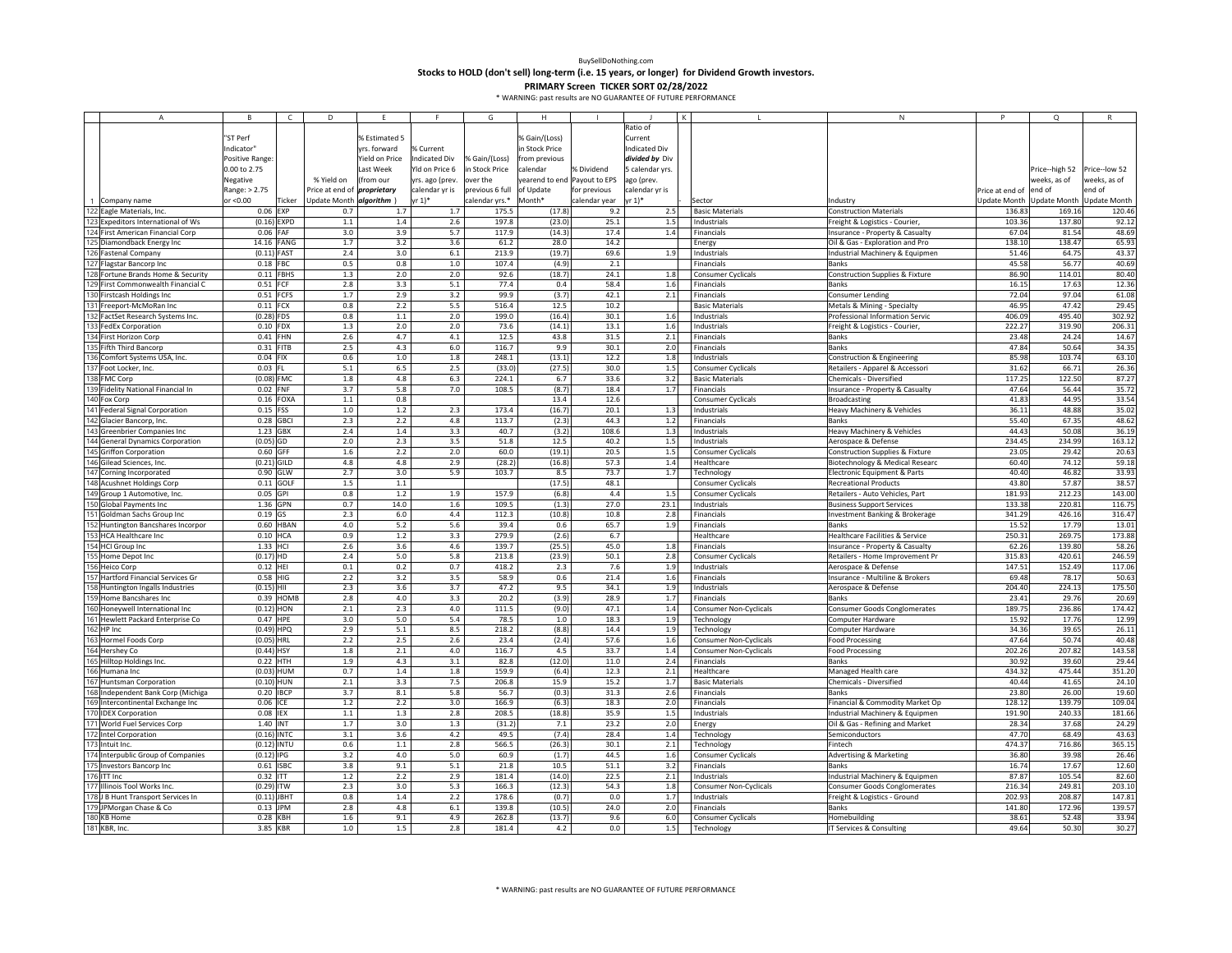**Stocks to HOLD (don't sell) long‐term (i.e. 15 years, or longer) for Dividend Growth investors.**

|            | A                                   |                 |             | D                                  | F              | F               | G               | H                            |               |                      |                        |                               | N                                          |                 | $\circ$                   |               |
|------------|-------------------------------------|-----------------|-------------|------------------------------------|----------------|-----------------|-----------------|------------------------------|---------------|----------------------|------------------------|-------------------------------|--------------------------------------------|-----------------|---------------------------|---------------|
|            |                                     |                 |             |                                    |                |                 |                 |                              |               | Ratio of             |                        |                               |                                            |                 |                           |               |
|            |                                     | "ST Perf        |             |                                    | % Estimated 5  |                 |                 | % Gain/(Loss)                |               | Current              |                        |                               |                                            |                 |                           |               |
|            |                                     | ndicator"       |             |                                    | yrs. forward   | % Current       |                 | n Stock Price                |               | <b>Indicated Div</b> |                        |                               |                                            |                 |                           |               |
|            |                                     |                 |             |                                    |                |                 |                 |                              |               | divided by Div       |                        |                               |                                            |                 |                           |               |
|            |                                     | Positive Range: |             |                                    | rield on Price | Indicated Div   | 6 Gain/(Loss)   | from previous                |               |                      |                        |                               |                                            |                 |                           |               |
|            |                                     | 0.00 to 2.75    |             |                                    | Last Week      | Yld on Price 6  | in Stock Price  | calendar                     | % Dividend    | 5 calendar yrs.      |                        |                               |                                            |                 | Price--high 52            | Price--low 52 |
|            |                                     | Negative        |             | % Yield on                         | (from our      | yrs. ago (prev. | over the        | yearend to end Payout to EPS |               | ago (prev.           |                        |                               |                                            |                 | weeks, as of              | weeks, as of  |
|            |                                     | Range: > 2.75   |             | Price at end of <i>proprietary</i> |                | calendar yr is  | previous 6 full | of Update                    | for previous  | calendar yr is       |                        |                               |                                            | Price at end of | end of                    | end of        |
|            | Company name                        | or <0.00        | Ticker      | Update Month algorithm )           |                | yr 1)*          | calendar yrs.*  | Month*                       | calendar year | $yr 1)*$             | Sector                 |                               | ndustry                                    | Update Month    | Update Month Update Month |               |
|            | 122 Eagle Materials, Inc.           | 0.06 EXP        |             | 0.7                                | 1.7            | 1.7             | 175.5           | (17.8)                       | 9.2           | 2.5                  | <b>Basic Materials</b> |                               | <b>Construction Materials</b>              | 136.83          | 169.16                    | 120.46        |
| 123        | Expeditors International of Ws      | $(0.16)$ EXPD   |             | $1.1\,$                            | $1.4\,$        | 2.6             | 197.8           | (23.0)                       | 25.1          | 1.5                  | Industrials            |                               | Freight & Logistics - Courier,             | 103.36          | 137.80                    | 92.12         |
|            | First American Financial Corp       | $0.06$ FAF      |             | 3.0                                | 3.9            | 5.7             | 117.9           | (14.3)                       | 17.4          | 1.4                  | Financials             |                               | Insurance - Property & Casualty            | 67.04           | 81.54                     | 48.69         |
|            | Diamondback Energy Inc              | 14.16 FANG      |             | 1.7                                | 3.2            | 3.6             | 61.2            | 28.0                         | 14.2          |                      | Energy                 |                               | Oil & Gas - Exploration and Pro            | 138.10          | 138.47                    | 65.93         |
|            | <b>Fastenal Company</b>             | $(0.11)$ FAST   |             | 2.4                                | 3.0            | $6.1\,$         | 213.9           | (19.7)                       | 69.6          | 1.9                  | Industrials            |                               | Industrial Machinery & Equipmen            | 51.46           | 64.75                     | 43.37         |
|            |                                     |                 |             |                                    | 0.8            |                 |                 |                              |               |                      |                        |                               | <b>Banks</b>                               |                 | 56.77                     |               |
| 127<br>128 | Flagstar Bancorp Inc                | 0.18 FBC        |             | 0.5                                |                | 1.0             | 107.4           | (4.9)                        | 2.1           |                      | Financials             |                               |                                            | 45.58           |                           | 40.69         |
|            | Fortune Brands Home & Security      | 0.11            | FBHS        | $1.3\,$                            | 2.0            | 2.0             | 92.6            | (18.7)                       | 24.1          | 1.8                  |                        | <b>Consumer Cyclicals</b>     | <b>Construction Supplies &amp; Fixture</b> | 86.90           | 114.01                    | 80.40         |
| 129        | First Commonwealth Financial C      | 0.51            | FCF         | $2.8\,$                            | 3.3            | 5.1             | 77.4            | 0.4                          | 58.4          | 1.6                  | Financials             |                               | <b>Banks</b>                               | 16.15           | 17.63                     | 12.36         |
|            | Firstcash Holdings Inc              | 0.51 FCFS       |             | 1.7                                | 2.9            | 3.2             | 99.9            | (3.7)                        | 42.1          | 2.1                  | Financials             |                               | <b>Consumer Lending</b>                    | 72.04           | 97.04                     | 61.08         |
|            | Freeport-McMoRan Inc                | $0.11$ FCX      |             | 0.8                                | 2.2            | 5.5             | 516.4           | 12.5                         | 10.2          |                      | <b>Basic Materials</b> |                               | Metals & Mining - Specialty                | 46.95           | 47.42                     | 29.45         |
|            | FactSet Research Systems Inc.       | $(0.28)$ FDS    |             | 0.8                                | 1.1            | 2.0             | 199.0           | (16.4)                       | 30.1          | 1.6                  | Industrials            |                               | Professional Information Servic            | 406.09          | 495.40                    | 302.92        |
|            | FedEx Corporation                   | 0.10 FDX        |             | 1.3                                | 2.0            | 2.0             | 73.6            | (14.1)                       | 13.1          | 1.6                  | Industrials            |                               | Freight & Logistics - Courier,             | 222.27          | 319.90                    | 206.31        |
|            | First Horizon Corp                  | $0.41$ FHN      |             | 2.6                                | 4.7            | 4.1             | 12.5            | 43.8                         | 31.5          | 2.1                  | Financials             |                               | Banks                                      | 23.48           | 24.24                     | 14.67         |
|            | Fifth Third Bancorp                 | 0.31 FITB       |             | $2.5\,$                            | 4.3            | $6.0$           | 116.7           | 9.9                          | 30.1          | 2.0                  | Financials             |                               | Banks                                      | 47.84           | 50.64                     | 34.35         |
|            | Comfort Systems USA, Inc.           | $0.04$ FIX      |             | 0.6                                | $1.0\,$        | 1.8             | 248.1           | (13.1)                       | 12.2          | 1.8                  | Industrials            |                               | Construction & Engineering                 | 85.98           | 103.74                    | 63.10         |
|            | Foot Locker, Inc.                   | $0.03$ FL       |             | 5.1                                | 6.5            | 2.5             | (33.0)          | (27.5)                       | 30.0          | 1.5                  |                        | <b>Consumer Cyclicals</b>     | Retailers - Apparel & Accessori            | 31.62           | 66.71                     | 26.36         |
| 138        |                                     |                 |             |                                    | 4.8            |                 | 224.1           |                              |               |                      |                        |                               |                                            | 117.25          | 122.50                    | 87.27         |
|            | FMC Corp                            | $(0.08)$ FMC    |             | 1.8                                |                | 6.3             |                 | 6.7                          | 33.6          | 3.2                  | <b>Basic Materials</b> |                               | Chemicals - Diversified                    |                 |                           |               |
|            | idelity National Financial In       | 0.02 FNF        |             | 3.7                                | 5.8            | 7.0             | 108.5           | (8.7)                        | 18.4          | 1.7                  | Financials             |                               | Insurance - Property & Casualty            | 47.64           | 56.44                     | 35.72         |
| 140        | Fox Corp                            |                 | 0.16 FOXA   | 1.1                                | 0.8            |                 |                 | 13.4                         | 12.6          |                      |                        | <b>Consumer Cyclicals</b>     | Broadcasting                               | 41.83           | 44.95                     | 33.54         |
| 141        | <b>Federal Signal Corporation</b>   | 0.15 FSS        |             | $1.0\,$                            | $1.2$          | 2.3             | 173.4           | (16.7)                       | 20.1          | 1.3                  | Industrials            |                               | Heavy Machinery & Vehicles                 | 36.11           | 48.88                     | 35.02         |
|            | 142 Glacier Bancorp, Inc.           | 0.28 GBCI       |             | 2.3                                | 2.2            | 4.8             | 113.7           | (2.3)                        | 44.3          | 1.2                  | Financials             |                               | <b>Banks</b>                               | 55.40           | 67.35                     | 48.62         |
|            | Greenbrier Companies Inc            | 1.23 GBX        |             | 2.4                                | 1.4            | 3.3             | 40.7            | (3.2)                        | 108.6         | 1.3                  | Industrials            |                               | Heavy Machinery & Vehicles                 | 44.43           | 50.08                     | 36.19         |
|            | <b>General Dynamics Corporation</b> | $(0.05)$ GD     |             | 2.0                                | 2.3            | 3.5             | 51.8            | 12.5                         | 40.2          | 1.5                  | Industrials            |                               | Aerospace & Defense                        | 234.45          | 234.99                    | 163.12        |
|            | <b>Griffon Corporation</b>          | 0.60 GFF        |             | 1.6                                | 2.2            | 2.0             | 60.0            | (19.1)                       | 20.5          | 1.5                  |                        | <b>Consumer Cyclicals</b>     | <b>Construction Supplies &amp; Fixture</b> | 23.05           | 29.42                     | 20.63         |
|            | Gilead Sciences, Inc.               | $(0.21)$ GILD   |             | 4.8                                | 4.8            | 2.9             | (28.2)          | (16.8)                       | 57.3          | 1.4                  | Healthcare             |                               | Biotechnology & Medical Researc            | 60.40           | 74.12                     | 59.18         |
| 147        | Corning Incorporated                | 0.90 GLW        |             | 2.7                                | 3.0            | 5.9             | 103.7           | 8.5                          | 73.7          | 1.7                  | Technology             |                               | Electronic Equipment & Parts               | 40.40           | 46.82                     | 33.93         |
|            | 148 Acushnet Holdings Corp          |                 | 0.11 GOLF   | $1.5\,$                            | $1.1\,$        |                 |                 | (17.5)                       | 48.1          |                      |                        | Consumer Cyclicals            | <b>Recreational Products</b>               | 43.80           | 57.87                     | 38.57         |
|            | 149 Group 1 Automotive, Inc.        | 0.05 GPI        |             | 0.8                                | 1.2            | 1.9             | 157.9           | (6.8)                        | 4.4           | 1.5                  |                        | <b>Consumer Cyclicals</b>     | Retailers - Auto Vehicles, Part            | 181.93          | 212.23                    | 143.00        |
|            |                                     |                 |             |                                    |                |                 |                 |                              | 27.0          |                      |                        |                               |                                            |                 |                           |               |
|            | 150 Global Payments Inc             | 1.36 GPN        |             | 0.7                                | 14.0           | 1.6             | 109.5           | (1.3)                        |               | 23.1                 | Industrials            |                               | <b>Business Support Services</b>           | 133.38          | 220.81                    | 116.75        |
|            | Goldman Sachs Group Inc             | $0.19$ GS       |             | 2.3                                | $6.0\,$        | 4.4             | 112.3           | (10.8)                       | 10.8          | 2.8                  | Financials             |                               | Investment Banking & Brokerage             | 341.29          | 426.16                    | 316.47        |
|            | Huntington Bancshares Incorpor      |                 | $0.60$ HBAN | 4.0                                | 5.2            | 5.6             | 39.4            | 0.6                          | 65.7          | 1.9                  | Financials             |                               | <b>Banks</b>                               | 15.52           | 17.79                     | 13.01         |
| 153        | HCA Healthcare Inc                  | 0.10 HCA        |             | 0.9                                | $1.2\,$        | 3.3             | 279.9           | (2.6)                        | 6.7           |                      | Healthcare             |                               | Healthcare Facilities & Service            | 250.31          | 269.75                    | 173.88        |
|            | <b>HCI Group Inc</b>                | 1.33 HCI        |             | 2.6                                | 3.6            | 4.6             | 139.7           | (25.5)                       | 45.0          | 1.8                  | Financials             |                               | Insurance - Property & Casualty            | 62.26           | 139.80                    | 58.26         |
|            | Home Depot Inc                      | $(0.17)$ HD     |             | 2.4                                | 5.0            | 5.8             | 213.8           | (23.9)                       | 50.1          | 2.8                  |                        | Consumer Cyclicals            | Retailers - Home Improvement Pr            | 315.83          | 420.61                    | 246.59        |
|            | Heico Corp                          | $0.12$ HEI      |             | 0.1                                | 0.2            | 0.7             | 418.2           | 2.3                          | 7.6           | 1.9                  | Industrials            |                               | Aerospace & Defense                        | 147.51          | 152.49                    | 117.06        |
|            | Hartford Financial Services Gr      | 0.58 HIG        |             | 2.2                                | 3.2            | 3.5             | 58.9            | 0.6                          | 21.4          | 1.6                  | Financials             |                               | Insurance - Multiline & Brokers            | 69.48           | 78.17                     | 50.63         |
|            | Huntington Ingalls Industries       | $(0.15)$ HII    |             | 2.3                                | 3.6            | 3.7             | 47.2            | 9.5                          | 34.1          | 1.9                  | Industrials            |                               | Aerospace & Defense                        | 204.40          | 224.13                    | 175.50        |
|            | Home Bancshares Inc                 |                 | $0.39$ HOMB | 2.8                                | 4.0            | 3.3             | 20.2            | (3.9)                        | 28.9          | 1.7                  | Financials             |                               | <b>Banks</b>                               | 23.41           | 29.76                     | 20.69         |
|            | Honeywell International Inc         | $(0.12)$ HON    |             | 2.1                                | 2.3            | 4.0             | 111.5           | (9.0)                        | 47.1          | 1.4                  |                        | Consumer Non-Cyclicals        | Consumer Goods Conglomerates               | 189.75          | 236.86                    | 174.42        |
|            | Hewlett Packard Enterprise Co       | 0.47 HPE        |             | 3.0                                | $5.0$          | 5.4             | 78.5            | $1.0$                        | 18.3          | 1.9                  | Technology             |                               | <b>Computer Hardware</b>                   | 15.92           | 17.76                     | 12.99         |
|            | HP Inc                              | $(0.49)$ HPQ    |             | 2.9                                | $5.1\,$        | 8.5             | 218.2           | (8.8)                        | 14.4          | 1.9                  | Technology             |                               |                                            | 34.36           | 39.65                     | 26.1          |
|            |                                     |                 |             | 2.2                                | 2.5            | 2.6             | 23.4            | (2.4)                        | 57.6          | 1.6                  |                        |                               | Computer Hardware                          | 47.64           | 50.74                     | 40.48         |
|            | Hormel Foods Corp                   | $(0.05)$ HRL    |             |                                    |                |                 |                 |                              |               |                      |                        | Consumer Non-Cyclicals        | Food Processing                            |                 |                           |               |
|            | Hershey Co                          | $(0.44)$ HSY    |             | 1.8                                | 2.1            | 4.0             | 116.7           | 4.5                          | 33.7          | 1.4                  |                        | <b>Consumer Non-Cyclicals</b> | <b>Food Processing</b>                     | 202.26          | 207.82                    | 143.58        |
| 165        | Hilltop Holdings Inc.               | 0.22 HTH        |             | 1.9                                | 4.3            | 3.1             | 82.8            | (12.0)                       | 11.0          | 2.4                  | Financials             |                               | Banks                                      | 30.92           | 39.60                     | 29.44         |
|            | Humana Inc                          | $(0.03)$ HUM    |             | 0.7                                | $1.4\,$        | 1.8             | 159.9           | (6.4)                        | 12.3          | 2.1                  | Healthcare             |                               | Managed Health care                        | 434.32          | 475.44                    | 351.20        |
|            | <b>Huntsman Corporation</b>         | $(0.10)$ HUN    |             | 2.1                                | 3.3            | 7.5             | 206.8           | 15.9                         | 15.2          | 1.7                  | <b>Basic Materials</b> |                               | Chemicals - Diversified                    | 40.44           | 41.65                     | 24.10         |
|            | Independent Bank Corp (Michiga      | 0.20 IBCP       |             | 3.7                                | 8.1            | 5.8             | 56.7            | (0.3)                        | 31.3          | 2.6                  | Financials             |                               | Banks                                      | 23.80           | 26.00                     | 19.60         |
|            | Intercontinental Exchange Inc       | 0.06 ICE        |             | 1.2                                | 2.2            | 3.0             | 166.9           | (6.3)                        | 18.3          | 2.0                  | Financials             |                               | Financial & Commodity Market Op            | 128.12          | 139.79                    | 109.04        |
|            | <b>IDEX Corporation</b>             | 0.08 IEX        |             | 1.1                                | 1.3            | 2.8             | 208.5           | (18.8)                       | 35.9          | 1.5                  | Industrials            |                               | Industrial Machinery & Equipmen            | 191.90          | 240.33                    | 181.66        |
| 171        | World Fuel Services Corp            | 1.40 INT        |             | 1.7                                | 3.0            | 1.3             | (31.2)          | 7.1                          | 23.2          | 2.0                  | Energy                 |                               | Oil & Gas - Refining and Market            | 28.34           | 37.68                     | 24.29         |
|            | 172 Intel Corporation               | $(0.16)$ INTC   |             | 3.1                                | 3.6            | 4.2             | 49.5            | (7.4)                        | 28.4          | 1.4                  | Technology             |                               | Semiconductors                             | 47.70           | 68.49                     | 43.63         |
|            | Intuit Inc.                         | $(0.12)$ INTU   |             | 0.6                                | $1.1\,$        | 2.8             | 566.5           | (26.3)                       | 30.1          | 2.1                  | Technology             |                               | Fintech                                    | 474.37          | 716.86                    | 365.15        |
|            | 174 Interpublic Group of Companies  | $(0.12)$ IPG    |             | 3.2                                | 4.0            | 5.0             | 60.9            | (1.7)                        | 44.5          | 1.6                  |                        | Consumer Cyclicals            | <b>Advertising &amp; Marketing</b>         | 36.80           | 39.98                     | 26.46         |
|            |                                     |                 |             |                                    |                |                 |                 |                              |               |                      |                        |                               |                                            |                 | 17.67                     |               |
|            | Investors Bancorp Inc               | 0.61            | <b>ISBC</b> | 3.8                                | 9.1            | 5.1             | 21.8            | 10.5                         | 51.1          | 3.2                  | Financials             |                               | Banks                                      | 16.74           |                           | 12.60         |
| 176        | <b>ITT Inc</b>                      | 0.32 ITT        |             | 1.2                                | 2.2            | 2.9             | 181.4           | (14.0)                       | 22.5          | 2.1                  | Industrials            |                               | Industrial Machinery & Equipmen            | 87.87           | 105.54                    | 82.60         |
| 177        | Illinois Tool Works Inc.            | (0.29)          | <b>ITW</b>  | 2.3                                | 3.0            | 5.3             | 166.3           | (12.3)                       | 54.3          | 1.8                  |                        | Consumer Non-Cyclicals        | Consumer Goods Conglomerates               | 216.34          | 249.81                    | 203.10        |
|            | <b>B Hunt Transport Services In</b> | $(0.11)$ JBHT   |             | 0.8                                | 1.4            | 2.2             | 178.6           | (0.7)                        | 0.0           | 1.7                  | Industrials            |                               | Freight & Logistics - Ground               | 202.93          | 208.87                    | 147.81        |
|            | <b>PMorgan Chase &amp; Co</b>       | 0.13 JPM        |             | 2.8                                | 4.8            | 6.1             | 139.8           | (10.5)                       | 24.0          | 2.0                  | Financials             |                               | <b>Banks</b>                               | 141.80          | 172.96                    | 139.57        |
|            | 180 KB Home                         | 0.28 KBH        |             | 1.6                                | 9.1            | 4.9             | 262.8           | (13.7)                       | 9.6           | $6.0\,$              |                        | Consumer Cyclicals            | Homebuilding                               | 38.61           | 52.48                     | 33.94         |
|            | 181 KBR, Inc.                       | 3.85 KBR        |             | 1.0                                | $1.5$          | 2.8             | 181.4           | 4.2                          | 0.0           | 1.5                  | Technology             |                               | IT Services & Consulting                   | 49.64           | 50.30                     | 30.27         |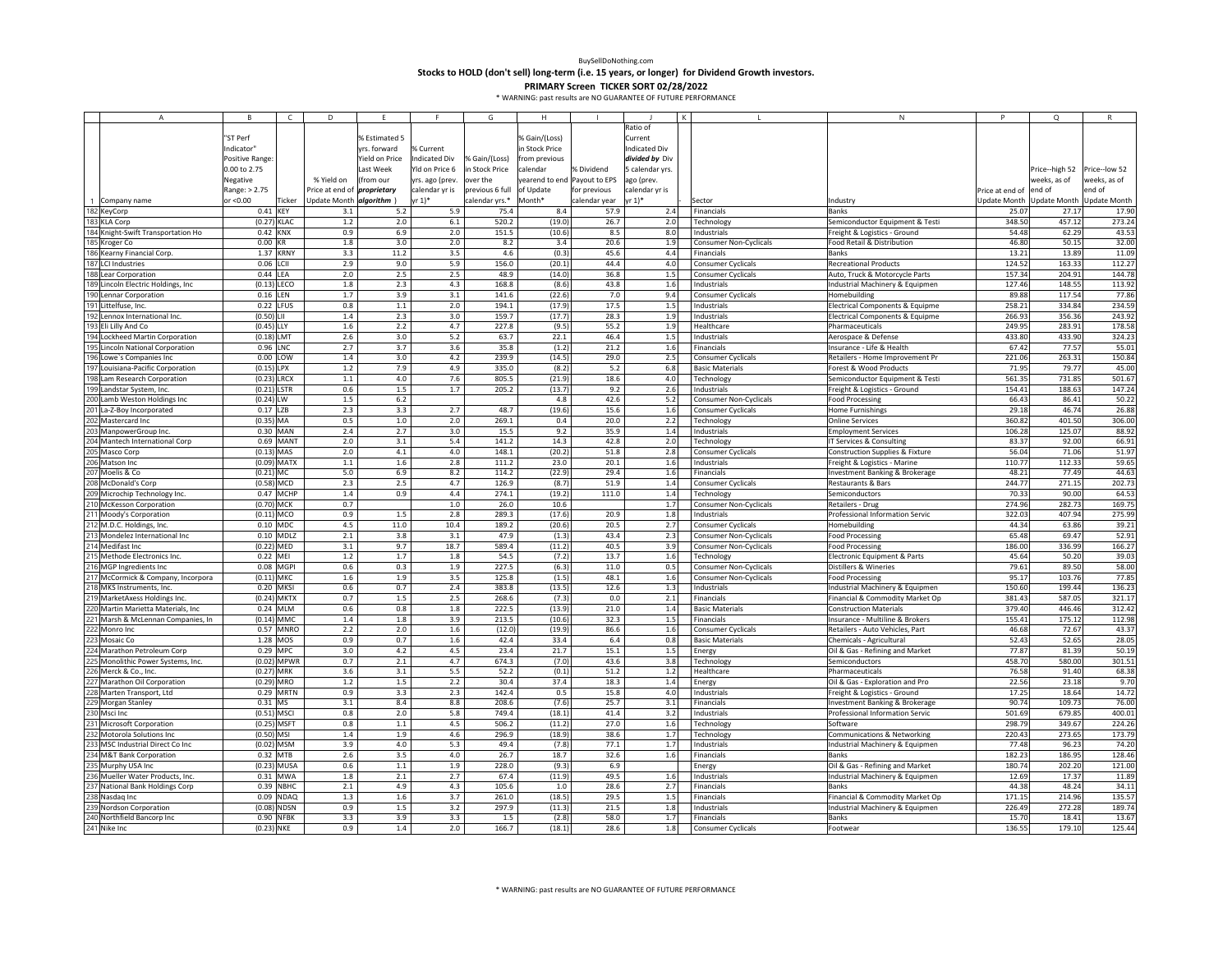**Stocks to HOLD (don't sell) long‐term (i.e. 15 years, or longer) for Dividend Growth investors.**

|     | $\overline{A}$                      | <b>B</b>        | $\mathsf{C}$  | D                        | F              |                 | G               | H                            |               |                 |             |                               | N                                          |                 | $\circ$                   |               |
|-----|-------------------------------------|-----------------|---------------|--------------------------|----------------|-----------------|-----------------|------------------------------|---------------|-----------------|-------------|-------------------------------|--------------------------------------------|-----------------|---------------------------|---------------|
|     |                                     |                 |               |                          |                |                 |                 |                              |               | Ratio of        |             |                               |                                            |                 |                           |               |
|     |                                     | "ST Perf        |               |                          | % Estimated 5  |                 |                 | % Gain/(Loss)                |               | Current         |             |                               |                                            |                 |                           |               |
|     |                                     | Indicator"      |               |                          | yrs. forward   | 6 Current       |                 | n Stock Price                |               | ndicated Div    |             |                               |                                            |                 |                           |               |
|     |                                     | Positive Range: |               |                          | Yield on Price | ndicated Div    | 6 Gain/(Loss)   | from previous                |               | divided by Div  |             |                               |                                            |                 |                           |               |
|     |                                     | 0.00 to 2.75    |               |                          | Last Week      | rld on Price 6  | n Stock Price   | calendar                     | % Dividend    | 5 calendar yrs. |             |                               |                                            |                 | Price--high 52            | Price--low 52 |
|     |                                     | Negative        |               | % Yield on               | from our       | yrs. ago (prev. | over the        | yearend to end Payout to EPS |               | ago (prev.      |             |                               |                                            |                 | weeks, as of              | weeks, as of  |
|     |                                     | Range: > 2.75   |               | Price at end of          | proprietary    | calendar yr is  | previous 6 full | of Update                    | for previous  | calendar yr is  |             |                               |                                            | Price at end of | end of                    | end of        |
|     |                                     |                 |               |                          |                |                 |                 |                              |               |                 |             |                               |                                            |                 |                           |               |
|     | 1 Company name                      | or <0.00        | Ticker        | Update Month algorithm ) |                | rr 1)*          | alendar yrs.*   | Month*                       | calendar year | yr 1)*          | Sector      |                               | Industry                                   | Update Month    | Update Month Update Month |               |
|     | 182 KeyCorp                         | 0.41 KEY        |               | 3.1                      | 5.2            | 5.9             | 75.4            | 8.4                          | 57.9          | 2.4             | Financials  |                               | Banks                                      | 25.07           | 27.17                     | 17.90         |
|     | 183 KLA Corp                        | (0.27) KLAC     |               | 1.2                      | 2.0            | 6.1             | 520.2           | (19.0)                       | 26.7          | 2.0             | Technology  |                               | Semiconductor Equipment & Testi            | 348.50          | 457.12                    | 273.24        |
|     | 184 Knight-Swift Transportation Ho  | 0.42 KNX        |               | 0.9                      | 6.9            | 2.0             | 151.5           | (10.6)                       | 8.5           | 8.0             | Industrials |                               | Freight & Logistics - Ground               | 54.48           | 62.29                     | 43.53         |
|     | 185 Kroger Co                       | 0.00 KR         |               | 1.8                      | 3.0            | 2.0             | 8.2             | 3.4                          | 20.6          | 1.9             |             | <b>Consumer Non-Cyclicals</b> | Food Retail & Distribution                 | 46.80           | 50.15                     | 32.00         |
|     | 186 Kearny Financial Corp.          |                 | 1.37 KRNY     | 3.3                      | 11.2           | 3.5             | $4.6\,$         | (0.3)                        | 45.6          | 4.4             | Financials  |                               | Banks                                      | 13.21           | 13.89                     | 11.09         |
| 187 | LCI Industries                      | 0.06 LCII       |               | 2.9                      | 9.0            | 5.9             | 156.0           | (20.1)                       | 44.4          | 4.0             |             | Consumer Cyclicals            | <b>Recreational Products</b>               | 124.52          | 163.33                    | 112.2         |
|     | 188 Lear Corporation                | $0.44$ LEA      |               | 2.0                      | 2.5            | 2.5             | 48.9            | (14.0)                       | 36.8          | 1.5             |             | <b>Consumer Cyclicals</b>     | Auto, Truck & Motorcycle Parts             | 157.34          | 204.91                    | 144.78        |
|     | 189 Lincoln Electric Holdings, Inc. | $(0.13)$ LECO   |               | 1.8                      | 2.3            | 4.3             | 168.8           | (8.6)                        | 43.8          | 1.6             | Industrials |                               | Industrial Machinery & Equipmen            | 127.46          | 148.55                    | 113.92        |
|     | 190 Lennar Corporation              | 0.16 LEN        |               | 1.7                      | 3.9            | 3.1             | 141.6           | (22.6)                       | 7.0           | 9.4             |             | <b>Consumer Cyclicals</b>     | Homebuilding                               | 89.88           | 117.54                    | 77.86         |
|     | 191 Littelfuse, Inc.                | 0.22 LFUS       |               | 0.8                      | 1.1            | 2.0             | 194.1           | (17.9)                       | 17.5          | 1.5             | Industrials |                               | Electrical Components & Equipme            | 258.21          | 334.84                    | 234.59        |
|     | 192 Lennox International Inc.       | $(0.50)$ LII    |               | 1.4                      | 2.3            | 3.0             | 159.7           | (17.7)                       | 28.3          | 1.9             | Industrials |                               | Electrical Components & Equipme            | 266.93          | 356.36                    | 243.92        |
|     | 193 Eli Lilly And Co                | $(0.45)$ LLY    |               | 1.6                      | 2.2            | 4.7             | 227.8           | (9.5)                        | 55.2          | 1.9             | Healthcare  |                               | Pharmaceuticals                            | 249.95          | 283.91                    | 178.58        |
| 194 | Lockheed Martin Corporation         | $(0.18)$ LMT    |               | 2.6                      | 3.0            | 5.2             | 63.7            | 22.1                         | 46.4          | 1.5             | Industrials |                               | Aerospace & Defense                        | 433.80          | 433.90                    | 324.23        |
|     | 195 Lincoln National Corporation    | 0.96 LNC        |               | 2.7                      | 3.7            | 3.6             | 35.8            | (1.2)                        | 21.2          | 1.6             | Financials  |                               | Insurance - Life & Health                  | 67.42           | 77.57                     | 55.01         |
|     | 196 Lowe's Companies Inc            | 0.00 LOW        |               | 1.4                      | 3.0            | 4.2             | 239.9           | (14.5)                       | 29.0          | 2.5             |             | <b>Consumer Cyclicals</b>     | Retailers - Home Improvement Pr            | 221.06          | 263.31                    | 150.84        |
|     | 197 Louisiana-Pacific Corporation   | $(0.15)$ LPX    |               | 1.2                      | 7.9            | 4.9             | 335.0           | (8.2)                        | 5.2           | 6.8             |             | <b>Basic Materials</b>        | Forest & Wood Products                     | 71.95           | 79.77                     | 45.00         |
|     | 198 Lam Research Corporation        | $(0.23)$ LRCX   |               | $1.1\,$                  | 4.0            | 7.6             | 805.5           | (21.9)                       | 18.6          | 4.0             | Technology  |                               | Semiconductor Equipment & Testi            | 561.35          | 731.85                    | 501.67        |
|     | Landstar System, Inc.               | $(0.21)$ LSTR   |               | 0.6                      | 1.5            | 1.7             | 205.2           | (13.7)                       | 9.2           | 2.6             | Industrials |                               | Freight & Logistics - Ground               | 154.41          | 188.63                    | 147.2         |
| 200 | Lamb Weston Holdings Inc            | $(0.24)$ LW     |               | 1.5                      | $6.2$          |                 |                 | 4.8                          | 42.6          | 5.2             |             | <b>Consumer Non-Cyclicals</b> | <b>Food Processing</b>                     | 66.43           | 86.41                     | 50.22         |
|     |                                     | 0.17 LZB        |               | 2.3                      | 3.3            | 2.7             | 48.7            | (19.6)                       | 15.6          |                 |             |                               |                                            | 29.18           | 46.74                     | 26.88         |
|     | 201 La-Z-Boy Incorporated           |                 |               |                          |                |                 |                 |                              |               | 1.6             |             | Consumer Cyclicals            | Home Furnishings                           |                 |                           |               |
|     | 202 Mastercard Inc                  | $(0.35)$ MA     |               | 0.5                      | $1.0$          | 2.0             | 269.1           | 0.4                          | 20.0          | 2.2             | Technology  |                               | <b>Online Services</b>                     | 360.82          | 401.50                    | 306.00        |
|     | ManpowerGroup Inc.                  |                 | 0.30 MAN      | 2.4                      | 2.7            | 3.0             | 15.5            | 9.2                          | 35.9          | 1.4             | Industrials |                               | <b>Employment Services</b>                 | 106.28          | 125.07                    | 88.92         |
|     | 204 Mantech International Corp      |                 | 0.69 MANT     | 2.0                      | 3.1            | 5.4             | 141.2           | 14.3                         | 42.8          | 2.0             | Technology  |                               | IT Services & Consulting                   | 83.37           | 92.00                     | 66.91         |
|     | Masco Corp                          | $(0.13)$ MAS    |               | 2.0                      | 4.1            | 4.0             | 148.1           | (20.2)                       | 51.8          | 2.8             |             | Consumer Cyclicals            | <b>Construction Supplies &amp; Fixture</b> | 56.04           | 71.06                     | 51.97         |
|     | Matson Inc                          |                 | (0.09) MATX   | $1.1\,$                  | 1.6            | 2.8             | 111.2           | 23.0                         | 20.1          | 1.6             | Industrials |                               | Freight & Logistics - Marine               | 110.77          | 112.33                    | 59.65         |
| 207 | Moelis & Co                         | $(0.21)$ MC     |               | 5.0                      | 6.9            | 8.2             | 114.2           | (22.9)                       | 29.4          | 1.6             | Financials  |                               | Investment Banking & Brokerage             | 48.21           | 77.49                     | 44.63         |
|     | 208 McDonald's Corp                 | (0.58) MCD      |               | 2.3                      | 2.5            | 4.7             | 126.9           | (8.7)                        | 51.9          | 1.4             |             | <b>Consumer Cyclicals</b>     | <b>Restaurants &amp; Bars</b>              | 244.77          | 271.15                    | 202.73        |
|     | 209 Microchip Technology Inc.       |                 | 0.47 MCHP     | $1.4\,$                  | 0.9            | 4.4             | 274.1           | (19.2)                       | 111.0         | 1.4             | Technology  |                               | Semiconductors                             | 70.33           | 90.00                     | 64.53         |
|     | 10 McKesson Corporation             | (0.70) MCK      |               | 0.7                      |                | $1.0\,$         | 26.0            | 10.6                         |               | 1.7             |             | Consumer Non-Cyclicals        | Retailers - Drug                           | 274.96          | 282.73                    | 169.75        |
|     | Moody's Corporation                 | $(0.11)$ MCO    |               | 0.9                      | 1.5            | 2.8             | 289.3           | (17.6)                       | 20.9          | 1.8             | Industrials |                               | Professional Information Servic            | 322.03          | 407.94                    | 275.99        |
|     | M.D.C. Holdings, Inc.               |                 | 0.10 MDC      | 4.5                      | 11.0           | 10.4            | 189.2           | (20.6)                       | 20.5          | 2.7             |             | Consumer Cyclicals            | Homebuilding                               | 44.34           | 63.86                     | 39.21         |
|     | Mondelez International Inc          |                 | $0.10$ MDLZ   | 2.1                      | 3.8            | 3.1             | 47.9            | (1.3)                        | 43.4          | 2.3             |             | <b>Consumer Non-Cyclicals</b> | <b>Food Processing</b>                     | 65.48           | 69.47                     | 52.91         |
|     | 214 Medifast Inc                    | (0.22) MED      |               | 3.1                      | 9.7            | 18.7            | 589.4           | (11.2)                       | 40.5          | 3.9             |             | <b>Consumer Non-Cyclicals</b> | <b>Food Processing</b>                     | 186.00          | 336.99                    | 166.27        |
|     | Methode Electronics Inc.            | 0.22 MEI        |               | 1.2                      | 1.7            | 1.8             | 54.5            | (7.2)                        | 13.7          | 1.6             | Technology  |                               | Electronic Equipment & Parts               | 45.64           | 50.20                     | 39.03         |
|     | 6 MGP Ingredients Inc               |                 | 0.08 MGPI     | 0.6                      | 0.3            | 1.9             | 227.5           | (6.3)                        | 11.0          | 0.5             |             | <b>Consumer Non-Cyclicals</b> | <b>Distillers &amp; Wineries</b>           | 79.61           | 89.50                     | 58.00         |
|     | McCormick & Company, Incorpora      | $(0.11)$ MKC    |               | 1.6                      | 1.9            | 3.5             | 125.8           | (1.5)                        | 48.1          | 1.6             |             | <b>Consumer Non-Cyclicals</b> | <b>Food Processing</b>                     | 95.17           | 103.76                    | 77.85         |
|     | MKS Instruments, Inc.               |                 | 0.20 MKSI     | 0.6                      | 0.7            | 2.4             | 383.8           | (13.5)                       | 12.6          | 1.3             | Industrials |                               | Industrial Machinery & Equipmen            | 150.60          | 199.44                    | 136.23        |
|     | MarketAxess Holdings Inc.           |                 | (0.24) MKTX   | 0.7                      | 1.5            | 2.5             | 268.6           | (7.3)                        | 0.0           | 2.1             | Financials  |                               | Financial & Commodity Market Op            | 381.43          | 587.05                    | 321.17        |
|     | 220 Martin Marietta Materials, Inc  |                 | 0.24 MLM      | 0.6                      | 0.8            | 1.8             | 222.5           | (13.9)                       | 21.0          | 1.4             |             | <b>Basic Materials</b>        | <b>Construction Materials</b>              | 379.40          | 446.46                    | 312.42        |
|     | Marsh & McLennan Companies, In      |                 | $(0.14)$ MMC  | 1.4                      | 1.8            | 3.9             | 213.5           | (10.6)                       | 32.3          | 1.5             | Financials  |                               | Insurance - Multiline & Brokers            | 155.41          | 175.12                    | 112.98        |
|     | 222 Monro Inc                       |                 | 0.57 MNRO     | 2.2                      | 2.0            | 1.6             | (12.0)          | (19.9)                       | 86.6          | 1.6             |             | Consumer Cyclicals            | Retailers - Auto Vehicles, Part            | 46.68           | 72.67                     | 43.37         |
|     |                                     |                 |               |                          | 0.7            | 1.6             |                 |                              | 6.4           |                 |             |                               |                                            | 52.43           | 52.65                     | 28.05         |
|     | 223 Mosaic Co                       |                 | 1.28 MOS      | 0.9                      |                |                 | 42.4            | 33.4                         |               | 0.8             |             | <b>Basic Materials</b>        | Chemicals - Agricultural                   |                 |                           |               |
|     | Marathon Petroleum Corp             | 0.29 MPC        |               | 3.0                      | 4.2            | 4.5             | 23.4            | 21.7                         | 15.1          | 1.5             | Energy      |                               | Oil & Gas - Refining and Market            | 77.87           | 81.39                     | 50.19         |
|     | Monolithic Power Systems, Inc.      |                 | (0.02) MPWR   | 0.7                      | $2.1\,$        | 4.7             | 674.3           | (7.0)                        | 43.6          | 3.8             | Technology  |                               | Semiconductors                             | 458.70          | 580.00                    | 301.51        |
| 226 | Merck & Co., Inc.                   | (0.27) MRK      |               | 3.6                      | 3.1            | 5.5             | 52.2            | (0.1)                        | 51.2          | 1.2             | Healthcare  |                               | Pharmaceuticals                            | 76.58           | 91.40                     | 68.38         |
|     | Marathon Oil Corporation            | (0.29) MRO      |               | 1.2                      | 1.5            | 2.2             | 30.4            | 37.4                         | 18.3          | 1.4             | Energy      |                               | Oil & Gas - Exploration and Pro            | 22.56           | 23.18                     | 9.70          |
|     | Marten Transport, Ltd               |                 | 0.29 MRTN     | 0.9                      | 3.3            | 2.3             | 142.4           | 0.5                          | 15.8          | 4.0             | Industrials |                               | Freight & Logistics - Ground               | 17.25           | 18.64                     | 14.72         |
|     | <b>Morgan Stanley</b>               | 0.31 MS         |               | 3.1                      | 8.4            | 8.8             | 208.6           | (7.6)                        | 25.7          | 3.1             | Financials  |                               | Investment Banking & Brokerage             | 90.74           | 109.73                    | 76.00         |
|     | Msci Inc                            | $(0.51)$ MSCI   |               | 0.8                      | 2.0            | 5.8             | 749.4           | (18.1)                       | 41.4          | 3.2             | Industrials |                               | Professional Information Servic            | 501.69          | 679.85                    | 400.01        |
| 231 | Microsoft Corporation               |                 | (0.25) MSFT   | 0.8                      | $1.1$          | 4.5             | 506.2           | (11.2)                       | 27.0          | 1.6             | Technology  |                               | Software                                   | 298.79          | 349.67                    | 224.26        |
|     | 232 Motorola Solutions Inc          | $(0.50)$ MSI    |               | 1.4                      | 1.9            | 4.6             | 296.9           | (18.9)                       | 38.6          | 1.7             | Technology  |                               | Communications & Networking                | 220.43          | 273.65                    | 173.79        |
|     | 233 MSC Industrial Direct Co Inc    | (0.02) MSM      |               | 3.9                      | 4.0            | 5.3             | 49.4            | (7.8)                        | 77.1          | 1.7             | Industrials |                               | Industrial Machinery & Equipmen            | 77.48           | 96.23                     | 74.20         |
|     | 234 M&T Bank Corporation            | 0.32 MTB        |               | 2.6                      | 3.5            | 4.0             | 26.7            | 18.7                         | 32.6          | 1.6             | Financials  |                               | <b>Banks</b>                               | 182.23          | 186.95                    | 128.46        |
|     | 235 Murphy USA Inc                  |                 | $(0.23)$ MUSA | 0.6                      | $1.1\,$        | 1.9             | 228.0           | (9.3)                        | 6.9           |                 | Energy      |                               | Oil & Gas - Refining and Market            | 180.74          | 202.20                    | 121.00        |
|     | 236 Mueller Water Products, Inc.    |                 | 0.31 MWA      | 1.8                      | 2.1            | 2.7             | 67.4            | (11.9)                       | 49.5          | 1.6             | Industrials |                               | Industrial Machinery & Equipmen            | 12.69           | 17.37                     | 11.89         |
|     | 237 National Bank Holdings Corp     |                 | 0.39 NBHC     | 2.1                      | 4.9            | 4.3             | 105.6           | 1.0                          | 28.6          | 2.7             | Financials  |                               | <b>Banks</b>                               | 44.38           | 48.24                     | 34.11         |
|     | 238 Nasdaq Inc                      |                 | 0.09 NDAQ     | 1.3                      | 1.6            | 3.7             | 261.0           | (18.5)                       | 29.5          | 1.5             | Financials  |                               | Financial & Commodity Market Op            | 171.15          | 214.96                    | 135.57        |
|     | 239 Nordson Corporation             |                 | (0.08) NDSN   | 0.9                      | 1.5            | 3.2             | 297.9           | (11.3)                       | 21.5          | 1.8             | Industrials |                               | Industrial Machinery & Equipmen            | 226.49          | 272.28                    | 189.74        |
|     | 240 Northfield Bancorp Inc          |                 | $0.90$ NFBK   | 3.3                      | 3.9            | 3.3             | $1.5\,$         | (2.8)                        | 58.0          | 1.7             | Financials  |                               | <b>Banks</b>                               | 15.70           | 18.41                     | 13.67         |
|     | 241 Nike Inc                        | (0.23) NKE      |               | 0.9                      | 1.4            | 2.0             | 166.7           | (18.1)                       | 28.6          | 1.8             |             | Consumer Cyclicals            | Footwear                                   | 136.55          | 179.10                    | 125.44        |
|     |                                     |                 |               |                          |                |                 |                 |                              |               |                 |             |                               |                                            |                 |                           |               |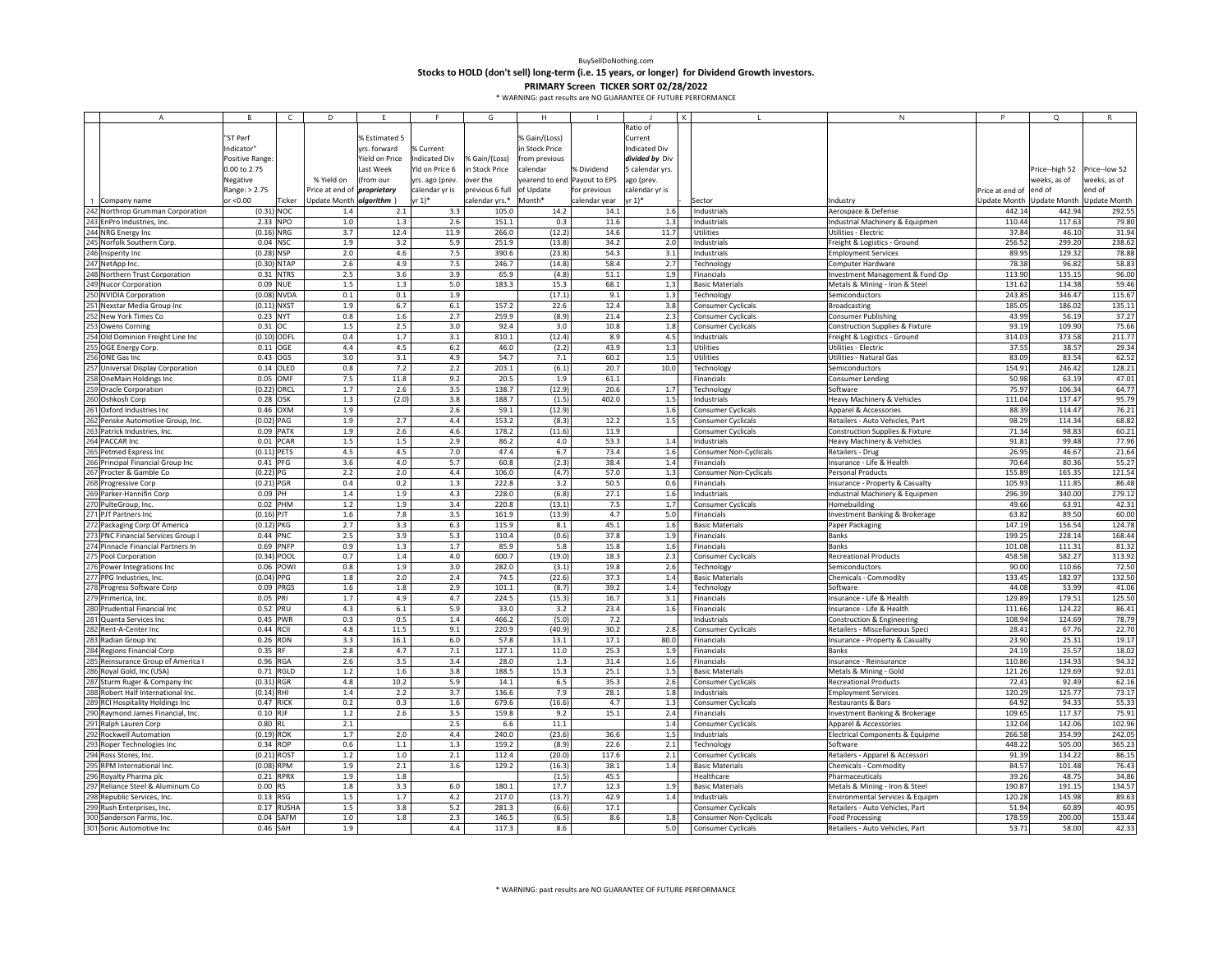**Stocks to HOLD (don't sell) long‐term (i.e. 15 years, or longer) for Dividend Growth investors.**

|     | $\overline{A}$                     | B <sub>1</sub>  | $\mathsf{C}$ | D                        | F              |                 | G                         | H                            |               |                 |                               | N                                          | P               | $\Omega$                  |               |
|-----|------------------------------------|-----------------|--------------|--------------------------|----------------|-----------------|---------------------------|------------------------------|---------------|-----------------|-------------------------------|--------------------------------------------|-----------------|---------------------------|---------------|
|     |                                    |                 |              |                          |                |                 |                           |                              |               | Ratio of        |                               |                                            |                 |                           |               |
|     |                                    | "ST Perf        |              |                          | % Estimated 5  |                 |                           | % Gain/(Loss)                |               | Current         |                               |                                            |                 |                           |               |
|     |                                    | Indicator"      |              |                          | rrs. forward   | 6 Current       |                           | n Stock Price                |               | Indicated Div   |                               |                                            |                 |                           |               |
|     |                                    | Positive Range: |              |                          | field on Price | ndicated Div    | % Gain/(Loss)             | from previous                |               | divided by Div  |                               |                                            |                 |                           |               |
|     |                                    | 0.00 to 2.75    |              |                          | Last Week      | Yld on Price 6  | in Stock Price            | calendar                     | % Dividend    | 5 calendar yrs. |                               |                                            |                 | Price--high 52            | Price--low 52 |
|     |                                    | Negative        |              | % Yield on               | from our)      | yrs. ago (prev. | over the                  | yearend to end Payout to EPS |               | ago (prev.      |                               |                                            |                 | weeks, as of              | weeks, as of  |
|     |                                    | Range: > 2.75   |              | Price at end of          | proprietary    | calendar yr is  | previous 6 full of Update |                              | for previous  | calendar yr is  |                               |                                            | Price at end of | end of                    | end of        |
|     | 1 Company name                     | or <0.00        | Ticker       | Update Month algorithm ) |                | r 1)*           | calendar yrs.*            | Month*                       | calendar year | yr 1)*          | Sector                        | Industry                                   | Update Month    | Update Month Update Month |               |
|     | 242 Northrop Grumman Corporation   | $(0.31)$ NOC    |              | 1.4                      | 2.1            | 3.3             | 105.0                     | 14.2                         | 14.1          | 1.6             | Industrials                   | Aerospace & Defense                        | 442.14          | 442.94                    | 292.55        |
|     | 243 EnPro Industries, Inc.         | 2.33 NPO        |              | 1.0                      | 1.3            | 2.6             | 151.1                     | 0.3                          | 11.6          | 1.3             | Industrials                   | Industrial Machinery & Equipmen            | 110.44          | 117.63                    | 79.80         |
|     | 244 NRG Energy Inc                 | $(0.16)$ NRG    |              | 3.7                      | 12.4           | 11.9            | 266.0                     | (12.2)                       | 14.6          | 11.7            | Utilities                     | Utilities - Electric                       | 37.84           | 46.10                     | 31.94         |
|     | 245 Norfolk Southern Corp          | 0.04 NSC        |              | 1.9                      | 3.2            | 5.9             | 251.9                     | (13.8)                       | 34.2          | 2.0             | Industrials                   | Freight & Logistics - Ground               | 256.52          | 299.20                    | 238.62        |
|     | 246 Insperity Inc                  | $(0.28)$ NSP    |              | 2.0                      | 4.6            | 7.5             | 390.6                     | (23.8)                       | 54.3          | 3.1             | Industrials                   | <b>Employment Services</b>                 | 89.95           | 129.32                    | 78.88         |
|     | 247 NetApp Inc.                    | (0.30) NTAP     |              | 2.6                      | 4.9            | 7.5             | 246.7                     | (14.8)                       | 58.4          | 2.7             | Technology                    | Computer Hardware                          | 78.38           | 96.82                     | 58.83         |
|     | 248 Northern Trust Corporation     |                 | 0.31 NTRS    | 2.5                      | 3.6            | 3.9             | 65.9                      | (4.8)                        | 51.1          | 1.9             | Financials                    | Investment Management & Fund Op            | 113.90          | 135.15                    | 96.00         |
|     | 249 Nucor Corporation              | 0.09 NUE        |              | $1.5$                    | $1.3\,$        | 5.0             | 183.3                     | 15.3                         | 68.1          | $1.3\,$         | <b>Basic Materials</b>        | Metals & Mining - Iron & Steel             | 131.62          | 134.38                    | 59.46         |
|     | 250 NVIDIA Corporation             | (0.08) NVDA     |              | 0.1                      | 0.1            | 1.9             |                           | (17.1)                       | 9.1           | 1.3             | Technology                    | Semiconductors                             | 243.85          | 346.47                    | 115.67        |
|     | 251 Nexstar Media Group Inc        | $(0.11)$ NXST   |              | 1.9                      | 6.7            | 6.1             | 157.2                     | 22.6                         | 12.4          | 3.8             | Consumer Cyclicals            | <b>Broadcasting</b>                        | 185.05          | 186.02                    | 135.11        |
|     | 252 New York Times Co              | 0.23 NYT        |              | 0.8                      | 1.6            | 2.7             | 259.9                     | (8.9)                        | 21.4          | 2.3             | Consumer Cyclicals            | <b>Consumer Publishing</b>                 | 43.99           | 56.19                     | 37.27         |
|     |                                    |                 |              |                          | 2.5            |                 |                           |                              |               |                 |                               |                                            |                 | 109.90                    |               |
|     | 253 Owens Corning                  | 0.31 OC         |              | $1.5$                    |                | 3.0             | 92.4                      | 3.0                          | 10.8          | 1.8             | Consumer Cyclicals            | Construction Supplies & Fixture            | 93.19           |                           | 75.66         |
|     | Old Dominion Freight Line Inc      | (0.10) ODFL     |              | 0.4                      | 1.7            | 3.1             | 810.1                     | (12.4)                       | 8.9           | 4.5             | Industrials                   | Freight & Logistics - Ground               | 314.03          | 373.58                    | 211.77        |
|     | OGE Energy Corp.                   | $0.11$ OGE      |              | 4.4                      | 4.5            | 6.2             | 46.0                      | (2.2)                        | 43.9          | 1.3             | Utilities                     | Utilities - Electric                       | 37.55           | 38.57                     | 29.34         |
|     | 256 ONE Gas Inc                    | 0.43 OGS        |              | 3.0                      | 3.1            | 4.9             | 54.7                      | 7.1                          | 60.2          | $1.5\,$         | Utilities                     | Utilities - Natural Gas                    | 83.09           | 83.54                     | 62.52         |
|     | 257 Universal Display Corporation  |                 | $0.14$ OLED  | 0.8                      | 7.2            | 2.2             | 203.1                     | (6.1)                        | 20.7          | 10.0            | <b>Technology</b>             | Semiconductors                             | 154.91          | 246.42                    | 128.21        |
|     | 258 OneMain Holdings Inc           | 0.05 OMF        |              | 7.5                      | 11.8           | 9.2             | 20.5                      | $1.9\,$                      | 61.1          |                 | Financials                    | Consumer Lending                           | 50.98           | 63.19                     | 47.01         |
|     | 259 Oracle Corporation             | (0.22) ORCL     |              | 1.7                      | 2.6            | 3.5             | 138.7                     | (12.9)                       | 20.6          | 1.7             | Technology                    | Software                                   | 75.97           | 106.34                    | 64.77         |
|     | Oshkosh Corp                       | 0.28 OSK        |              | 1.3                      | (2.0)          | 3.8             | 188.7                     | (1.5)                        | 402.0         | 1.5             | Industrials                   | Heavy Machinery & Vehicles                 | 111.04          | 137.47                    | 95.79         |
| 261 | Oxford Industries Inc              |                 | $0.46$ OXM   | 1.9                      |                | 2.6             | 59.1                      | (12.9)                       |               | 1.6             | Consumer Cyclicals            | Apparel & Accessories                      | 88.39           | 114.47                    | 76.21         |
|     | 262 Penske Automotive Group, Inc.  | $(0.02)$ PAG    |              | 1.9                      | 2.7            | 4.4             | 153.2                     | (8.3)                        | 12.2          | 1.5             | <b>Consumer Cyclicals</b>     | Retailers - Auto Vehicles, Part            | 98.29           | 114.34                    | 68.82         |
|     | 263 Patrick Industries, Inc.       |                 | 0.09 PATK    | 1.9                      | 2.6            | 4.6             | 178.2                     | (11.6)                       | 11.9          |                 | <b>Consumer Cyclicals</b>     | <b>Construction Supplies &amp; Fixture</b> | 71.34           | 98.83                     | 60.21         |
|     | 264 PACCAR Inc                     |                 | 0.01 PCAR    | 1.5                      | 1.5            | 2.9             | 86.2                      | 4.0                          | 53.3          | 1.4             | Industrials                   | Heavy Machinery & Vehicles                 | 91.81           | 99.48                     | 77.96         |
|     | 265 Petmed Express Inc             | $(0.11)$ PETS   |              | 4.5                      | 4.5            | 7.0             | 47.4                      | 6.7                          | 73.4          | 1.6             | Consumer Non-Cyclicals        | Retailers - Drug                           | 26.95           | 46.67                     | 21.64         |
|     | Principal Financial Group Inc      | 0.41 PFG        |              | 3.6                      | 4.0            | 5.7             | 60.8                      | (2.3)                        | 38.4          | $1.4\,$         | Financials                    | Insurance - Life & Health                  | 70.64           | 80.36                     | 55.27         |
|     | Procter & Gamble Co                | $(0.22)$ PG     |              | 2.2                      | 2.0            | 4.4             | 106.0                     | (4.7)                        | 57.0          | 1.3             | <b>Consumer Non-Cyclicals</b> | <b>Personal Products</b>                   | 155.89          | 165.35                    | 121.54        |
|     | 268 Progressive Corp               | $(0.21)$ PGR    |              | 0.4                      | 0.2            | 1.3             | 222.8                     | 3.2                          | 50.5          | 0.6             | Financials                    | Insurance - Property & Casualty            | 105.93          | 111.85                    | 86.48         |
|     | 269 Parker-Hannifin Corp           | $0.09$ PH       |              | 1.4                      | 1.9            | 4.3             | 228.0                     | (6.8)                        | 27.1          | 1.6             | Industrials                   | Industrial Machinery & Equipmen            | 296.39          | 340.00                    | 279.12        |
|     | 270 PulteGroup, Inc.               | 0.02 PHM        |              | 1.2                      | 1.9            | 3.4             | 220.8                     | (13.1)                       | 7.5           | 1.7             | <b>Consumer Cyclicals</b>     | Homebuilding                               | 49.66           | 63.91                     | 42.31         |
|     | 271 PJT Partners Inc               | $(0.16)$ PJT    |              | 1.6                      | 7.8            | 3.5             | 161.9                     | (13.9)                       | 4.7           | $5.0$           | Financials                    | Investment Banking & Brokerage             | 63.82           | 89.50                     | 60.00         |
|     | Packaging Corp Of America          | $(0.12)$ PKG    |              | 2.7                      | 3.3            | 6.3             | 115.9                     | 8.1                          | 45.1          | 1.6             | <b>Basic Materials</b>        | Paper Packaging                            | 147.19          | 156.54                    | 124.78        |
|     | 273 PNC Financial Services Group I | 0.44 PNC        |              | 2.5                      | 3.9            | 5.3             | 110.4                     | (0.6)                        | 37.8          | 1.9             | Financials                    | <b>Banks</b>                               | 199.25          | 228.14                    | 168.44        |
|     | 274 Pinnacle Financial Partners In |                 | 0.69 PNFP    | 0.9                      | 1.3            | 1.7             | 85.9                      | 5.8                          | 15.8          | 1.6             | Financials                    | <b>Banks</b>                               | 101.08          | 111.31                    | 81.32         |
|     | 275 Pool Corporation               | (0.34) POOL     |              | 0.7                      | 1.4            | 4.0             | 600.7                     | (19.0)                       | 18.3          | 2.3             | <b>Consumer Cyclicals</b>     | <b>Recreational Products</b>               | 458.58          | 582.27                    | 313.92        |
|     | 276 Power Integrations Inc         |                 | 0.06 POWI    | 0.8                      | 1.9            | 3.0             | 282.0                     | (3.1)                        | 19.8          | 2.6             | Technology                    | Semiconductors                             | 90.00           | 110.66                    | 72.50         |
|     | 277 PPG Industries, Inc.           | $(0.04)$ PPG    |              | 1.8                      | 2.0            | 2.4             | 74.5                      | (22.6)                       | 37.3          | 1.4             | <b>Basic Materials</b>        | Chemicals - Commodity                      | 133.45          | 182.97                    | 132.50        |
|     | 278 Progress Software Corp         |                 | 0.09 PRGS    | 1.6                      | 1.8            | 2.9             | 101.1                     | (8.7)                        | 39.2          | $1.4\,$         | Technology                    | Software                                   | 44.08           | 53.99                     | 41.06         |
|     | 279 Primerica, Inc.                | 0.05 PRI        |              | 1.7                      | 4.9            | 4.7             | 224.5                     | (15.3)                       | 16.7          | 3.1             | Financials                    | Insurance - Life & Health                  | 129.89          | 179.51                    | 125.50        |
|     | 280 Prudential Financial Inc       | 0.52 PRU        |              | 4.3                      | 6.1            | 5.9             | 33.0                      | 3.2                          | 23.4          | 1.6             | Financials                    | Insurance - Life & Health                  | 111.66          | 124.22                    | 86.41         |
|     | 281 Quanta Services Inc            | 0.45 PWR        |              | 0.3                      | 0.5            | $1.4\,$         | 466.2                     | (5.0)                        | 7.2           |                 | Industrials                   | Construction & Engineering                 | 108.94          | 124.69                    | 78.79         |
|     | 282 Rent-A-Center Inc              | 0.44 RCII       |              | 4.8                      | 11.5           | 9.1             | 220.9                     | (40.9)                       | 30.2          | 2.8             | Consumer Cyclicals            | Retailers - Miscellaneous Speci            | 28.41           | 67.76                     | 22.70         |
|     | 283 Radian Group Inc               | 0.26 RDN        |              | 3.3                      | 16.1           | 6.0             | 57.8                      | 13.1                         | 17.1          |                 |                               |                                            | 23.90           | 25.31                     | 19.1          |
|     |                                    | 0.35 RF         |              | 2.8                      | 4.7            | 7.1             | 127.1                     | 11.0                         | 25.3          | 80.0            | Financials                    | Insurance - Property & Casualty            | 24.19           | 25.57                     | 18.0          |
| 285 | <b>Regions Financial Corp</b>      | 0.96 RGA        |              |                          |                |                 | 28.0                      |                              | 31.4          | 1.9             | Financials                    | Banks                                      | 110.86          | 134.93                    |               |
|     | Reinsurance Group of America I     |                 |              | 2.6                      | 3.5            | 3.4             |                           | $1.3\,$                      |               | 1.6             | Financials                    | Insurance - Reinsurance                    |                 |                           | 94.32         |
|     | 286 Royal Gold, Inc (USA)          |                 | 0.71 RGLD    | $1.2$                    | 1.6            | 3.8             | 188.5                     | 15.3                         | 25.1          | 1.5             | <b>Basic Materials</b>        | Metals & Mining - Gold                     | 121.26          | 129.69                    | 92.01         |
|     | 287 Sturm Ruger & Company Inc      | $(0.31)$ RGR    |              | 4.8                      | 10.2           | 5.9             | 14.1                      | 6.5                          | 35.3          | 2.6             | <b>Consumer Cyclicals</b>     | <b>Recreational Products</b>               | 72.41           | 92.49                     | 62.16         |
|     | 288 Robert Half International Inc. | $(0.14)$ RHI    |              | 1.4                      | 2.2            | 3.7             | 136.6                     | 7.9                          | 28.1          | 1.8             | Industrials                   | <b>Employment Services</b>                 | 120.29          | 125.77                    | 73.17         |
|     | 289 RCI Hospitality Holdings Inc   | 0.47 RICK       |              | 0.2                      | 0.3            | 1.6             | 679.6                     | (16.6)                       | 4.7           | 1.3             | Consumer Cyclicals            | Restaurants & Bars                         | 64.92           | 94.33                     | 55.33         |
|     | Raymond James Financial, Inc.      | 0.10 RJF        |              | $1.2\,$                  | 2.6            | 3.5             | 159.8                     | 9.2                          | 15.1          | 2.4             | Financials                    | Investment Banking & Brokerage             | 109.65          | 117.37                    | 75.91         |
|     | Ralph Lauren Corp                  | 0.80 RL         |              | 2.1                      |                | 2.5             | 6.6                       | 11.1                         |               | 1.4             | Consumer Cyclicals            | Apparel & Accessories                      | 132.04          | 142.06                    | 102.96        |
| 292 | <b>Rockwell Automation</b>         | $(0.19)$ ROK    |              | 1.7                      | 2.0            | 4.4             | 240.0                     | (23.6)                       | 36.6          | $1.5\,$         | Industrials                   | Electrical Components & Equipme            | 266.58          | 354.99                    | 242.05        |
|     | 293 Roper Technologies Inc         | 0.34 ROP        |              | 0.6                      | $1.1$          | 1.3             | 159.2                     | (8.9)                        | 22.6          | 2.1             | Technology                    | Software                                   | 448.22          | 505.00                    | 365.23        |
|     | 294 Ross Stores, Inc.              | (0.21) ROST     |              | 1.2                      | 1.0            | 2.1             | 112.4                     | (20.0)                       | 117.6         | 2.1             | <b>Consumer Cyclicals</b>     | Retailers - Apparel & Accessori            | 91.39           | 134.22                    | 86.15         |
|     | 295 RPM International Inc.         | $(0.08)$ RPM    |              | 1.9                      | 2.1            | 3.6             | 129.2                     | (16.3)                       | 38.1          | 1.4             | <b>Basic Materials</b>        | Chemicals - Commodity                      | 84.57           | 101.48                    | 76.43         |
|     | 296 Royalty Pharma plc             |                 | 0.21 RPRX    | 1.9                      | 1.8            |                 |                           | (1.5)                        | 45.5          |                 | Healthcare                    | Pharmaceuticals                            | 39.26           | 48.75                     | 34.86         |
|     | 297 Reliance Steel & Aluminum Co   | 0.00 RS         |              | 1.8                      | 3.3            | 6.0             | 180.1                     | 17.7                         | 12.3          | 1.9             | <b>Basic Materials</b>        | Metals & Mining - Iron & Steel             | 190.87          | 191.15                    | 134.57        |
|     | 298 Republic Services, Inc.        | 0.13 RSG        |              | 1.5                      | 1.7            | 4.2             | 217.0                     | (13.7)                       | 42.9          | $1.4\,$         | Industrials                   | Environmental Services & Equipm            | 120.28          | 145.98                    | 89.63         |
|     | 299 Rush Enterprises, Inc.         |                 | 0.17 RUSHA   | 1.5                      | 3.8            | 5.2             | 281.3                     | (6.6)                        | 17.1          |                 | <b>Consumer Cyclicals</b>     | Retailers - Auto Vehicles, Part            | 51.94           | 60.89                     | 40.95         |
|     | 300 Sanderson Farms, Inc.          |                 | $0.04$ SAFM  | $1.0$                    | 1.8            | 2.3             | 146.5                     | (6.5)                        | 8.6           | 1.8             | Consumer Non-Cyclicals        | <b>Food Processing</b>                     | 178.59          | 200.00                    | 153.44        |
|     | 301 Sonic Automotive Inc           | $0.46$ SAH      |              | 1.9                      |                | 4.4             | 117.3                     | 8.6                          |               | 5.0             | Consumer Cyclicals            | Retailers - Auto Vehicles, Part            | 53.71           | 58.00                     | 42.33         |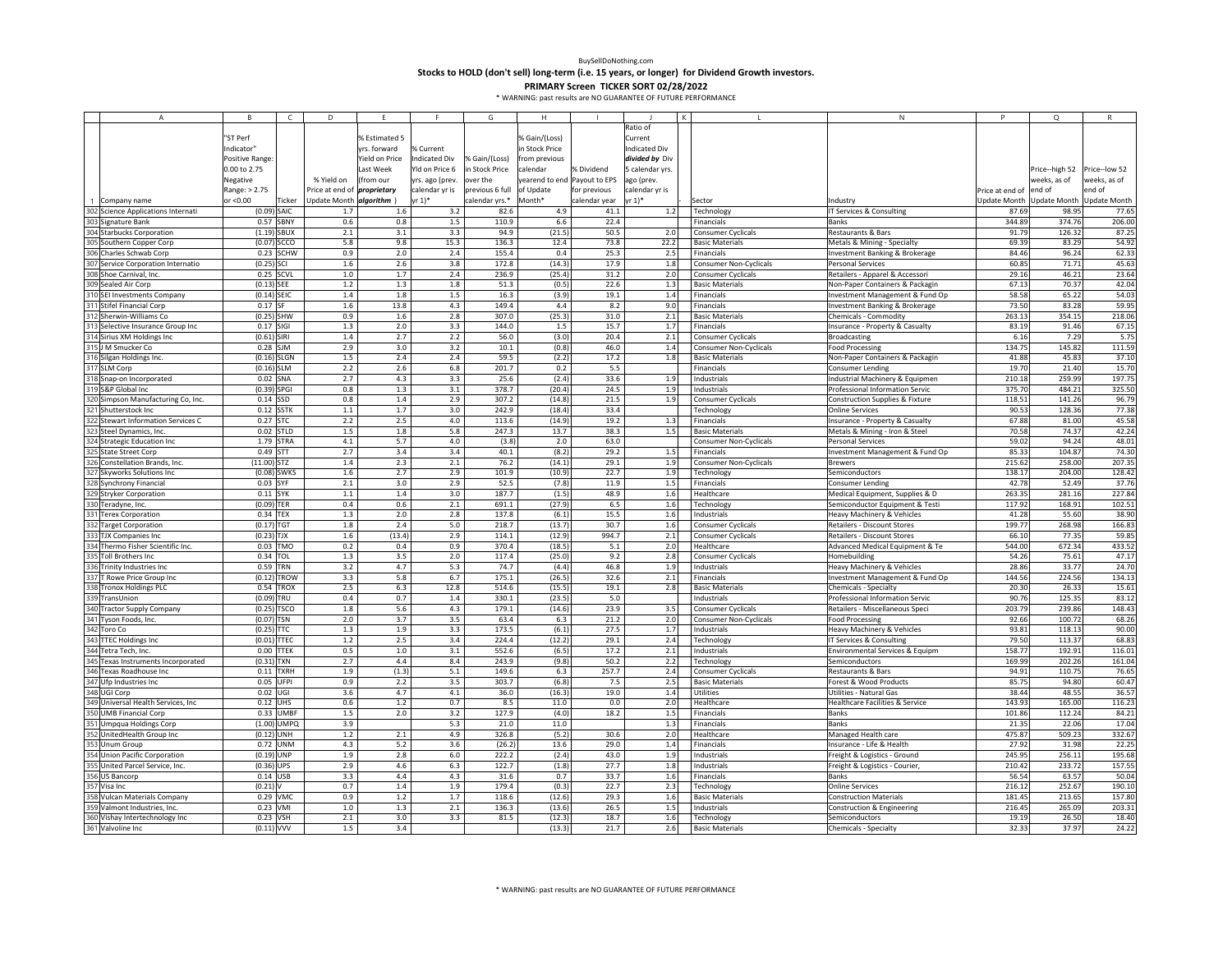**Stocks to HOLD (don't sell) long‐term (i.e. 15 years, or longer) for Dividend Growth investors.**

|     | A                                                                                           | B               | $\epsilon$    | D                                  | F.             | $\mathbf{r}$     | G               | H                            |               |                 |                               | ${\sf N}$                                  |                 | Q              |               |
|-----|---------------------------------------------------------------------------------------------|-----------------|---------------|------------------------------------|----------------|------------------|-----------------|------------------------------|---------------|-----------------|-------------------------------|--------------------------------------------|-----------------|----------------|---------------|
|     |                                                                                             |                 |               |                                    |                |                  |                 |                              |               | Ratio of        |                               |                                            |                 |                |               |
|     |                                                                                             | "ST Perf        |               |                                    | % Estimated 5  |                  |                 | % Gain/(Loss)                |               | Current         |                               |                                            |                 |                |               |
|     |                                                                                             | ndicator"       |               |                                    | yrs. forward   | <b>6 Current</b> |                 | n Stock Price                |               | ndicated Div    |                               |                                            |                 |                |               |
|     |                                                                                             | Positive Range: |               |                                    | field on Price | ndicated Div     | 6 Gain/(Loss)   | from previous                |               | divided by Div  |                               |                                            |                 |                |               |
|     |                                                                                             |                 |               |                                    |                |                  |                 |                              |               |                 |                               |                                            |                 |                |               |
|     |                                                                                             | 0.00 to 2.75    |               |                                    | Last Week      | Yld on Price 6   | in Stock Price  | calendar                     | % Dividend    | 5 calendar yrs. |                               |                                            |                 | Price--high 52 | Price--low 52 |
|     |                                                                                             | Negative        |               | % Yield on                         | (from our      | yrs. ago (prev.  | over the        | yearend to end Payout to EPS |               | ago (prev.      |                               |                                            |                 | veeks, as of   | weeks, as of  |
|     |                                                                                             | Range: > 2.75   |               | Price at end of <i>proprietary</i> |                | calendar yr is   | previous 6 full | of Update                    | for previous  | calendar yr is  |                               |                                            | Price at end of | end of         | end of        |
|     | Company name                                                                                | or <0.00        | Ticker        | Update Month algorithm )           |                | rr 1)*           | calendar yrs.*  | Month*                       | calendar year | yr 1)*          | Sector                        | Industry                                   | Update Month    | Update Month   | Update Month  |
|     | 302 Science Applications Internati                                                          | $(0.09)$ SAIC   |               | 1.7                                | 1.6            | 3.2              | 82.6            | 4.9                          | 41.1          | 1.2             | Technology                    | IT Services & Consulting                   | 87.69           | 98.95          | 77.65         |
|     | 303 Signature Bank                                                                          |                 | 0.57 SBNY     | 0.6                                | 0.8            | 1.5              | 110.9           | 6.6                          | 22.4          |                 | Financials                    | Banks                                      | 344.89          | 374.76         | 206.00        |
|     | 304 Starbucks Corporation                                                                   | $(1.19)$ SBUX   |               | 2.1                                | 3.1            | 3.3              | 94.9            | (21.5)                       | 50.5          | 2.0             | Consumer Cyclicals            | Restaurants & Bars                         | 91.79           | 126.32         | 87.25         |
|     | Southern Copper Corp                                                                        | $(0.07)$ SCCO   |               | 5.8                                | 9.8            | 15.3             | 136.3           | 12.4                         | 73.8          | 22.2            | <b>Basic Materials</b>        | Metals & Mining - Specialty                | 69.39           | 83.29          | 54.92         |
|     | 306 Charles Schwab Corp                                                                     |                 |               |                                    | 2.0            | 2.4              | 155.4           | 0.4                          | 25.3          |                 |                               |                                            | 84.46           | 96.24          | 62.33         |
|     |                                                                                             |                 | 0.23 SCHW     | 0.9                                |                |                  |                 |                              |               | 2.5             | Financials                    | Investment Banking & Brokerage             |                 |                |               |
|     | Service Corporation Internatio                                                              | $(0.25)$ SCI    |               | 1.6                                | 2.6            | 3.8              | 172.8           | (14.3)                       | 17.9          | 1.8             | Consumer Non-Cyclicals        | Personal Services                          | 60.8            | 71.71          | 45.63         |
|     | 307 Service Corporat<br>308 Shoe Carnival, In<br>309 Sealed Air Corp<br>Shoe Carnival, Inc. | 0.25 SCVL       |               | 1.0                                | 1.7            | 2.4              | 236.9           | (25.4)                       | 31.2          | 2.0             | <b>Consumer Cyclicals</b>     | Retailers - Apparel & Accessori            | 29.16           | 46.21          | 23.64         |
|     |                                                                                             | $(0.13)$ SEE    |               | $1.2\,$                            | 1.3            | 1.8              | 51.3            | (0.5)                        | 22.6          | $1.3$           | <b>Basic Materials</b>        | Non-Paper Containers & Packagir            | 67.13           | 70.37          | 42.04         |
|     | 310 SEI Investments Company                                                                 | $(0.14)$ SEIC   |               | $1.4\,$                            | 1.8            | 1.5              | 16.3            | (3.9)                        | 19.1          | 1.4             | Financials                    | Investment Management & Fund Op            | 58.58           | 65.22          | 54.03         |
|     | 311 Stifel Financial Corp                                                                   | 0.17 SF         |               | 1.6                                | 13.8           | 4.3              | 149.4           | 4.4                          | 8.2           | 9.0             | Financials                    | Investment Banking & Brokerage             | 73.50           | 83.28          | 59.95         |
|     | 312 Sherwin-Williams Co                                                                     | $(0.25)$ SHW    |               | 0.9                                | 1.6            | 2.8              | 307.0           | (25.3)                       | 31.0          | 2.1             | <b>Basic Materials</b>        | Chemicals - Commodity                      | 263.13          | 354.15         | 218.06        |
|     | Selective Insurance Group Inc                                                               | 0.17 SIGI       |               | $1.3\,$                            | 2.0            | 3.3              | 144.0           | 1.5                          | 15.7          | 1.7             | Financials                    | Insurance - Property & Casualty            | 83.19           | 91.46          | 67.15         |
|     | Sirius XM Holdings Inc                                                                      | $(0.61)$ SIRI   |               | $1.4$                              | 2.7            | 2.2              | 56.0            | (3.0)                        | 20.4          | 2.1             | Consumer Cyclicals            | <b>Broadcasting</b>                        | 6.16            | 7.29           | 5.75          |
|     | <b>M Smucker Co</b>                                                                         | $0.28$ SJM      |               | 2.9                                | 3.0            | 3.2              | 10.1            | (0.8)                        | 46.0          | 1.4             | <b>Consumer Non-Cyclicals</b> | <b>Food Processing</b>                     | 134.75          | 145.82         | 111.59        |
|     |                                                                                             |                 |               |                                    |                |                  |                 |                              |               |                 |                               |                                            |                 |                |               |
|     | 316 Silgan Holdings Inc.                                                                    | $(0.16)$ SLGN   |               | $1.5$                              | 2.4            | 2.4              | 59.5            | (2.2)                        | 17.2          | 1.8             | <b>Basic Materials</b>        | Non-Paper Containers & Packagin            | 41.88           | 45.83          | 37.10         |
|     | <b>SLM Corp</b>                                                                             | $(0.16)$ SLM    |               | 2.2                                | 2.6            | 6.8              | 201.7           | 0.2                          | 5.5           |                 | Financials                    | <b>Consumer Lending</b>                    | 19.70           | 21.40          | 15.70         |
|     | 318 Snap-on Incorporated                                                                    | $0.02$ SNA      |               | 2.7                                | 4.3            | 3.3              | 25.6            | (2.4)                        | 33.6          | 1.9             | Industrials                   | Industrial Machinery & Equipmen            | 210.18          | 259.99         | 197.75        |
|     | S&P Global Inc                                                                              | $(0.39)$ SPGI   |               | 0.8                                | 1.3            | 3.1              | 378.7           | (20.4)                       | 24.5          | 1.9             | Industrials                   | Professional Information Servic            | 375.7           | 484.21         | 325.50        |
| 320 | Simpson Manufacturing Co, Inc.                                                              | $0.14$ SSD      |               | 0.8                                | 1.4            | 2.9              | 307.2           | (14.8)                       | 21.5          | 1.9             | Consumer Cyclicals            | Construction Supplies & Fixture            | 118.51          | 141.26         | 96.79         |
| 321 | Shutterstock Inc                                                                            | $0.12$ SSTK     |               | $1.1\,$                            | 1.7            | 3.0              | 242.9           | (18.4)                       | 33.4          |                 | Technology                    | <b>Online Services</b>                     | 90.53           | 128.36         | 77.38         |
|     | Stewart Information Services C                                                              | 0.27 STC        |               | 2.2                                | 2.5            | 4.0              | 113.6           | (14.9)                       | 19.2          | 1.3             | Financials                    | Insurance - Property & Casualty            | 67.88           | 81.00          | 45.58         |
|     | Steel Dynamics, Inc.                                                                        | $0.02$ STLD     |               | 1.5                                | 1.8            | 5.8              | 247.3           | 13.7                         | 38.3          | 1.5             | <b>Basic Materials</b>        | Metals & Mining - Iron & Steel             | 70.58           | 74.37          | 42.24         |
|     |                                                                                             | 1.79 STRA       |               | 4.1                                | 5.7            | 4.0              | (3.8)           | 2.0                          | 63.0          |                 | <b>Consumer Non-Cyclicals</b> | Personal Services                          | 59.02           | 94.24          | 48.01         |
|     | <b>Strategic Education Inc</b>                                                              |                 |               |                                    |                |                  |                 |                              |               |                 |                               |                                            |                 | 104.87         |               |
|     | <b>State Street Corp</b>                                                                    | 0.49 STT        |               | 2.7                                | 3.4            | 3.4              | 40.1            | (8.2)                        | 29.2          | 1.5             | Financials                    | Investment Management & Fund Op            | 85.33           |                | 74.30         |
|     | Constellation Brands, Inc.                                                                  | $(11.00)$ STZ   |               | 1.4                                | 2.3            | 2.1              | 76.2            | (14.1)                       | 29.1          | 1.9             | <b>Consumer Non-Cyclicals</b> | <b>Brewers</b>                             | 215.62          | 258.00         | 207.35        |
|     | <b>Skyworks Solutions Inc</b>                                                               | $(0.08)$ SWKS   |               | 1.6                                | 2.7            | 2.9              | 101.9           | (10.9)                       | 22.7          | 1.9             | Technology                    | Semiconductors                             | 138.17          | 204.00         | 128.42        |
|     | 328 Synchrony Financial                                                                     | 0.03 SYF        |               | 2.1                                | 3.0            | 2.9              | 52.5            | (7.8)                        | 11.9          | 1.5             | Financials                    | <b>Consumer Lending</b>                    | 42.78           | 52.49          | 37.76         |
| 329 | <b>Stryker Corporation</b>                                                                  | 0.11 SYK        |               | 1.1                                | 1.4            | 3.0              | 187.7           | (1.5)                        | 48.9          | 1.6             | Healthcare                    | Medical Equipment, Supplies & D            | 263.35          | 281.16         | 227.84        |
|     | Teradyne, Inc.                                                                              | $(0.09)$ TER    |               | 0.4                                | 0.6            | $2.1\,$          | 691.1           | (27.9)                       | 6.5           | 1.6             | Technology                    | Semiconductor Equipment & Testi            | 117.92          | 168.91         | 102.51        |
|     | <b>Terex Corporation</b>                                                                    | 0.34 TEX        |               | $1.3\,$                            | 2.0            | 2.8              | 137.8           | (6.1)                        | 15.5          | 1.6             | Industrials                   | Heavy Machinery & Vehicles                 | 41.28           | 55.60          | 38.90         |
| 332 | <b>Target Corporation</b>                                                                   | $(0.17)$ TGT    |               | $1.8\,$                            | 2.4            | 5.0              | 218.7           | (13.7)                       | 30.7          | 1.6             | <b>Consumer Cyclicals</b>     | Retailers - Discount Stores                | 199.77          | 268.98         | 166.83        |
| 333 | <b>TJX Companies Inc</b>                                                                    | (0.23)          | <b>TJX</b>    | 1.6                                | (13.4)         | 2.9              | 114.1           | (12.9)                       | 994.7         | 2.1             | <b>Consumer Cyclicals</b>     | Retailers - Discount Stores                | 66.10           | 77.35          | 59.85         |
|     |                                                                                             |                 |               |                                    |                |                  |                 |                              |               |                 |                               |                                            | 544.00          | 672.34         |               |
|     | Thermo Fisher Scientific Inc.                                                               | 0.03            | <b>TMO</b>    | 0.2                                | 0.4            | 0.9              | 370.4           | (18.5)                       | 5.1           | 2.0             | Healthcare                    | Advanced Medical Equipment & Te            |                 |                | 433.52        |
|     | <b>Toll Brothers Inc</b>                                                                    | 0.34            | <b>TOL</b>    | $1.3\,$                            | 3.5            | 2.0              | 117.4           | (25.0)                       | 9.2           | 2.8             | Consumer Cyclicals            | Homebuilding                               | 54.26           | 75.61          | 47.17         |
|     | Trinity Industries Inc                                                                      | 0.59 TRN        |               | 3.2                                | 4.7            | 5.3              | 74.7            | (4.4)                        | 46.8          | 1.9             | Industrials                   | Heavy Machinery & Vehicles                 | 28.86           | 33.77          | 24.70         |
|     | T Rowe Price Group Inc                                                                      | (0.12) TROW     |               | 3.3                                | 5.8            | 6.7              | 175.1           | (26.5)                       | 32.6          | 2.1             | Financials                    | Investment Management & Fund Op            | 144.56          | 224.56         | 134.13        |
|     | <b>Tronox Holdings PLC</b>                                                                  |                 | 0.54 TROX     | 2.5                                | 6.3            | 12.8             | 514.6           | (15.5)                       | 19.1          | 2.8             | <b>Basic Materials</b>        | Chemicals - Specialty                      | 20.30           | 26.33          | 15.61         |
|     | TransUnion                                                                                  | $(0.09)$ TRU    |               | 0.4                                | 0.7            | $1.4$            | 330.1           | (23.5)                       | 5.0           |                 | Industrials                   | Professional Information Servic            | 90.76           | 125.35         | 83.12         |
|     | <b>Tractor Supply Company</b>                                                               | $(0.25)$ TSCO   |               | $1.8\,$                            | 5.6            | 4.3              | 179.1           | (14.6)                       | 23.9          | 3.5             | Consumer Cyclicals            | Retailers - Miscellaneous Speci            | 203.79          | 239.86         | 148.43        |
| 341 | Tyson Foods, Inc.                                                                           | (0.07) TSN      |               | 2.0                                | 3.7            | 3.5              | 63.4            | 6.3                          | 21.2          | 2.0             | <b>Consumer Non-Cyclicals</b> | <b>Food Processing</b>                     | 92.66           | 100.72         | 68.26         |
|     | Toro Co                                                                                     | $(0.25)$ TTC    |               | $1.3\,$                            | 1.9            | 3.3              | 173.5           | (6.1)                        | 27.5          | 1.7             | Industrials                   | Heavy Machinery & Vehicles                 | 93.81           | 118.13         | 90.00         |
| 343 | <b>TTEC Holdings Inc</b>                                                                    | $(0.01)$ TTEC   |               | $1.2\,$                            | 2.5            | 3.4              | 224.4           | (12.2)                       | 29.1          | 2.4             | Technology                    | IT Services & Consulting                   | 79.50           | 113.37         | 68.83         |
|     |                                                                                             | 0.00            | <b>TTEK</b>   | 0.5                                | 1.0            | 3.1              | 552.6           | (6.5)                        | 17.2          |                 |                               |                                            | 158.77          | 192.91         | 116.01        |
|     | Fetra Tech, Inc.                                                                            |                 |               |                                    |                |                  |                 |                              |               | 2.1             | Industrials                   | Environmental Services & Equipm            |                 |                |               |
|     | <b>Texas Instruments Incorporated</b>                                                       | (0.31)          | <b>TXN</b>    | 2.7                                | 4.4            | 8.4              | 243.9           | (9.8)                        | 50.2          | 2.2             | Technology                    | Semiconductors                             | 169.99          | 202.26         | 161.04        |
|     | Texas Roadhouse Inc                                                                         | $0.11$ TXRH     |               | 1.9                                | (1.3)          | 5.1              | 149.6           | 6.3                          | 257.7         | 2.4             | <b>Consumer Cyclicals</b>     | <b>Restaurants &amp; Bars</b>              | 94.91           | 110.75         | 76.65         |
| 347 | Ufp Industries Inc                                                                          | 0.05 UFPI       |               | 0.9                                | 2.2            | 3.5              | 303.7           | (6.8)                        | 7.5           | 2.5             | <b>Basic Materials</b>        | Forest & Wood Products                     | 85.75           | 94.80          | 60.47         |
|     | UGI Corp                                                                                    | 0.02 UGI        |               | 3.6                                | 4.7            | $4.1\,$          | 36.0            | (16.3)                       | 19.0          | 1.4             | Utilities                     | Utilities - Natural Gas                    | 38.44           | 48.55          | 36.57         |
|     | Universal Health Services, Inc                                                              | 0.12 UHS        |               | 0.6                                | $1.2$          | 0.7              | 8.5             | 11.0                         | 0.0           | 2.0             | Healthcare                    | <b>Healthcare Facilities &amp; Service</b> | 143.93          | 165.00         | 116.23        |
|     | <b>JMB Financial Corp</b>                                                                   |                 | 0.33 UMBF     | $1.5\,$                            | 2.0            | 3.2              | 127.9           | (4.0)                        | 18.2          | 1.5             | Financials                    | Banks                                      | 101.86          | 112.24         | 84.21         |
|     | <b>Jmpqua Holdings Corp</b>                                                                 |                 | $(1.00)$ UMPQ | 3.9                                |                | 5.3              | 21.0            | 11.0                         |               | 1.3             | Financials                    | Banks                                      | 21.35           | 22.06          | 17.04         |
|     | UnitedHealth Group Inc                                                                      | $(0.12)$ UNH    |               | 1.2                                | 2.1            | 4.9              | 326.8           | (5.2)                        | 30.6          | 2.0             | Healthcare                    | Managed Health care                        | 475.87          | 509.23         | 332.67        |
|     | Jnum Group                                                                                  | 0.72 UNM        |               | 4.3                                | 5.2            | 3.6              | (26.2)          | 13.6                         | 29.0          | 1.4             | Financials                    | Insurance - Life & Health                  | 27.92           | 31.98          | 22.25         |
|     |                                                                                             |                 |               |                                    |                |                  |                 |                              |               |                 |                               |                                            |                 |                |               |
|     | <b>Jnion Pacific Corporation</b>                                                            | $(0.19)$ UNP    |               | 1.9                                | 2.8            | 6.0              | 222.2           | (2.4)                        | 43.0          | 1.9             | Industrials                   | Freight & Logistics - Ground               | 245.95          | 256.11         | 195.68        |
| 355 | United Parcel Service, Inc.                                                                 | $(0.36)$ UPS    |               | 2.9                                | 4.6            | 6.3              | 122.7           | (1.8)                        | 27.7          | 1.8             | Industrials                   | Freight & Logistics - Courier,             | 210.42          | 233.72         | 157.55        |
|     | JS Bancorp                                                                                  | $0.14$ USB      |               | 3.3                                | 4.4            | 4.3              | 31.6            | 0.7                          | 33.7          | 1.6             | Financials                    | <b>Banks</b>                               | 56.54           | 63.57          | 50.04         |
| 357 | Visa Inc                                                                                    | (0.21)          |               | 0.7                                | 1.4            | 1.9              | 179.4           | (0.3)                        | 22.7          | 2.3             | Technology                    | <b>Online Services</b>                     | 216.12          | 252.67         | 190.10        |
| 358 | <b>Vulcan Materials Company</b>                                                             | 0.29 VMC        |               | 0.9                                | $1.2$          | $1.7\,$          | 118.6           | (12.6)                       | 29.3          | 1.6             | <b>Basic Materials</b>        | <b>Construction Materials</b>              | 181.45          | 213.65         | 157.80        |
| 359 | Valmont Industries, Inc.                                                                    | 0.23 VMI        |               | $1.0$                              | 1.3            | 2.1              | 136.3           | (13.6)                       | 26.5          | 1.5             | Industrials                   | Construction & Engineering                 | 216.45          | 265.09         | 203.31        |
|     | Vishay Intertechnology Inc                                                                  | 0.23 VSH        |               | 2.1                                | 3.0            | 3.3              | 81.5            | (12.3)                       | 18.7          | 1.6             | Technology                    | Semiconductors                             | 19.19           | 26.50          | 18.40         |
|     | 361 Valvoline Inc                                                                           | $(0.11)$ VVV    |               | 1.5                                | 3.4            |                  |                 | (13.3)                       | 21.7          | 2.6             | <b>Basic Materials</b>        | Chemicals - Specialty                      | 32.33           | 37.97          | 24.22         |
|     |                                                                                             |                 |               |                                    |                |                  |                 |                              |               |                 |                               |                                            |                 |                |               |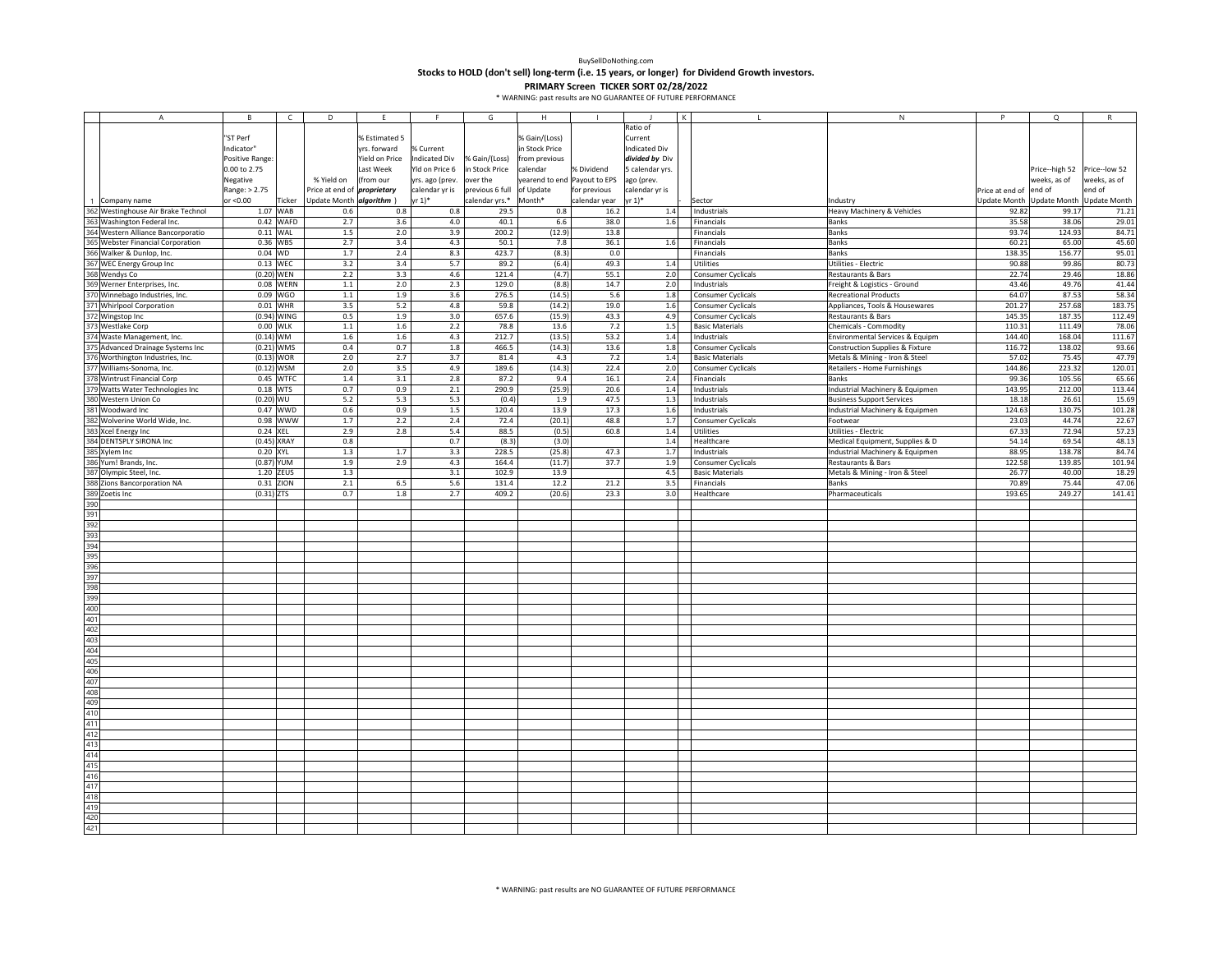**Stocks to HOLD (don't sell) long‐term (i.e. 15 years, or longer) for Dividend Growth investors.**

| $\mathsf{A}$                        | В               | $\mathsf{C}$  | D                                  | F              | F                    | G               | H                            |               |                      |                        | ${\sf N}$                        | P               | Q             | R                   |
|-------------------------------------|-----------------|---------------|------------------------------------|----------------|----------------------|-----------------|------------------------------|---------------|----------------------|------------------------|----------------------------------|-----------------|---------------|---------------------|
|                                     |                 |               |                                    |                |                      |                 |                              |               | Ratio of             |                        |                                  |                 |               |                     |
|                                     | "ST Perf        |               |                                    | % Estimated 5  |                      |                 | % Gain/(Loss)                |               | Current              |                        |                                  |                 |               |                     |
|                                     | Indicator"      |               |                                    | yrs. forward   | % Current            |                 | in Stock Price               |               | <b>Indicated Div</b> |                        |                                  |                 |               |                     |
|                                     |                 |               |                                    |                |                      |                 |                              |               |                      |                        |                                  |                 |               |                     |
|                                     | Positive Range: |               |                                    | Yield on Price | <b>Indicated Div</b> | % Gain/(Loss)   | from previous                |               | divided by Div       |                        |                                  |                 |               |                     |
|                                     | 0.00 to 2.75    |               |                                    | Last Week      | Yld on Price 6       | in Stock Price  | calendar                     | % Dividend    | 5 calendar yrs.      |                        |                                  |                 | Price-high 52 | Price--low 52       |
|                                     | Negative        |               | % Yield on                         | (from our      | yrs. ago (prev.      | over the        | yearend to end Payout to EPS |               | ago (prev.           |                        |                                  |                 | veeks, as of  | veeks, as of        |
|                                     | Range: > 2.75   |               | Price at end of <i>proprietary</i> |                | calendar yr is       | previous 6 full | of Update                    | for previous  | calendar yr is       |                        |                                  | Price at end of | end of        | end of              |
| Company name                        | or <0.00        | Ticker        | Update Month <i>algorithm</i> )    |                | r 1)*                | calendar yrs.*  | Month*                       | calendar year | yr 1)*               | Sector                 | Industry                         | Update Month    | Update Month  | <b>Update Month</b> |
| 362 Westinghouse Air Brake Technol  |                 | 1.07 WAB      | 0.6                                | 0.8            | 0.8                  | 29.5            | 0.8                          | 16.2          | 1.4                  | Industrials            | Heavy Machinery & Vehicles       | 92.82           | 99.17         | 71.21               |
| 363 Washington Federal Inc.         |                 | 0.42 WAFD     | 2.7                                | 3.6            | 4.0                  | 40.1            | 6.6                          | 38.0          | 1.6                  | Financials             | Banks                            | 35.58           | 38.06         | 29.01               |
| 364 Western Alliance Bancorporatio  | $0.11$ WAL      |               | $1.5\,$                            | 2.0            | 3.9                  | 200.2           | (12.9)                       | 13.8          |                      | Financials             | <b>Banks</b>                     | 93.74           | 124.93        | 84.71               |
| 365 Webster Financial Corporation   | 0.36 WBS        |               | 2.7                                | 3.4            | 4.3                  | 50.1            | 7.8                          | 36.1          | 1.6                  | Financials             | Banks                            | 60.21           | 65.00         | 45.60               |
| 366 Walker & Dunlop, Inc.           | 0.04 WD         |               | 1.7                                | 2.4            | 8.3                  | 423.7           | (8.3)                        | 0.0           |                      | Financials             | Banks                            | 138.35          | 156.77        | 95.01               |
| 367                                 | 0.13 WEC        |               | 3.2                                | 3.4            | 5.7                  | 89.2            |                              | 49.3          |                      | Utilities              | <b>Utilities - Electric</b>      | 90.88           | 99.86         | 80.73               |
| WEC Energy Group Inc                |                 |               |                                    |                |                      |                 | (6.4)                        |               | 1.4                  |                        |                                  |                 |               |                     |
| 368 Wendys Co                       | $(0.20)$ WEN    |               | 2.2                                | 3.3            | 4.6                  | 121.4           | (4.7)                        | 55.1          | 2.0                  | Consumer Cyclicals     | Restaurants & Bars               | 22.74           | 29.46         | 18.86               |
| 369 Werner Enterprises, Inc.        |                 | 0.08 WERN     | $1.1\,$                            | 2.0            | 2.3                  | 129.0           | (8.8)                        | 14.7          | 2.0                  | Industrials            | Freight & Logistics - Ground     | 43.46           | 49.76         | 41.44               |
| 370 Winnebago Industries, Inc.      |                 | 0.09 WGO      | $1.1\,$                            | 1.9            | 3.6                  | 276.5           | (14.5)                       | $5.6\,$       | 1.8                  | Consumer Cyclicals     | <b>Recreational Products</b>     | 64.07           | 87.53         | 58.34               |
| <b>Whirlpool Corporation</b>        |                 | $0.01$ WHR    | 3.5                                | 5.2            | 4.8                  | 59.8            | (14.2)                       | 19.0          | 1.6                  | Consumer Cyclicals     | Appliances, Tools & Housewares   | 201.27          | 257.68        | 183.75              |
| 372 Wingstop Inc                    |                 | $(0.94)$ WING | 0.5                                | 1.9            | 3.0                  | 657.6           | (15.9)                       | 43.3          | 4.9                  | Consumer Cyclicals     | Restaurants & Bars               | 145.35          | 187.35        | 112.49              |
| <b>Westlake Corp</b>                | 0.00 WLK        |               | 1.1                                | 1.6            | 2.2                  | 78.8            | 13.6                         | 7.2           | 1.5                  | <b>Basic Materials</b> | Chemicals - Commodity            | 110.31          | 111.49        | 78.06               |
| Waste Management, Inc.              | $(0.14)$ WM     |               | 1.6                                | 1.6            | 4.3                  | 212.7           | (13.5)                       | 53.2          | 1.4                  | Industrials            | Environmental Services & Equipm  | 144.40          | 168.04        | 111.67              |
| 375 Advanced Drainage Systems Inc   | $(0.21)$ WMS    |               | 0.4                                | 0.7            | 1.8                  | 466.5           | (14.3)                       | 13.6          | 1.8                  | Consumer Cyclicals     | Construction Supplies & Fixture  | 116.72          | 138.02        | 93.66               |
| 376 Worthington Industries, Inc.    | $(0.13)$ WOR    |               | 2.0                                | 2.7            | 3.7                  | 81.4            | 4.3                          | 7.2           | 1.4                  | <b>Basic Materials</b> | Metals & Mining - Iron & Steel   | 57.02           | 75.45         | 47.79               |
|                                     |                 |               | 2.0                                | 3.5            | 4.9                  |                 | (14.3)                       |               |                      |                        |                                  | 144.86          | 223.32        |                     |
| 377 Williams-Sonoma, Inc.           | $(0.12)$ WSM    |               |                                    |                |                      | 189.6           |                              | 22.4          | 2.0                  | Consumer Cyclicals     | Retailers - Home Furnishings     |                 |               | 120.01              |
| 378 Wintrust Financial Corp         |                 | 0.45 WTFC     | $1.4\,$                            | 3.1            | 2.8                  | 87.2            | 9.4                          | 16.1          | 2.4                  | Financials             | <b>Banks</b>                     | 99.36           | 105.56        | 65.66               |
| 379<br>Watts Water Technologies Inc | 0.18 WTS        |               | 0.7                                | 0.9            | 2.1                  | 290.9           | (25.9)                       | 20.6          | 1.4                  | Industrials            | Industrial Machinery & Equipmen  | 143.95          | 212.00        | 113.44              |
| 380 Western Union Co                | $(0.20)$ WU     |               | 5.2                                | 5.3            | 5.3                  | (0.4)           | 1.9                          | 47.5          | 1.3                  | Industrials            | <b>Business Support Services</b> | 18.18           | 26.61         | 15.69               |
| 381<br>Woodward Inc                 |                 | 0.47 WWD      | 0.6                                | 0.9            | 1.5                  | 120.4           | 13.9                         | 17.3          | 1.6                  | Industrials            | Industrial Machinery & Equipmen  | 124.63          | 130.75        | 101.28              |
| Wolverine World Wide, Inc.          |                 | 0.98 WWW      | 1.7                                | 2.2            | 2.4                  | 72.4            | (20.1)                       | 48.8          | $1.7\,$              | Consumer Cyclicals     | Footwear                         | 23.03           | 44.74         | 22.67               |
| 383 Xcel Energy Inc                 | 0.24 XEL        |               | 2.9                                | 2.8            | 5.4                  | 88.5            | (0.5)                        | 60.8          | 1.4                  | Utilities              | <b>Utilities - Electric</b>      | 67.33           | 72.94         | 57.23               |
| 384 DENTSPLY SIRONA Inc             | (0.45) XRAY     |               | 0.8                                |                | 0.7                  | (8.3)           | (3.0)                        |               | 1.4                  | Healthcare             | Medical Equipment, Supplies & D  | 54.14           | 69.54         | 48.13               |
| 385 Xylem Inc                       | 0.20 XYL        |               | 1.3                                | 1.7            | 3.3                  | 228.5           | (25.8)                       | 47.3          | 1.7                  | Industrials            | Industrial Machinery & Equipmen  | 88.95           | 138.78        | 84.74               |
| 386 Yum! Brands, Inc.               | (0.87) YUM      |               | 1.9                                | 2.9            | 4.3                  | 164.4           | (11.7)                       | 37.7          | 1.9                  | Consumer Cyclicals     | Restaurants & Bars               | 122.58          | 139.85        | 101.94              |
| 387                                 |                 | 1.20 ZEUS     |                                    |                |                      | 102.9           |                              |               | 4.5                  |                        |                                  | 26.77           | 40.00         | 18.29               |
| Olympic Steel, Inc.                 |                 |               | 1.3                                |                | 3.1                  |                 | 13.9                         |               |                      | <b>Basic Materials</b> | Metals & Mining - Iron & Steel   |                 |               |                     |
| 388 Zions Bancorporation NA         | 0.31 ZION       |               | 2.1                                | 6.5            | 5.6                  | 131.4           | 12.2                         | 21.2          | 3.5                  | Financials             | <b>Banks</b>                     | 70.89           | 75.44         | 47.06               |
| 389 Zoetis Inc                      | $(0.31)$ ZTS    |               | 0.7                                | $1.8\,$        | 2.7                  | 409.2           | (20.6)                       | 23.3          | 3.0                  | Healthcare             | Pharmaceuticals                  | 193.65          | 249.27        | 141.41              |
| 390<br>391                          |                 |               |                                    |                |                      |                 |                              |               |                      |                        |                                  |                 |               |                     |
|                                     |                 |               |                                    |                |                      |                 |                              |               |                      |                        |                                  |                 |               |                     |
| 392                                 |                 |               |                                    |                |                      |                 |                              |               |                      |                        |                                  |                 |               |                     |
| 393                                 |                 |               |                                    |                |                      |                 |                              |               |                      |                        |                                  |                 |               |                     |
| 394                                 |                 |               |                                    |                |                      |                 |                              |               |                      |                        |                                  |                 |               |                     |
| 395                                 |                 |               |                                    |                |                      |                 |                              |               |                      |                        |                                  |                 |               |                     |
| 396                                 |                 |               |                                    |                |                      |                 |                              |               |                      |                        |                                  |                 |               |                     |
| 397                                 |                 |               |                                    |                |                      |                 |                              |               |                      |                        |                                  |                 |               |                     |
| 398                                 |                 |               |                                    |                |                      |                 |                              |               |                      |                        |                                  |                 |               |                     |
| 399                                 |                 |               |                                    |                |                      |                 |                              |               |                      |                        |                                  |                 |               |                     |
|                                     |                 |               |                                    |                |                      |                 |                              |               |                      |                        |                                  |                 |               |                     |
| 400                                 |                 |               |                                    |                |                      |                 |                              |               |                      |                        |                                  |                 |               |                     |
| 401                                 |                 |               |                                    |                |                      |                 |                              |               |                      |                        |                                  |                 |               |                     |
| 402                                 |                 |               |                                    |                |                      |                 |                              |               |                      |                        |                                  |                 |               |                     |
| 403                                 |                 |               |                                    |                |                      |                 |                              |               |                      |                        |                                  |                 |               |                     |
| 404                                 |                 |               |                                    |                |                      |                 |                              |               |                      |                        |                                  |                 |               |                     |
| 405                                 |                 |               |                                    |                |                      |                 |                              |               |                      |                        |                                  |                 |               |                     |
| 406                                 |                 |               |                                    |                |                      |                 |                              |               |                      |                        |                                  |                 |               |                     |
| 407                                 |                 |               |                                    |                |                      |                 |                              |               |                      |                        |                                  |                 |               |                     |
| 408                                 |                 |               |                                    |                |                      |                 |                              |               |                      |                        |                                  |                 |               |                     |
|                                     |                 |               |                                    |                |                      |                 |                              |               |                      |                        |                                  |                 |               |                     |
| 409<br>410                          |                 |               |                                    |                |                      |                 |                              |               |                      |                        |                                  |                 |               |                     |
|                                     |                 |               |                                    |                |                      |                 |                              |               |                      |                        |                                  |                 |               |                     |
| 411                                 |                 |               |                                    |                |                      |                 |                              |               |                      |                        |                                  |                 |               |                     |
| 412                                 |                 |               |                                    |                |                      |                 |                              |               |                      |                        |                                  |                 |               |                     |
| 413                                 |                 |               |                                    |                |                      |                 |                              |               |                      |                        |                                  |                 |               |                     |
| 414                                 |                 |               |                                    |                |                      |                 |                              |               |                      |                        |                                  |                 |               |                     |
| 415                                 |                 |               |                                    |                |                      |                 |                              |               |                      |                        |                                  |                 |               |                     |
| 416                                 |                 |               |                                    |                |                      |                 |                              |               |                      |                        |                                  |                 |               |                     |
| 417                                 |                 |               |                                    |                |                      |                 |                              |               |                      |                        |                                  |                 |               |                     |
| 418                                 |                 |               |                                    |                |                      |                 |                              |               |                      |                        |                                  |                 |               |                     |
| 419                                 |                 |               |                                    |                |                      |                 |                              |               |                      |                        |                                  |                 |               |                     |
| 420                                 |                 |               |                                    |                |                      |                 |                              |               |                      |                        |                                  |                 |               |                     |
| 421                                 |                 |               |                                    |                |                      |                 |                              |               |                      |                        |                                  |                 |               |                     |
|                                     |                 |               |                                    |                |                      |                 |                              |               |                      |                        |                                  |                 |               |                     |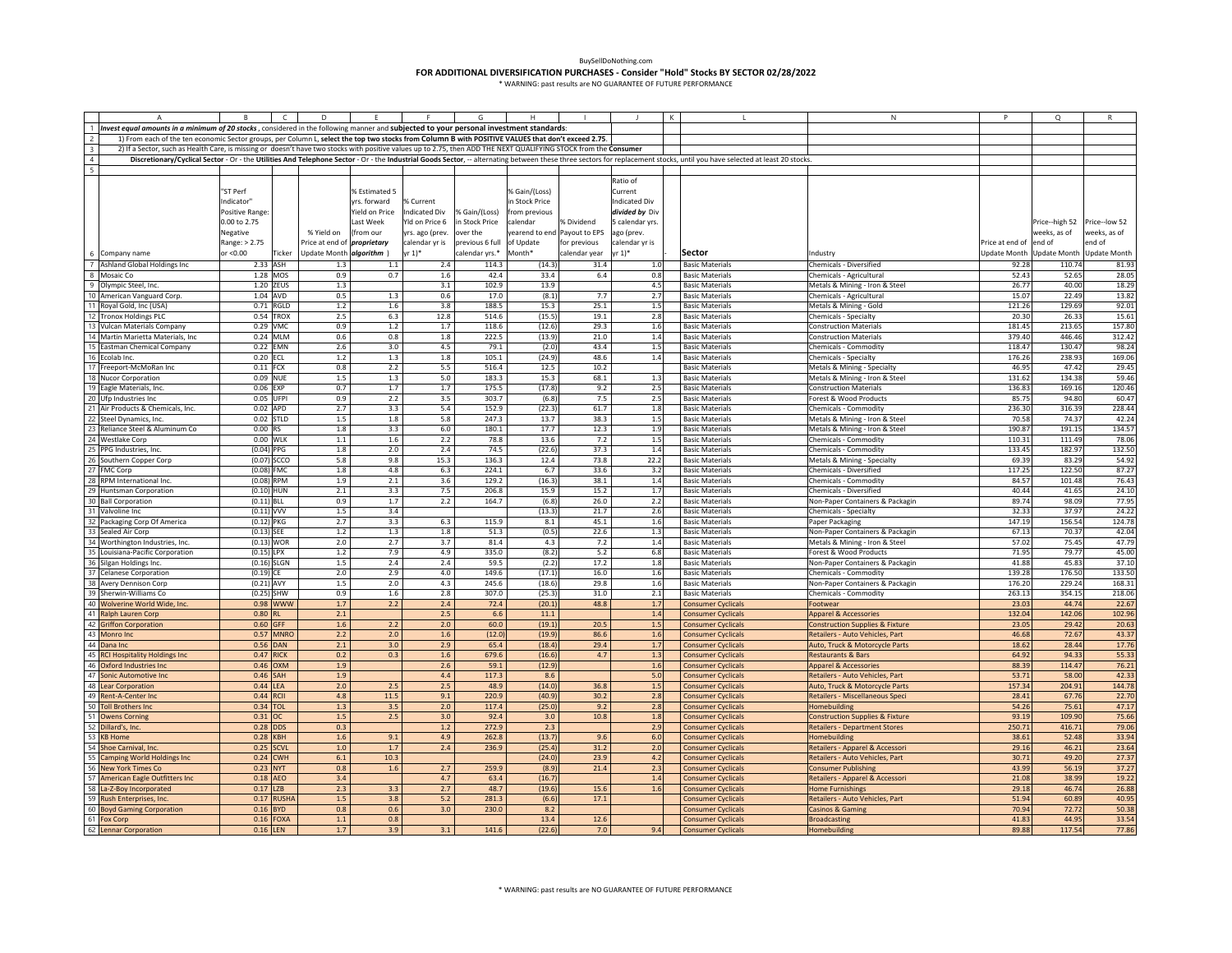|                          |                                                                                                                                                                  |                | $\mathsf{C}$     | D                                  |                |                     |                           |                              |               |                    |         |                                                                                                                                                                                                                            | N                                          | P                      | $\circ$                   |                     |
|--------------------------|------------------------------------------------------------------------------------------------------------------------------------------------------------------|----------------|------------------|------------------------------------|----------------|---------------------|---------------------------|------------------------------|---------------|--------------------|---------|----------------------------------------------------------------------------------------------------------------------------------------------------------------------------------------------------------------------------|--------------------------------------------|------------------------|---------------------------|---------------------|
|                          | 1 Invest equal amounts in a minimum of 20 stocks, considered in the following manner and subjected to your personal investment standards:                        |                |                  |                                    |                |                     |                           |                              |               |                    |         |                                                                                                                                                                                                                            |                                            |                        |                           |                     |
|                          | 1) From each of the ten economic Sector groups, per Column L, select the top two stocks from Column B with POSITIVE VALUES that don't exceed 2.75.               |                |                  |                                    |                |                     |                           |                              |               |                    |         |                                                                                                                                                                                                                            |                                            |                        |                           |                     |
|                          |                                                                                                                                                                  |                |                  |                                    |                |                     |                           |                              |               |                    |         |                                                                                                                                                                                                                            |                                            |                        |                           |                     |
| 3                        | 2) If a Sector, such as Health Care, is missing or doesn't have two stocks with positive values up to 2.75, then ADD THE NEXT QUALIFYING STOCK from the Consumer |                |                  |                                    |                |                     |                           |                              |               |                    |         |                                                                                                                                                                                                                            |                                            |                        |                           |                     |
| $\overline{4}$           |                                                                                                                                                                  |                |                  |                                    |                |                     |                           |                              |               |                    |         | Discretionary/Cyclical Sector - Or - the Utilities And Telephone Sector - Or - the Industrial Goods Sector, -- alternating between these three sectors for replacement stocks, until you have selected at least 20 stocks. |                                            |                        |                           |                     |
| $\overline{\phantom{a}}$ |                                                                                                                                                                  |                |                  |                                    |                |                     |                           |                              |               |                    |         |                                                                                                                                                                                                                            |                                            |                        |                           |                     |
|                          |                                                                                                                                                                  |                |                  |                                    |                |                     |                           |                              |               | Ratio of           |         |                                                                                                                                                                                                                            |                                            |                        |                           |                     |
|                          |                                                                                                                                                                  | 'ST Perf       |                  |                                    | % Estimated 5  |                     |                           | % Gain/(Loss)                |               | Current            |         |                                                                                                                                                                                                                            |                                            |                        |                           |                     |
|                          |                                                                                                                                                                  | Indicator"     |                  |                                    | yrs. forward   | % Current           |                           | n Stock Price                |               | Indicated Div      |         |                                                                                                                                                                                                                            |                                            |                        |                           |                     |
|                          |                                                                                                                                                                  | Positive Range |                  |                                    | Yield on Price | Indicated Div       | % Gain/(Loss)             | rom previous                 |               | divided by Div     |         |                                                                                                                                                                                                                            |                                            |                        |                           |                     |
|                          |                                                                                                                                                                  | 0.00 to 2.75   |                  |                                    | Last Week      | Yld on Price 6      | in Stock Price            | calendar                     | % Dividend    | 5 calendar yrs.    |         |                                                                                                                                                                                                                            |                                            |                        | Price--high 52            | Price--low 52       |
|                          |                                                                                                                                                                  | Negative       |                  | % Yield on                         | (from our      | yrs. ago (prev.     | over the                  | yearend to end Payout to EPS |               | ago (prev.         |         |                                                                                                                                                                                                                            |                                            |                        | weeks, as of              | veeks, as of        |
|                          |                                                                                                                                                                  | Range: > 2.75  |                  | Price at end of <i>proprietary</i> |                | calendar yr is      | previous 6 full of Update |                              | for previous  | calendar yr is     |         |                                                                                                                                                                                                                            |                                            | Price at end of end of |                           | end of              |
|                          |                                                                                                                                                                  |                |                  |                                    |                |                     |                           |                              |               |                    |         |                                                                                                                                                                                                                            |                                            |                        |                           |                     |
|                          | 6 Company name                                                                                                                                                   | or <0.00       | Ticker           | Update Month algorithm )           |                | $\mathsf{vr}\,1)^*$ | calendar yrs.*            | Month*                       | calendar year | $r 1$ <sup>*</sup> |         | Sector                                                                                                                                                                                                                     | Industry                                   |                        | Update Month Update Month | <b>Update Month</b> |
|                          | 7 Ashland Global Holdings Inc                                                                                                                                    | 2.33 ASH       |                  | 1.3                                | 1.1            | 2.4                 | 114.3                     | (14.3)                       | 31.4          |                    | $1.0$   | <b>Basic Materials</b>                                                                                                                                                                                                     | Chemicals - Diversified                    | 92.28                  | 110.74                    | 81.93               |
|                          | 8 Mosaic Co                                                                                                                                                      |                | 1.28 MOS         | 0.9                                | 0.7            | 1.6                 | 42.4                      | 33.4                         | 6.4           |                    | 0.8     | <b>Basic Materials</b>                                                                                                                                                                                                     | Chemicals - Agricultural                   | 52.43                  | 52.65                     | 28.05               |
|                          | 9 Olympic Steel, Inc.                                                                                                                                            |                | 1.20 ZEUS        | $1.3\,$                            |                | 3.1                 | 102.9                     | 13.9                         |               |                    | 4.5     | <b>Basic Materials</b>                                                                                                                                                                                                     | Metals & Mining - Iron & Steel             | 26.77                  | 40.00                     | 18.29               |
|                          | 10 American Vanguard Corp.                                                                                                                                       | 1.04 AVD       |                  | 0.5                                | $1.3$          | 0.6                 | 17.0                      | (8.1)                        | 7.7           |                    | 2.7     | <b>Basic Materials</b>                                                                                                                                                                                                     | Chemicals - Agricultural                   | 15.07                  | 22.49                     | 13.82               |
|                          | 11 Royal Gold, Inc (USA)                                                                                                                                         |                | 0.71 RGLD        | 1.2                                | 1.6            | 3.8                 | 188.5                     | 15.3                         | 25.1          |                    | 1.5     | <b>Basic Materials</b>                                                                                                                                                                                                     | Metals & Mining - Gold                     | 121.26                 | 129.69                    | 92.01               |
|                          | 12 Tronox Holdings PLC                                                                                                                                           |                | 0.54 TROX        | 2.5                                | 6.3            | 12.8                | 514.6                     | (15.5)                       | 19.1          |                    | 2.8     | <b>Basic Materials</b>                                                                                                                                                                                                     | Chemicals - Specialty                      | 20.30                  | 26.33                     | 15.61               |
| 13                       | Vulcan Materials Company                                                                                                                                         | 0.29 VMC       |                  | 0.9                                | $1.2\,$        | 1.7                 | 118.6                     | (12.6)                       | 29.3          |                    | 1.6     | <b>Basic Materials</b>                                                                                                                                                                                                     | Construction Materials                     | 181.45                 | 213.65                    | 157.80              |
|                          | Martin Marietta Materials, Inc.                                                                                                                                  |                | 0.24 MLM         | 0.6                                | 0.8            | $1.8\,$             | 222.5                     | (13.9)                       | 21.0          |                    | 1.4     | <b>Basic Materials</b>                                                                                                                                                                                                     | <b>Construction Materials</b>              | 379.40                 | 446.46                    | 312.42              |
|                          |                                                                                                                                                                  |                | 0.22 EMN         |                                    | 3.0            |                     |                           |                              | 43.4          |                    |         |                                                                                                                                                                                                                            |                                            |                        | 130.47                    |                     |
|                          | 15 Eastman Chemical Company                                                                                                                                      |                |                  | $2.6\,$                            |                | 4.5                 | 79.1                      | (2.0)                        |               |                    | $1.5\,$ | <b>Basic Materials</b>                                                                                                                                                                                                     | Chemicals - Commodity                      | 118.47                 |                           | 98.24               |
|                          | 16 Ecolab Inc.                                                                                                                                                   | 0.20 ECL       |                  | 1.2                                | 1.3            | 1.8                 | 105.1                     | (24.9)                       | 48.6          |                    | 1.4     | <b>Basic Materials</b>                                                                                                                                                                                                     | Chemicals - Specialty                      | 176.26                 | 238.93                    | 169.06              |
|                          | 17 Freeport-McMoRan Inc                                                                                                                                          | $0.11$ FCX     |                  | 0.8                                | 2.2            | 5.5                 | 516.4                     | 12.5                         | 10.2          |                    |         | <b>Basic Materials</b>                                                                                                                                                                                                     | Metals & Mining - Specialty                | 46.95                  | 47.42                     | 29.45               |
|                          | 18 Nucor Corporation                                                                                                                                             | 0.09 NUE       |                  | 1.5                                | 1.3            | 5.0                 | 183.3                     | 15.3                         | 68.1          |                    | 1.3     | <b>Basic Materials</b>                                                                                                                                                                                                     | Metals & Mining - Iron & Steel             | 131.62                 | 134.38                    | 59.46               |
|                          | 19 Eagle Materials, Inc.                                                                                                                                         | $0.06$ EXP     |                  | 0.7                                | 1.7            | 1.7                 | 175.5                     | (17.8)                       | 9.2           |                    | 2.5     | <b>Basic Materials</b>                                                                                                                                                                                                     | <b>Construction Materials</b>              | 136.83                 | 169.16                    | 120.46              |
| 20                       | Ufp Industries Inc                                                                                                                                               | 0.05           | UFPI             | 0.9                                | 2.2            | 3.5                 | 303.7                     | (6.8)                        | 7.5           |                    | 2.5     | <b>Basic Materials</b>                                                                                                                                                                                                     | Forest & Wood Products                     | 85.75                  | 94.80                     | 60.47               |
|                          | 21 Air Products & Chemicals, Inc.                                                                                                                                | 0.02           | APD              | 2.7                                | 3.3            | 5.4                 | 152.9                     | (22.3)                       | 61.7          |                    | 1.8     | <b>Basic Materials</b>                                                                                                                                                                                                     | Chemicals - Commodity                      | 236.30                 | 316.39                    | 228.44              |
| 22                       | Steel Dynamics, Inc.                                                                                                                                             | 0.02           | <b>STLD</b>      | 1.5                                | 1.8            | 5.8                 | 247.3                     | 13.7                         | 38.3          |                    | 1.5     | <b>Basic Materials</b>                                                                                                                                                                                                     | Metals & Mining - Iron & Steel             | 70.58                  | 74.37                     | 42.24               |
| 23                       | Reliance Steel & Aluminum Co                                                                                                                                     | 0.00           | <b>RS</b>        | 1.8                                | 3.3            | 6.0                 | 180.1                     | 17.7                         | 12.3          |                    | 1.9     | <b>Basic Materials</b>                                                                                                                                                                                                     | Metals & Mining - Iron & Steel             | 190.87                 | 191.15                    | 134.57              |
|                          | 24 Westlake Corp                                                                                                                                                 | 0.00 WLK       |                  | 1.1                                | 1.6            | 2.2                 | 78.8                      | 13.6                         | 7.2           |                    | 1.5     | <b>Basic Materials</b>                                                                                                                                                                                                     | Chemicals - Commodity                      | 110.31                 | 111.49                    | 78.06               |
|                          | 25 PPG Industries, Inc.                                                                                                                                          | $(0.04)$ PPG   |                  | 1.8                                | 2.0            | 2.4                 | 74.5                      | (22.6)                       | 37.3          |                    | 1.4     | <b>Basic Materials</b>                                                                                                                                                                                                     | Chemicals - Commodity                      | 133.45                 | 182.97                    | 132.50              |
|                          |                                                                                                                                                                  |                |                  | 5.8                                |                |                     | 136.3                     | 12.4                         | 73.8          |                    |         | <b>Basic Materials</b>                                                                                                                                                                                                     |                                            |                        | 83.29                     | 54.92               |
|                          | 26 Southern Copper Corp                                                                                                                                          | $(0.07)$ SCCO  |                  |                                    | 9.8            | 15.3                |                           |                              |               |                    | 22.2    |                                                                                                                                                                                                                            | Metals & Mining - Specialty                | 69.39                  |                           |                     |
|                          | 27 FMC Corp                                                                                                                                                      | $(0.08)$ FMC   |                  | 1.8                                | 4.8            | 6.3                 | 224.1                     | 6.7                          | 33.6          |                    | 3.2     | <b>Basic Materials</b>                                                                                                                                                                                                     | Chemicals - Diversified                    | 117.25                 | 122.50                    | 87.27               |
|                          | 28 RPM International Inc.                                                                                                                                        | $(0.08)$ RPM   |                  | 1.9                                | 2.1            | 3.6                 | 129.2                     | (16.3)                       | 38.1          |                    | 1.4     | <b>Basic Materials</b>                                                                                                                                                                                                     | Chemicals - Commodity                      | 84.57                  | 101.48                    | 76.43               |
| 29                       | Huntsman Corporation                                                                                                                                             | $(0.10)$ HUN   |                  | 2.1                                | 3.3            | 7.5                 | 206.8                     | 15.9                         | 15.2          |                    | 1.7     | <b>Basic Materials</b>                                                                                                                                                                                                     | Chemicals - Diversified                    | 40.44                  | 41.65                     | 24.10               |
|                          | 30 Ball Corporation                                                                                                                                              | $(0.11)$ BLL   |                  | 0.9                                | 1.7            | 2.2                 | 164.7                     | (6.8)                        | 26.0          |                    | 2.2     | <b>Basic Materials</b>                                                                                                                                                                                                     | Non-Paper Containers & Packagin            | 89.74                  | 98.09                     | 77.95               |
|                          | 31 Valvoline Inc                                                                                                                                                 | $(0.11)$ VVV   |                  | 1.5                                | 3.4            |                     |                           | (13.3)                       | 21.7          |                    | 2.6     | <b>Basic Materials</b>                                                                                                                                                                                                     | Chemicals - Specialty                      | 32.33                  | 37.97                     | 24.27               |
|                          | 32 Packaging Corp Of America                                                                                                                                     | $(0.12)$ PKG   |                  | 2.7                                | 3.3            | 6.3                 | 115.9                     | 8.1                          | 45.1          |                    | 1.6     | <b>Basic Materials</b>                                                                                                                                                                                                     | Paper Packaging                            | 147.19                 | 156.54                    | 124.78              |
|                          | 33 Sealed Air Corp                                                                                                                                               | $(0.13)$ SEE   |                  | $1.2$                              | $1.3\,$        | $1.8\,$             | 51.3                      | (0.5)                        | 22.6          |                    | 1.3     | <b>Basic Materials</b>                                                                                                                                                                                                     | Non-Paper Containers & Packagin            | 67.13                  | 70.37                     | 42.04               |
|                          | 34 Worthington Industries, Inc.                                                                                                                                  | $(0.13)$ WOR   |                  | 2.0                                | 2.7            | 3.7                 | 81.4                      | 4.3                          | 7.2           |                    | 1.4     | <b>Basic Materials</b>                                                                                                                                                                                                     | Metals & Mining - Iron & Steel             | 57.02                  | 75.45                     | 47.79               |
|                          | 35 Louisiana-Pacific Corporation                                                                                                                                 | $(0.15)$ LPX   |                  | $1.2$                              | 7.9            | 4.9                 | 335.0                     | (8.2)                        | 5.2           |                    | 6.8     | <b>Basic Materials</b>                                                                                                                                                                                                     | Forest & Wood Products                     | 71.95                  | 79.77                     | 45.00               |
| 36                       | Silgan Holdings Inc.                                                                                                                                             | (0.16)         | <b>SLGN</b>      | 1.5                                | 2.4            | 2.4                 | 59.5                      | (2.2)                        | 17.2          |                    | 1.8     | <b>Basic Materials</b>                                                                                                                                                                                                     | Non-Paper Containers & Packagin            | 41.88                  | 45.83                     | 37.10               |
|                          |                                                                                                                                                                  |                |                  |                                    |                |                     |                           |                              |               |                    |         |                                                                                                                                                                                                                            |                                            |                        |                           |                     |
| 37                       | <b>Celanese Corporation</b>                                                                                                                                      | $(0.19)$ CE    |                  | 2.0                                | 2.9            | 4.0                 | 149.6                     | (17.1)                       | 16.0          |                    | 1.6     | <b>Basic Materials</b>                                                                                                                                                                                                     | Chemicals - Commodity                      | 139.28                 | 176.50                    | 133.50              |
|                          | 38 Avery Dennison Corp                                                                                                                                           | $(0.21)$ AVY   |                  | 1.5                                | 2.0            | 4.3                 | 245.6                     | (18.6)                       | 29.8          |                    | 1.6     | <b>Basic Materials</b>                                                                                                                                                                                                     | Non-Paper Containers & Packagin            | 176.20                 | 229.24                    | 168.31              |
|                          | 39 Sherwin-Williams Co                                                                                                                                           | $(0.25)$ SHW   |                  | 0.9                                | 1.6            | 2.8                 | 307.0                     | (25.3)                       | 31.0          |                    | 2.1     | <b>Basic Materials</b>                                                                                                                                                                                                     | Chemicals - Commodity                      | 263.13                 | 354.15                    | 218.06              |
|                          | 40 Wolverine World Wide, Inc.                                                                                                                                    |                | 0.98 WWW         | $1.7$                              | 2.2            | $2.4\,$             | 72.4                      | (20.1)                       | 48.8          |                    | 1.7     | <b>Consumer Cyclicals</b>                                                                                                                                                                                                  | Footwear                                   | 23.03                  | 44.74                     | 22.67               |
|                          | 41 Ralph Lauren Corp                                                                                                                                             | 0.80           |                  | 2.1                                |                | 2.5                 | 6.6                       | 11.1                         |               |                    | 1.4     | <b>Consumer Cyclicals</b>                                                                                                                                                                                                  | <b>Apparel &amp; Accessories</b>           | 132.04                 | 142.06                    | 102.96              |
|                          | 42 Griffon Corporation                                                                                                                                           | 0.60           | GEE              | 1.6                                | 2.2            | 2.0                 | 60.0                      | (19.1)                       | 20.5          |                    | 1.5     | <b>Consumer Cyclicals</b>                                                                                                                                                                                                  | <b>Construction Supplies &amp; Fixture</b> | 23.0                   | 29.42                     | 20.63               |
|                          | 43 Monro Inc                                                                                                                                                     |                | 0.57 MNRC        | 2.2                                | 2.0            | 1.6                 | (12.0)                    | (19.9)                       | 86.6          |                    | 1.6     | <b>Consumer Cyclicals</b>                                                                                                                                                                                                  | Retailers - Auto Vehicles, Part            | 46.68                  | 72.67                     | 43.37               |
|                          | 44 Dana Inc                                                                                                                                                      | 0.56           | <b>DAN</b>       | $2.1\,$                            | 3.0            | 2.9                 | 65.4                      | (18.4)                       | 29.4          |                    | 1.7     | <b>Consumer Cyclicals</b>                                                                                                                                                                                                  | Auto, Truck & Motorcycle Parts             | 18.62                  | 28.44                     | 17.76               |
|                          | 45 RCI Hospitality Holdings Inc                                                                                                                                  | 0.47           | ICK              | 0.2                                | 0.3            | 1.6                 | 679.6                     | (16.6)                       | 4.7           |                    | 1.3     | Consumer Cyclicals                                                                                                                                                                                                         | Restaurants & Bars                         | 64.92                  | 94.33                     | 55.33               |
|                          | 46 Oxford Industries Inc.                                                                                                                                        | 0.46           | <b>NXO</b>       | 1.9                                |                | 2.6                 | 59.1                      | (12.9)                       |               |                    | 1.6     | Consumer Cyclicals                                                                                                                                                                                                         | <b>Apparel &amp; Accessories</b>           | 88.39                  | 114.47                    | 76.21               |
|                          | 47 Sonic Automotive Inc                                                                                                                                          | 0.46           | SAH              | 1.9                                |                | 4.4                 | 117.3                     | 8.6                          |               |                    | 5.0     | <b>Consumer Cyclicals</b>                                                                                                                                                                                                  | Retailers - Auto Vehicles, Part            | 53.71                  | 58.00                     | 42.33               |
|                          | 48 Lear Corporation                                                                                                                                              | 0.44 LEA       |                  | 2.0                                | 2.5            | 2.5                 | 48.9                      | (14.0)                       | 36.8          |                    | 1.5     | <b>Consumer Cyclicals</b>                                                                                                                                                                                                  | Auto, Truck & Motorcycle Parts             | 157.34                 | 204.91                    | 144.78              |
|                          | 49 Rent-A-Center Inc                                                                                                                                             | 0.44           | RCII             | 4.8                                | 11.5           | 9.1                 | 220.9                     | (40.9)                       | 30.2          |                    | 2.8     | <b>Consumer Cyclicals</b>                                                                                                                                                                                                  | Retailers - Miscellaneous Speci            | 28.43                  | 67.76                     | 22.70               |
|                          |                                                                                                                                                                  |                |                  |                                    |                |                     |                           |                              |               |                    |         |                                                                                                                                                                                                                            |                                            |                        |                           |                     |
|                          | 50 Toll Brothers Inc                                                                                                                                             | 0.34           | <b>TOL</b>       | 1.3                                | 3.5            | 2.0                 | 117.4                     | (25.0)                       | 9.2           |                    | 2.8     | <b>Consumer Cyclicals</b>                                                                                                                                                                                                  | Homebuilding                               | 54.26                  | 75.61                     | 47.17               |
|                          | 51 Owens Corning                                                                                                                                                 | 0.31           |                  | 1.5                                | 2.5            | 3.0                 | 92.4                      | 3.0                          | 10.8          |                    | 1.8     | <b>Consumer Cyclicals</b>                                                                                                                                                                                                  | Construction Supplies & Fixture            | 93.19                  | 109.90                    | 75.66               |
|                          | 52 Dillard's, Inc.<br>53 KB Home                                                                                                                                 | 0.28           | <b>DDS</b>       | 0.3                                |                | $1.2$               | 272.9                     | 2.3                          |               |                    | 2.9     | Consumer Cyclicals                                                                                                                                                                                                         | Retailers - Department Stores              | 250.71                 | 416.71                    | 79.06               |
|                          |                                                                                                                                                                  | 0.28           | KBH              | 1.6                                | 9.1            | 4.9                 | 262.8                     | (13.7)                       | 9.6           |                    | 6.0     | <b>Consumer Cyclicals</b>                                                                                                                                                                                                  | <b>Iomebuilding</b>                        | 38.61                  | 52.48                     | 33.9                |
|                          | 54 Shoe Carnival, Inc.                                                                                                                                           | 0.25           | <b>SCVL</b>      | 1.0                                | 1.7            | 2.4                 | 236.9                     | (25.4)                       | 31.2          |                    | 2.0     | <b>Consumer Cyclicals</b>                                                                                                                                                                                                  | Retailers - Apparel & Accessori            | 29.16                  | 46.21                     | 23.64               |
|                          | 55 Camping World Holdings Inc                                                                                                                                    | 0.24           | <b>CWH</b>       | 6.1                                | 10.3           |                     |                           | (24.0)                       | 23.9          |                    | 4.2     | <b>Consumer Cyclicals</b>                                                                                                                                                                                                  | Retailers - Auto Vehicles, Part            | 30.71                  | 49.20                     | 27.37               |
|                          | 56 New York Times Co                                                                                                                                             | 0.23           | <b>NYT</b>       | 0.8                                | 1.6            | 2.7                 | 259.9                     | (8.9)                        | 21.4          |                    | 2.3     | <b>Consumer Cyclicals</b>                                                                                                                                                                                                  | Consumer Publishing                        | 43.99                  | 56.19                     | 37.27               |
|                          | 57 American Eagle Outfitters Inc                                                                                                                                 | 0.18           | <b>AEO</b>       | 3.4                                |                | 4.7                 | 63.4                      | (16.7)                       |               |                    | 1.4     | <b>Consumer Cyclicals</b>                                                                                                                                                                                                  | Retailers - Apparel & Accessori            | 21.08                  | 38.99                     | 19.22               |
|                          | 58 La-Z-Boy Incorporated                                                                                                                                         | 0.17           | $\overline{2}$ B | 2.3                                | 3.3            | 2.7                 | 48.7                      | (19.6)                       | 15.6          |                    | 1.6     | <b>Consumer Cyclicals</b>                                                                                                                                                                                                  | <b>Home Furnishings</b>                    | 29.18                  | 46.74                     | 26.88               |
|                          | 59 Rush Enterprises, Inc.                                                                                                                                        | 0.17           | RUSH/            | 1.5                                | 3.8            | 5.2                 | 281.3                     | (6.6)                        | 17.1          |                    |         | <b>Consumer Cyclicals</b>                                                                                                                                                                                                  | Retailers - Auto Vehicles, Part            | 51.94                  | 60.89                     | 40.95               |
|                          | 60 Boyd Gaming Corporation                                                                                                                                       | 0.16           | YD               | 0.8                                | 0.6            | 3.0                 | 230.0                     | 8.2                          |               |                    |         | <b>Consumer Cyclicals</b>                                                                                                                                                                                                  | Casinos & Gaming                           | 70.94                  | 72.72                     | 50.38               |
|                          | 61 Fox Corp                                                                                                                                                      | 0.16           | <b>OXA</b>       | $1.1$                              | 0.8            |                     |                           | 13.4                         | 12.6          |                    |         | <b>Consumer Cyclicals</b>                                                                                                                                                                                                  | <b>Broadcasting</b>                        | 41.83                  | 44.95                     | 33.54               |
|                          | 62 Lennar Corporation                                                                                                                                            |                |                  |                                    | 3.9            |                     |                           |                              |               |                    |         |                                                                                                                                                                                                                            |                                            |                        | 117.54                    | 77.86               |
|                          |                                                                                                                                                                  | 0.16           | <b>LEN</b>       | 1.7                                |                | 3.1                 | 141.6                     | (22.6)                       | 7.0           |                    | 9.4     | <b>Consumer Cyclicals</b>                                                                                                                                                                                                  | <b>Homebuilding</b>                        | 89.88                  |                           |                     |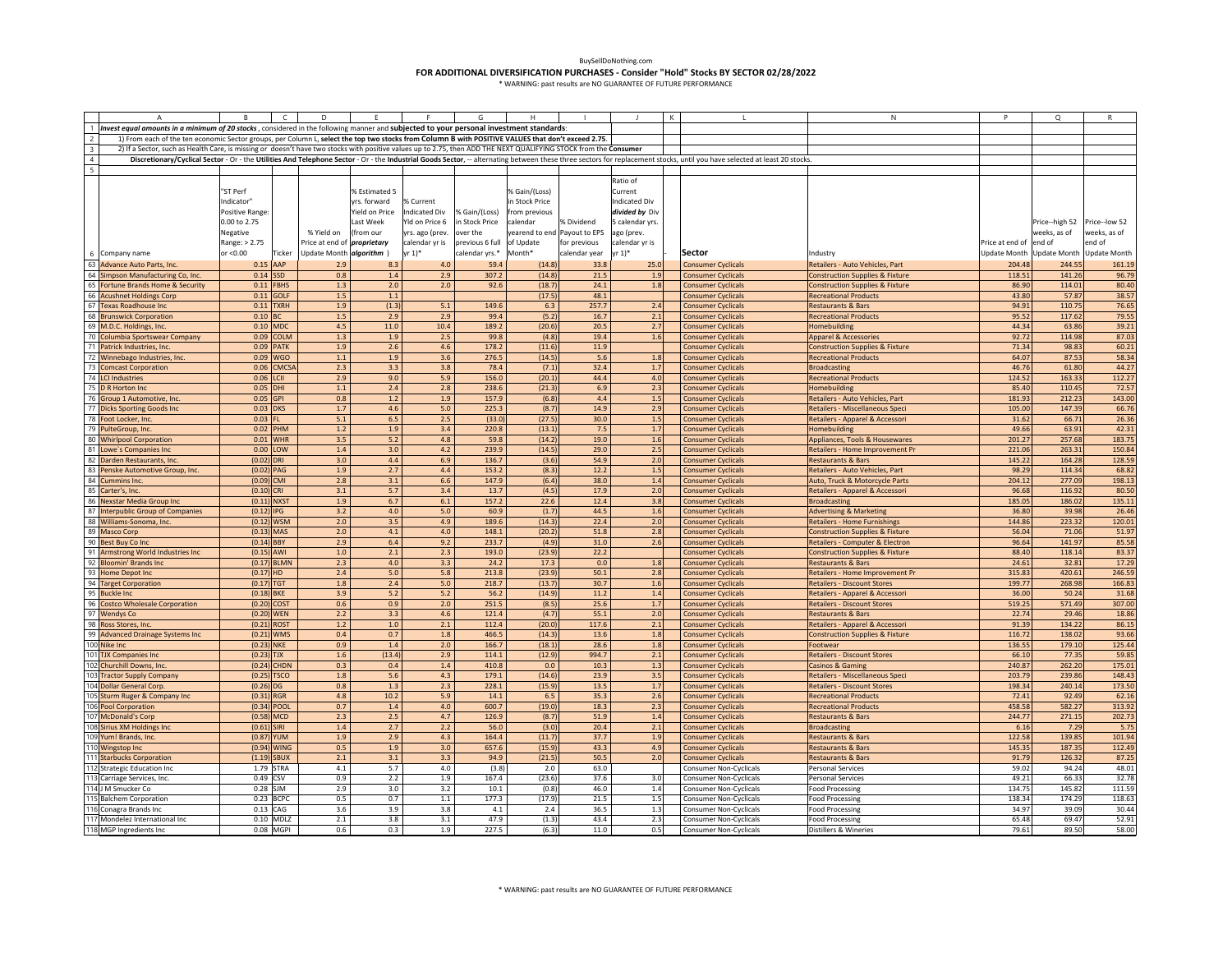|                          | A                                                                                                                                                                | B               |                 | D                                  |                |                 | G               |                |                              |                 |                                                                                                                                                                                                                           | N                                          |                     | Q              |                           |
|--------------------------|------------------------------------------------------------------------------------------------------------------------------------------------------------------|-----------------|-----------------|------------------------------------|----------------|-----------------|-----------------|----------------|------------------------------|-----------------|---------------------------------------------------------------------------------------------------------------------------------------------------------------------------------------------------------------------------|--------------------------------------------|---------------------|----------------|---------------------------|
|                          | 1 Invest equal amounts in a minimum of 20 stocks, considered in the following manner and subjected to your personal investment standards:                        |                 |                 |                                    |                |                 |                 |                |                              |                 |                                                                                                                                                                                                                           |                                            |                     |                |                           |
| $\overline{2}$           | 1) From each of the ten economic Sector groups, per Column L, select the top two stocks from Column B with POSITIVE VALUES that don't exceed 2.75.               |                 |                 |                                    |                |                 |                 |                |                              |                 |                                                                                                                                                                                                                           |                                            |                     |                |                           |
| 3                        | 2) If a Sector, such as Health Care, is missing or doesn't have two stocks with positive values up to 2.75, then ADD THE NEXT QUALIFYING STOCK from the Consumer |                 |                 |                                    |                |                 |                 |                |                              |                 |                                                                                                                                                                                                                           |                                            |                     |                |                           |
| $\overline{4}$           |                                                                                                                                                                  |                 |                 |                                    |                |                 |                 |                |                              |                 |                                                                                                                                                                                                                           |                                            |                     |                |                           |
|                          |                                                                                                                                                                  |                 |                 |                                    |                |                 |                 |                |                              |                 | Discretionary/Cyclical Sector - Or - the Utilities And Telephone Sector - Or - the Industrial Goods Sector, -- alternating between these three sectors for replacement stocks, until you have selected at least 20 stocks |                                            |                     |                |                           |
| $\overline{\phantom{a}}$ |                                                                                                                                                                  |                 |                 |                                    |                |                 |                 |                |                              |                 |                                                                                                                                                                                                                           |                                            |                     |                |                           |
|                          |                                                                                                                                                                  |                 |                 |                                    |                |                 |                 |                |                              | Ratio of        |                                                                                                                                                                                                                           |                                            |                     |                |                           |
|                          |                                                                                                                                                                  | "ST Perf        |                 |                                    | % Estimated 5  |                 |                 | % Gain/(Loss)  |                              | Current         |                                                                                                                                                                                                                           |                                            |                     |                |                           |
|                          |                                                                                                                                                                  | Indicator"      |                 |                                    | yrs. forward   | % Current       |                 | in Stock Price |                              | Indicated Div   |                                                                                                                                                                                                                           |                                            |                     |                |                           |
|                          |                                                                                                                                                                  | Positive Range: |                 |                                    | field on Price | Indicated Div   | % Gain/(Loss)   | from previous  |                              | divided by Div  |                                                                                                                                                                                                                           |                                            |                     |                |                           |
|                          |                                                                                                                                                                  | 0.00 to 2.75    |                 |                                    | ast Week       | Yld on Price 6  | in Stock Price  | calendar       | % Dividend                   | 5 calendar yrs. |                                                                                                                                                                                                                           |                                            |                     | Price--high 52 | Price--low 52             |
|                          |                                                                                                                                                                  |                 |                 |                                    |                |                 |                 |                |                              |                 |                                                                                                                                                                                                                           |                                            |                     |                |                           |
|                          |                                                                                                                                                                  | Negative        |                 | % Yield on                         | from our       | yrs. ago (prev. | over the        |                | yearend to end Payout to EPS | ago (prev.      |                                                                                                                                                                                                                           |                                            |                     | weeks, as of   | weeks, as of              |
|                          |                                                                                                                                                                  | Range: > 2.75   |                 | Price at end of <i>proprietary</i> |                | calendar yr is  | previous 6 full | of Update      | for previous                 | calendar yr is  |                                                                                                                                                                                                                           |                                            | Price at end of     | end of         | end of                    |
|                          | 6 Company name                                                                                                                                                   | or <0.00        | Ticker          | Update Month algorithm )           |                | yr 1)*          | calendar yrs.*  | Month*         | calendar year                | vr 1)*          | <b>Sector</b>                                                                                                                                                                                                             | Industry                                   | <b>Update Month</b> |                | Update Month Update Month |
|                          | 63 Advance Auto Parts, Inc.                                                                                                                                      |                 | $0.15$ AAP      | 2.9                                | 8.3            | 4.0             | 59.4            | (14.8)         | 33.8                         | 25.0            | <b>Consumer Cyclicals</b>                                                                                                                                                                                                 | Retailers - Auto Vehicles, Part            | 204.48              | 244.5          | 161.19                    |
|                          | 64 Simpson Manufacturing Co, Inc.                                                                                                                                | 0.14            | SSD             | 0.8                                | 1.4            | 2.9             | 307.2           | (14.8)         | 21.5                         | 1.5             | <b>Consumer Cyclicals</b>                                                                                                                                                                                                 | Construction Supplies & Fixture            | 118.51              | 141.26         | 96.79                     |
|                          | 65 Fortune Brands Home & Security                                                                                                                                | 0.11            | <b>FBHS</b>     | 1.3                                | 2.0            | 2.0             | 92.6            | (18.7)         | 24.1                         | 1.8             | <b>Consumer Cyclicals</b>                                                                                                                                                                                                 | <b>Construction Supplies &amp; Fixture</b> | 86.90               | 114.01         | 80.40                     |
|                          | 66 Acushnet Holdings Corp                                                                                                                                        | 0.11            | GOLF            | 1.5                                | $1.1\,$        |                 |                 | (17.5)         | 48.1                         |                 | <b>Consumer Cyclicals</b>                                                                                                                                                                                                 | <b>Recreational Products</b>               | 43.80               | 57.87          | 38.57                     |
|                          | 67 Texas Roadhouse Inc                                                                                                                                           | 0.11            | <b>TXRH</b>     | 1.9                                | (1.3)          | 5.1             | 149.6           | 6.3            | 257.7                        | 2.              | <b>Consumer Cyclicals</b>                                                                                                                                                                                                 | <b>Restaurants &amp; Bars</b>              | 94.91               | 110.7          | 76.65                     |
|                          |                                                                                                                                                                  |                 |                 |                                    |                |                 |                 |                |                              |                 |                                                                                                                                                                                                                           |                                            |                     |                |                           |
|                          | 68 Brunswick Corporation                                                                                                                                         | 0.10            |                 | 1.5                                | 2.9            | 2.9             | 99.4            | (5.2)          | 16.7                         | 2.1             | <b>Consumer Cyclicals</b>                                                                                                                                                                                                 | <b>Recreational Products</b>               | 95.52               | 117.6          | 79.55                     |
|                          | 69 M.D.C. Holdings, Inc.                                                                                                                                         |                 | $0.10$ MDC      | 4.5                                | 11.0           | 10.4            | 189.2           | (20.6)         | 20.5                         | 2.7             | <b>Consumer Cyclicals</b>                                                                                                                                                                                                 | Homebuilding                               | 44.34               | 63.86          | 39.21                     |
|                          | 70 Columbia Sportswear Company                                                                                                                                   | 0.09            | COLM            | 1.3                                | 1.9            | 2.5             | 99.8            | (4.8)          | 19.4                         | 1.6             | <b>Consumer Cyclicals</b>                                                                                                                                                                                                 | <b>Apparel &amp; Accessories</b>           | 92.72               | 114.9          | 87.03                     |
|                          | 71 Patrick Industries, Inc.                                                                                                                                      | 0.09            | <b>ATK</b>      | 1.9                                | 2.6            | 4.6             | 178.2           | (11.6)         | 11.9                         |                 | <b>Consumer Cyclicals</b>                                                                                                                                                                                                 | Construction Supplies & Fixture            | 71.34               | 98.83          | 60.21                     |
|                          | 72 Winnebago Industries, Inc.                                                                                                                                    | 0.09            | WGO             | $1.1\,$                            | 1.9            | 3.6             | 276.5           | (14.5)         | 5.6                          | 1.8             | <b>Consumer Cyclicals</b>                                                                                                                                                                                                 | <b>Recreational Products</b>               | 64.07               | 87.53          | 58.34                     |
|                          | 73 Comcast Corporation                                                                                                                                           | 0.06            | CMCS.           | 2.3                                | 3.3            | 3.8             | 78.4            | (7.1)          | 32.4                         | 1.7             | <b>Consumer Cyclicals</b>                                                                                                                                                                                                 | <b>Broadcasting</b>                        | 46.76               | 61.80          | 44.27                     |
|                          | 74 LCI Industries                                                                                                                                                | 0.06            | .CII            | 2.9                                | 9.0            | 5.9             | 156.0           | (20.1)         | 44.4                         | 4.0             | <b>Consumer Cyclicals</b>                                                                                                                                                                                                 | <b>Recreational Products</b>               | 124.5               | 163.33         | 112.27                    |
|                          | 75 D R Horton Inc                                                                                                                                                | 0.05            | DHI             | $1.1\,$                            | 2.4            | 2.8             | 238.6           | (21.3)         | 6.9                          | 2.3             | <b>Consumer Cyclicals</b>                                                                                                                                                                                                 | <b>Homebuilding</b>                        | 85.40               | 110.45         | 72.57                     |
|                          |                                                                                                                                                                  | 0.05            | <b>GPI</b>      | 0.8                                | 1.2            | 1.9             | 157.9           | (6.8)          | 4.4                          | 1.5             |                                                                                                                                                                                                                           |                                            | 181.93              | 212.23         | 143.00                    |
|                          | 76 Group 1 Automotive, Inc.                                                                                                                                      |                 |                 |                                    |                |                 |                 |                |                              |                 | <b>Consumer Cyclicals</b>                                                                                                                                                                                                 | Retailers - Auto Vehicles, Part            |                     |                |                           |
|                          | 77 Dicks Sporting Goods Inc                                                                                                                                      |                 | 0.03 DKS        | 1.7                                | 4.6            | 5.0             | 225.3           | (8.7)          | 14.9                         | 2.9             | <b>Consumer Cyclicals</b>                                                                                                                                                                                                 | Retailers - Miscellaneous Speci            | 105.00              | 147.39         | 66.76                     |
|                          | 78 Foot Locker, Inc.                                                                                                                                             | 0.03            |                 | 5.1                                | 6.5            | 2.5             | (33.0)          | (27.5)         | 30.0                         | 1.5             | <b>Consumer Cyclicals</b>                                                                                                                                                                                                 | Retailers - Apparel & Accessori            | 31.62               | 66.7           | 26.36                     |
|                          | 79 PulteGroup, Inc.                                                                                                                                              | 0.02            | <b>HM</b>       | 1.2                                | 1.9            | 3.4             | 220.8           | (13.1)         | 7.5                          | 1.7             | <b>Consumer Cyclicals</b>                                                                                                                                                                                                 | <b>Homebuilding</b>                        | 49.66               | 63.91          | 42.31                     |
|                          | 80 Whirlpool Corporation                                                                                                                                         | 0.01            | <b>WHR</b>      | 3.5                                | 5.2            | 4.8             | 59.8            | (14.2)         | 19.0                         | 1.6             | <b>Consumer Cyclicals</b>                                                                                                                                                                                                 | Appliances, Tools & Housewares             | 201.27              | 257.68         | 183.75                    |
|                          | 81 Lowe's Companies Inc                                                                                                                                          | 0.00            | LOW             | 1.4                                | 3.0            | 4.2             | 239.9           | (14.5)         | 29.0                         | 2.5             | <b>Consumer Cyclicals</b>                                                                                                                                                                                                 | <b>Retailers - Home Improvement Pr</b>     | 221.06              | 263.31         | 150.84                    |
|                          | 82 Darden Restaurants, Inc.                                                                                                                                      | $(0.02)$ DRI    |                 | 3.0                                | 4.4            | 6.9             | 136.7           | (3.6)          | 54.9                         | 2.0             | <b>Consumer Cyclicals</b>                                                                                                                                                                                                 | <b>Restaurants &amp; Bars</b>              | 145.2               | 164.28         | 128.59                    |
|                          | 83 Penske Automotive Group, Inc.                                                                                                                                 | $(0.02)$ PAG    |                 | 1.9                                | 2.7            | 4.4             | 153.2           | (8.3)          | 12.2                         | 1.5             | <b>Consumer Cyclicals</b>                                                                                                                                                                                                 | Retailers - Auto Vehicles, Part            | 98.29               | 114.34         | 68.82                     |
|                          | 84 Cummins Inc                                                                                                                                                   | $(0.09)$ CMI    |                 | 2.8                                | 3.1            | 6.6             | 147.9           | (6.4)          | 38.0                         | 1.4             | <b>Consumer Cyclicals</b>                                                                                                                                                                                                 | Auto, Truck & Motorcycle Parts             | 204.12              | 277.09         | 198.13                    |
|                          |                                                                                                                                                                  |                 | `RI             | 3.1                                | 5.7            | 3.4             | 13.7            | (4.5)          | 17.9                         | 2.0             |                                                                                                                                                                                                                           |                                            | 96.68               | 116.9          | 80.50                     |
|                          | 85 Carter's, Inc.                                                                                                                                                | (0.10)          |                 |                                    |                |                 |                 |                |                              |                 | <b>Consumer Cyclicals</b>                                                                                                                                                                                                 | Retailers - Apparel & Accessori            |                     |                |                           |
|                          | 86 Nexstar Media Group Inc                                                                                                                                       | (0.11)          | <b>VXST</b>     | 1.9                                | 6.7            | 6.1             | 157.2           | 22.6           | 12.4                         | 3.8             | <b>Consumer Cyclicals</b>                                                                                                                                                                                                 | <b>Broadcasting</b>                        | 185.05              | 186.02         | 135.11                    |
|                          | 87 Interpublic Group of Companies                                                                                                                                | (0.12)          | IPG.            | 3.2                                | 4.0            | 5.0             | 60.9            | (1.7)          | 44.5                         | 1.6             | <b>Consumer Cyclicals</b>                                                                                                                                                                                                 | <b>Advertising &amp; Marketing</b>         | 36.80               | 39.98          | 26.46                     |
|                          | 88 Williams-Sonoma, Inc.                                                                                                                                         | (0.12)          | <b>WSM</b>      | 2.0                                | 3.5            | 4.9             | 189.6           | (14.3)         | 22.4                         | 2.0             | <b>Consumer Cyclicals</b>                                                                                                                                                                                                 | <b>Retailers - Home Furnishings</b>        | 144.86              | 223.32         | 120.01                    |
|                          | 89 Masco Corp                                                                                                                                                    |                 | $(0.13)$ MAS    | 2.0                                | 4.1            | 4.0             | 148.1           | (20.2)         | 51.8                         | 2.8             | <b>Consumer Cyclicals</b>                                                                                                                                                                                                 | <b>Construction Supplies &amp; Fixture</b> | 56.04               | 71.06          | 51.97                     |
|                          | 90 Best Buy Co Inc                                                                                                                                               | $(0.14)$ BBY    |                 | 2.9                                | 6.4            | 9.2             | 233.7           | (4.9)          | 31.0                         | 2.6             | <b>Consumer Cyclicals</b>                                                                                                                                                                                                 | <b>Retailers - Computer &amp; Electron</b> | 96.64               | 141.97         | 85.58                     |
|                          | 91 Armstrong World Industries Inc                                                                                                                                | $(0.15)$ AWI    |                 | 1.0                                | $2.1\,$        | 2.3             | 193.0           | (23.9)         | 22.2                         |                 | <b>Consumer Cyclicals</b>                                                                                                                                                                                                 | <b>Construction Supplies &amp; Fixture</b> | 88.40               | 118.14         | 83.37                     |
|                          | 92 Bloomin' Brands Inc                                                                                                                                           |                 | $(0.17)$ BLMN   | 2.3                                | 4.0            | 3.3             | 24.2            | 17.3           | 0.0                          | 1.8             | <b>Consumer Cyclicals</b>                                                                                                                                                                                                 | <b>Restaurants &amp; Bars</b>              | 24.61               | 32.81          | 17.29                     |
|                          | 93 Home Depot Inc                                                                                                                                                | (0.17)          | HD.             | $2.4$                              | 5.0            | 5.8             | 213.8           | (23.9)         | 50.1                         | 2.8             | <b>Consumer Cyclicals</b>                                                                                                                                                                                                 | Retailers - Home Improvement Pr            | 315.83              | 420.61         | 246.59                    |
|                          |                                                                                                                                                                  |                 |                 | 1.8                                | 2.4            |                 |                 |                |                              |                 |                                                                                                                                                                                                                           |                                            |                     |                |                           |
|                          | 94 Target Corporation                                                                                                                                            | (0.17)          | GT <sup>-</sup> |                                    |                | 5.0             | 218.7           | (13.7)         | 30.7                         | 1.6             | <b>Consumer Cyclicals</b>                                                                                                                                                                                                 | Retailers - Discount Stores                | 199.77              | 268.98         | 166.83                    |
|                          | 95 Buckle Inc                                                                                                                                                    | $(0.18)$ BKE    |                 | 3.9                                | 5.2            | 5.2             | 56.2            | (14.9)         | 11.2                         | 1.4             | <b>Consumer Cyclicals</b>                                                                                                                                                                                                 | Retailers - Apparel & Accessori            | 36.00               | 50.24          | 31.68                     |
|                          | 96 Costco Wholesale Corporation                                                                                                                                  | (0.20)          | <b>COST</b>     | 0.6                                | 0.9            | 2.0             | 251.5           | (8.5)          | 25.6                         | 1.7             | <b>Consumer Cyclicals</b>                                                                                                                                                                                                 | <b>Retailers - Discount Stores</b>         | 519.25              | 571.49         | 307.00                    |
|                          | 97 Wendys Co                                                                                                                                                     | (0.20)          | WEN             | 2.2                                | 3.3            | 4.6             | 121.4           | (4.7)          | 55.1                         | 2.0             | <b>Consumer Cyclicals</b>                                                                                                                                                                                                 | <b>Restaurants &amp; Bars</b>              | 22.74               | 29.46          | 18.86                     |
|                          | 98 Ross Stores, Inc.                                                                                                                                             | (0.21)          | <b>ROST</b>     | 1.2                                | 1.0            | 2.1             | 112.4           | (20.0)         | 117.6                        | 2.1             | <b>Consumer Cyclicals</b>                                                                                                                                                                                                 | Retailers - Apparel & Accessori            | 91.39               | 134.22         | 86.15                     |
|                          | 99 Advanced Drainage Systems Inc                                                                                                                                 | (0.21)          | <b>WMS</b>      | 0.4                                | 0.7            | 1.8             | 466.5           | (14.3)         | 13.6                         | 1.8             | <b>Consumer Cyclicals</b>                                                                                                                                                                                                 | <b>Construction Supplies &amp; Fixture</b> | 116.72              | 138.02         | 93.66                     |
|                          | 100 Nike Inc                                                                                                                                                     | (0.23)          | <b>NKE</b>      | 0.9                                | 1.4            | 2.0             | 166.7           | (18.1)         | 28.6                         | 1.8             | <b>Consumer Cyclicals</b>                                                                                                                                                                                                 | ootwear                                    | 136.5               | 179.10         | 125.44                    |
|                          | 101 TJX Companies Inc                                                                                                                                            | (0.23)          | <b>IX</b>       | 1.6                                | (13.4)         | 2.9             | 114.1           | (12.9)         | 994.7                        | 2.1             | <b>Consumer Cyclicals</b>                                                                                                                                                                                                 | letailers - Discount Stores                | 66.10               | 77.35          | 59.85                     |
|                          | 102 Churchill Downs, Inc.                                                                                                                                        | (0.24)          | <b>HDN</b>      | 0.3                                | 0.4            | 1.4             | 410.8           | 0.0            | 10.3                         | 1.3             | <b>Consumer Cyclicals</b>                                                                                                                                                                                                 | Casinos & Gaming                           | 240.87              | 262.20         | 175.01                    |
|                          |                                                                                                                                                                  |                 |                 | 1.8                                |                | 4.3             | 179.1           |                |                              |                 |                                                                                                                                                                                                                           |                                            |                     | 239.86         | 148.43                    |
|                          | 103 Tractor Supply Company                                                                                                                                       | (0.25)          | <b>TSCO</b>     | 0.8                                | 5.6            |                 |                 | (14.6)         | 23.9                         | 3.5             | <b>Consumer Cyclicals</b>                                                                                                                                                                                                 | Retailers - Miscellaneous Speci            | 203.79              |                |                           |
|                          | 104 Dollar General Corp.                                                                                                                                         | $(0.26)$ DG     |                 |                                    | 1.3            | 2.3             | 228.1           | (15.9)         | 13.5                         | 1.7             | <b>Consumer Cyclicals</b>                                                                                                                                                                                                 | <b>Retailers - Discount Stores</b>         | 198.34              | 240.14         | 173.50                    |
|                          | 105 Sturm Ruger & Company Inc                                                                                                                                    | (0.31)          | <b>RGR</b>      | 4.8                                | 10.2           | 5.9             | 14.1            | 6.5            | 35.3                         | 2.6             | <b>Consumer Cyclicals</b>                                                                                                                                                                                                 | <b>Recreational Products</b>               | 72.41               | 92.49          | 62.16                     |
|                          | 106 Pool Corporation                                                                                                                                             | (0.34)          | POOL            | 0.7                                | 1.4            | 4.0             | 600.7           | (19.0)         | 18.3                         | 2.3             | <b>Consumer Cyclicals</b>                                                                                                                                                                                                 | <b>Recreational Products</b>               | 458.58              | 582.27         | 313.92                    |
|                          | 107 McDonald's Corp                                                                                                                                              | (0.58)          | <b>MCD</b>      | 2.3                                | 2.5            | 4.7             | 126.9           | (8.7)          | 51.9                         | 1.4             | <b>Consumer Cyclicals</b>                                                                                                                                                                                                 | <b>Restaurants &amp; Bars</b>              | 244.77              | 271.15         | 202.73                    |
|                          | 108 Sirius XM Holdings Inc                                                                                                                                       | (0.61)          | <b>SIRI</b>     | $1.4$                              | 2.7            | 2.2             | 56.0            | (3.0)          | 20.4                         | 2.1             | <b>Consumer Cyclicals</b>                                                                                                                                                                                                 | 3roadcastin                                | 6.16                | 7.29           | 5.75                      |
|                          | 109 Yum! Brands, Inc.                                                                                                                                            | (0.87)          | <b>UM</b>       | 1.9                                | 2.9            | 4.3             | 164.4           | (11.7)         | 37.7                         | 1.9             | <b>Consumer Cyclicals</b>                                                                                                                                                                                                 | lestaurants & Bars                         | 122.58              | 139.8          | 101.94                    |
|                          | 110 Wingstop Inc                                                                                                                                                 | (0.94)          | <b>WING</b>     | 0.5                                | 1.9            | 3.0             | 657.6           | (15.9)         | 43.3                         | 4.9             | <b>Consumer Cyclicals</b>                                                                                                                                                                                                 | Restaurants & Bars                         | 145.35              | 187.35         | 112.49                    |
|                          | 111 Starbucks Corporation                                                                                                                                        | (1.19)          | <b>SBUX</b>     | 2.1                                | 3.1            | 3.3             | 94.9            | (21.5)         | 50.5                         | 2.0             | <b>Consumer Cyclicals</b>                                                                                                                                                                                                 | <b>Restaurants &amp; Bars</b>              | 91.79               | 126.32         | 87.25                     |
|                          | 112 Strategic Education Inc                                                                                                                                      |                 | 1.79 STRA       | 4.1                                | 5.7            | 4.0             | (3.8)           | 2.0            | 63.0                         |                 | <b>Consumer Non-Cyclicals</b>                                                                                                                                                                                             | <b>Personal Services</b>                   | 59.02               | 94.24          | 48.01                     |
|                          | 113 Carriage Services, Inc.                                                                                                                                      |                 | 0.49 CSV        | 0.9                                | 2.2            | 1.9             | 167.4           | (23.6)         | 37.6                         | 3.0             | <b>Consumer Non-Cyclicals</b>                                                                                                                                                                                             | Personal Services                          | 49.21               | 66.33          | 32.78                     |
|                          |                                                                                                                                                                  |                 |                 | 2.9                                |                |                 |                 |                | 46.0                         |                 |                                                                                                                                                                                                                           |                                            | 134.75              |                |                           |
|                          | 114 J M Smucker Co                                                                                                                                               |                 | $0.28$ SJM      |                                    | 3.0            | 3.2             | 10.1            | (0.8)          |                              | 1.4             | <b>Consumer Non-Cyclicals</b>                                                                                                                                                                                             | <b>Food Processing</b>                     |                     | 145.82         | 111.59                    |
|                          | 115 Balchem Corporation                                                                                                                                          |                 | 0.23 BCPC       | 0.5                                | 0.7            | $1.1\,$         | 177.3           | (17.9)         | 21.5                         | 1.5             | <b>Consumer Non-Cyclicals</b>                                                                                                                                                                                             | <b>Food Processing</b>                     | 138.34              | 174.29         | 118.63                    |
|                          | 116 Conagra Brands Inc                                                                                                                                           |                 | $0.13$ CAG      | 3.6                                | 3.9            | 3.8             | 4.1             | 2.4            | 36.5                         | 1.3             | <b>Consumer Non-Cyclicals</b>                                                                                                                                                                                             | <b>Food Processing</b>                     | 34.97               | 39.09          | 30.44                     |
|                          | 117 Mondelez International Inc                                                                                                                                   |                 | $0.10$ MDLZ     | 2.1                                | 3.8            | 3.1             | 47.9            | (1.3)          | 43.4                         | 2.3             | <b>Consumer Non-Cyclicals</b>                                                                                                                                                                                             | <b>Food Processing</b>                     | 65.48               | 69.47          | 52.91                     |
|                          | 118 MGP Ingredients Inc                                                                                                                                          |                 | 0.08 MGPI       | 0.6                                | 0.3            | 1.9             | 227.5           | (6.3)          | 11.0                         | 0.5             | <b>Consumer Non-Cyclicals</b>                                                                                                                                                                                             | <b>Distillers &amp; Wineries</b>           | 79.61               | 89.50          | 58.00                     |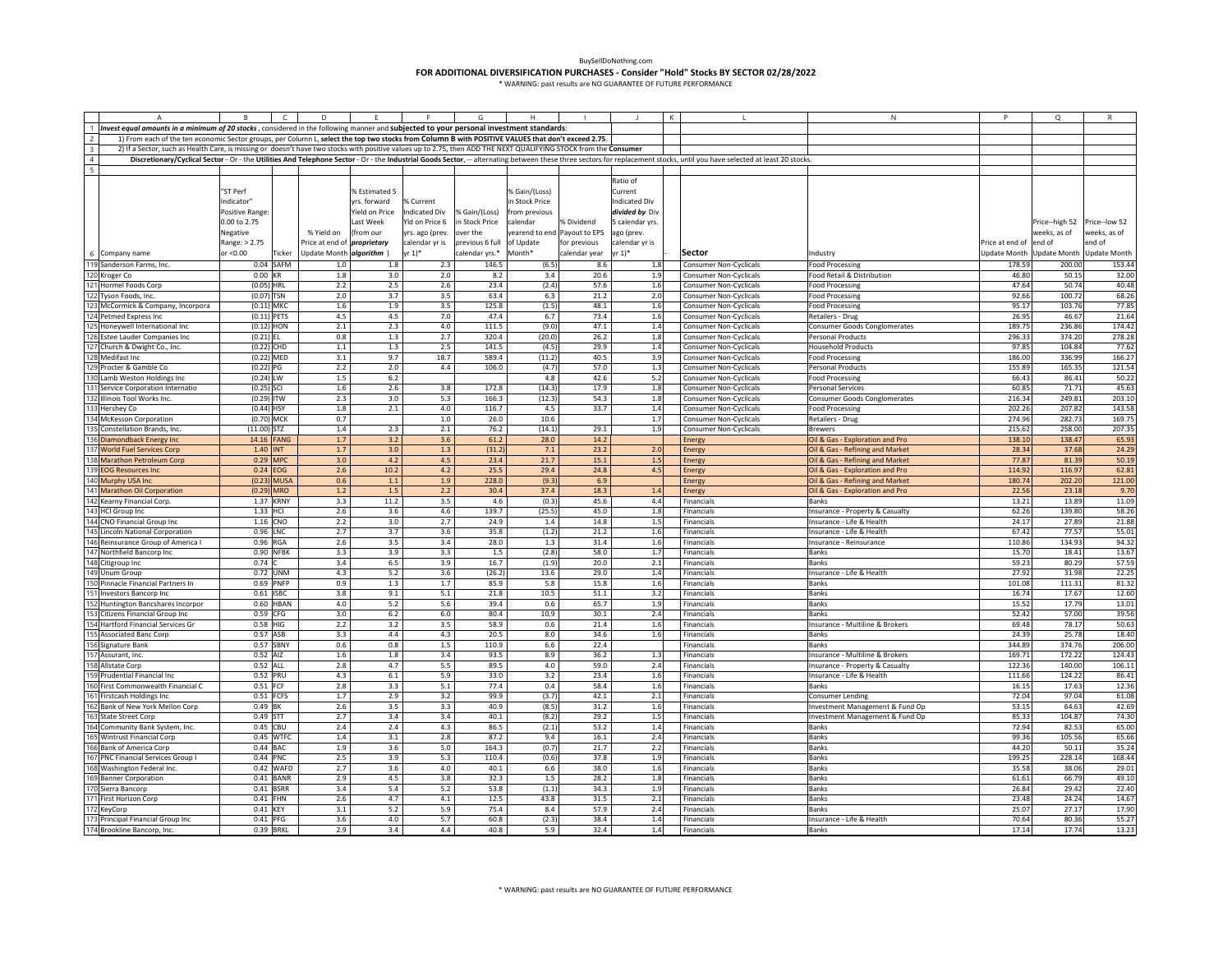|                         |                                                                                                                                                                  |                       |               | D                                  |                |                      |                 |                             |               |                    |         |                                                                                                                                                                                                                           | N                                                        | P                      | $\Omega$                  |                     |
|-------------------------|------------------------------------------------------------------------------------------------------------------------------------------------------------------|-----------------------|---------------|------------------------------------|----------------|----------------------|-----------------|-----------------------------|---------------|--------------------|---------|---------------------------------------------------------------------------------------------------------------------------------------------------------------------------------------------------------------------------|----------------------------------------------------------|------------------------|---------------------------|---------------------|
|                         | Invest equal amounts in a minimum of 20 stocks, considered in the following manner and subjected to your personal investment standards:                          |                       |               |                                    |                |                      |                 |                             |               |                    |         |                                                                                                                                                                                                                           |                                                          |                        |                           |                     |
| $\overline{2}$          | 1) From each of the ten economic Sector groups, per Column L, select the top two stocks from Column B with POSITIVE VALUES that don't exceed 2.75.               |                       |               |                                    |                |                      |                 |                             |               |                    |         |                                                                                                                                                                                                                           |                                                          |                        |                           |                     |
| $\overline{\mathbf{3}}$ | 2) If a Sector, such as Health Care, is missing or doesn't have two stocks with positive values up to 2.75, then ADD THE NEXT QUALIFYING STOCK from the Consumer |                       |               |                                    |                |                      |                 |                             |               |                    |         |                                                                                                                                                                                                                           |                                                          |                        |                           |                     |
| $\overline{4}$          |                                                                                                                                                                  |                       |               |                                    |                |                      |                 |                             |               |                    |         | Discretionary/Cyclical Sector - Or - the Utilities And Telephone Sector - Or - the Industrial Goods Sector, -- alternating between these three sectors for replacement stocks, until you have selected at least 20 stocks |                                                          |                        |                           |                     |
| 5                       |                                                                                                                                                                  |                       |               |                                    |                |                      |                 |                             |               |                    |         |                                                                                                                                                                                                                           |                                                          |                        |                           |                     |
|                         |                                                                                                                                                                  |                       |               |                                    |                |                      |                 |                             |               | Ratio of           |         |                                                                                                                                                                                                                           |                                                          |                        |                           |                     |
|                         |                                                                                                                                                                  | "ST Perf              |               |                                    | % Estimated 5  |                      |                 | % Gain/(Loss)               |               | Current            |         |                                                                                                                                                                                                                           |                                                          |                        |                           |                     |
|                         |                                                                                                                                                                  | Indicator"            |               |                                    | rs. forward    | % Current            |                 | n Stock Price               |               | ndicated Div       |         |                                                                                                                                                                                                                           |                                                          |                        |                           |                     |
|                         |                                                                                                                                                                  | <b>Positive Range</b> |               |                                    | Yield on Price | <b>Indicated Div</b> | % Gain/(Loss)   | rom previous                |               | divided by Div     |         |                                                                                                                                                                                                                           |                                                          |                        |                           |                     |
|                         |                                                                                                                                                                  | 0.00 to 2.75          |               |                                    | Last Week      | Yld on Price 6       | in Stock Price  | calendar                    | % Dividend    | 5 calendar yrs.    |         |                                                                                                                                                                                                                           |                                                          |                        | Price--high 52            | Price--low 52       |
|                         |                                                                                                                                                                  | Negative              |               | % Yield on                         | (from our      | yrs. ago (prev.      | over the        | earend to end Payout to EPS |               | ago (prev.         |         |                                                                                                                                                                                                                           |                                                          |                        | weeks, as of              | veeks, as of        |
|                         |                                                                                                                                                                  | Range: > 2.75         |               | Price at end of <i>proprietary</i> |                | calendar yr is       | previous 6 full | of Update                   | for previous  | alendar yr is      |         |                                                                                                                                                                                                                           |                                                          | Price at end of end of |                           | end of              |
|                         | Company name                                                                                                                                                     | or <0.00              | Ticker        | Update Month algorithm             |                | $yr 1)*$             | calendar yrs.*  | Month*                      | calendar year | $r 1$ <sup>*</sup> |         | Sector                                                                                                                                                                                                                    | Industry                                                 |                        | Update Month Update Month | <b>Update Month</b> |
|                         | Sanderson Farms, Inc.                                                                                                                                            |                       | $0.04$ SAFM   | 1.0                                | 1.8            | 2.3                  | 146.5           | (6.5)                       | 8.6           |                    | 1.8     | <b>Consumer Non-Cyclicals</b>                                                                                                                                                                                             | Food Processing                                          | 178.59                 | 200.00                    | 153.44              |
| 120                     | Kroger Co                                                                                                                                                        | $0.00$ KR             |               | 1.8                                | 3.0            | 2.0                  | 8.2             | 3.4                         | 20.6          |                    | 1.9     | <b>Consumer Non-Cyclicals</b>                                                                                                                                                                                             | Food Retail & Distribution                               | 46.80                  | 50.15                     | 32.00               |
|                         | Hormel Foods Corp                                                                                                                                                | $(0.05)$ HRL          |               | 2.2                                | 2.5            | 2.6                  | 23.4            | (2.4)                       | 57.6          |                    | 1.6     | <b>Consumer Non-Cyclicals</b>                                                                                                                                                                                             | <b>Food Processing</b>                                   | 47.64                  | 50.74                     | 40.48               |
|                         | Tyson Foods, Inc                                                                                                                                                 | $(0.07)$ TSN          |               | 2.0                                | 3.7            | 3.5                  | 63.4            | 6.3                         | 21.2          |                    | 2.0     | <b>Consumer Non-Cyclicals</b>                                                                                                                                                                                             | <b>Food Processing</b>                                   | 92.66                  | 100.72                    | 68.26               |
|                         | McCormick & Company, Incorpora                                                                                                                                   | $(0.11)$ MKC          |               | 1.6                                | 1.9            | 3.5                  | 125.8           | (1.5)                       | 48.1          |                    | 1.6     | <b>Consumer Non-Cyclicals</b>                                                                                                                                                                                             | <b>Food Processing</b>                                   | 95.17                  | 103.76                    | 77.85               |
|                         | Petmed Express Inc                                                                                                                                               | $(0.11)$ PETS         |               | 4.5                                | 4.5            | 7.0                  | 47.4            | 6.7                         | 73.4          |                    | 1.6     | <b>Consumer Non-Cyclicals</b>                                                                                                                                                                                             | Retailers - Drug                                         | 26.95                  | 46.67                     | 21.64               |
|                         | 125 Honeywell International Inc                                                                                                                                  | $(0.12)$ HON          |               | 2.1                                | 2.3            | 4.0                  | 111.5           | (9.0)                       | 47.1          |                    | $1.4\,$ | <b>Consumer Non-Cyclicals</b>                                                                                                                                                                                             | Consumer Goods Conglomerates                             | 189.75                 | 236.86                    | 174.42              |
|                         | 126 Estee Lauder Companies Inc                                                                                                                                   | $(0.21)$ EL           |               | 0.8                                | 1.3            | 2.7                  | 320.4           | (20.0)                      | 26.2          |                    | 1.8     | <b>Consumer Non-Cyclicals</b>                                                                                                                                                                                             | <b>Personal Products</b>                                 | 296.33                 | 374.20                    | 278.28              |
|                         | Church & Dwight Co., Inc.                                                                                                                                        | $(0.22)$ CHD          |               | $1.1\,$                            | 1.3            | $2.5\,$              | 141.5           | (4.5)                       | 29.9          |                    | 1.4     | <b>Consumer Non-Cyclicals</b>                                                                                                                                                                                             | <b>Household Products</b>                                | 97.85                  | 104.84                    | 77.62               |
|                         | 128 Medifast Inc                                                                                                                                                 | (0.22) MED            |               | 3.1                                | 9.7            | 18.7                 | 589.4           | (11.2)                      | 40.5          |                    | 3.9     | <b>Consumer Non-Cyclicals</b>                                                                                                                                                                                             | <b>Food Processing</b>                                   | 186.00                 | 336.99                    | 166.2               |
|                         | 129 Procter & Gamble Co                                                                                                                                          | $(0.22)$ PG           |               | 2.2                                | 2.0            | 4.4                  | 106.0           | (4.7)                       | 57.0          |                    | 1.3     |                                                                                                                                                                                                                           | <b>Personal Products</b>                                 | 155.89                 | 165.35                    | 121.54              |
|                         | Lamb Weston Holdings Inc                                                                                                                                         | $(0.24)$ LW           |               | $1.5$                              | $6.2\,$        |                      |                 | 4.8                         | 42.6          |                    | 5.2     | <b>Consumer Non-Cyclicals</b><br><b>Consumer Non-Cyclicals</b>                                                                                                                                                            | <b>Food Processing</b>                                   | 66.43                  | 86.41                     | 50.22               |
|                         | Service Corporation Internatio                                                                                                                                   | $(0.25)$ SCI          |               | 1.6                                | 2.6            | 3.8                  | 172.8           | (14.3)                      | 17.9          |                    | 1.8     | <b>Consumer Non-Cyclicals</b>                                                                                                                                                                                             |                                                          | 60.85                  | 71.71                     | 45.63               |
|                         | 132 Illinois Tool Works Inc.                                                                                                                                     | $(0.29)$ ITW          |               | 2.3                                | 3.0            | 5.3                  | 166.3           | (12.3)                      | 54.3          |                    | 1.8     | <b>Consumer Non-Cyclicals</b>                                                                                                                                                                                             | <b>Personal Services</b><br>Consumer Goods Conglomerates | 216.34                 | 249.81                    | 203.10              |
|                         | <b>Hershey Co</b>                                                                                                                                                | $(0.44)$ HSY          |               | 1.8                                | 2.1            | 4.0                  | 116.7           | 4.5                         | 33.7          |                    | 1.4     | <b>Consumer Non-Cyclicals</b>                                                                                                                                                                                             | <b>Food Processing</b>                                   | 202.26                 | 207.82                    | 143.58              |
|                         | McKesson Corporation                                                                                                                                             | (0.70) MCK            |               | 0.7                                |                | $1.0\,$              | 26.0            | 10.6                        |               |                    | 1.7     | <b>Consumer Non-Cyclicals</b>                                                                                                                                                                                             | Retailers - Drug                                         | 274.96                 | 282.73                    | 169.75              |
|                         | 135 Constellation Brands, Inc.                                                                                                                                   | $(11.00)$ STZ         |               | 1.4                                | 2.3            | 2.1                  | 76.2            | (14.1)                      | 29.1          |                    | 1.9     | <b>Consumer Non-Cyclicals</b>                                                                                                                                                                                             | <b>Brewers</b>                                           | 215.62                 | 258.00                    | 207.35              |
|                         | 136 Diamondback Energy Inc                                                                                                                                       | 14.16 FANG            |               | $1.7\,$                            | 3.2            | 3.6                  | 61.2            | 28.0                        | 14.2          |                    |         | Energy                                                                                                                                                                                                                    | Oil & Gas - Exploration and Pro                          | 138.10                 | 138.47                    | 65.93               |
|                         | 137 World Fuel Services Corp                                                                                                                                     | 1.40 INT              |               | 1.7                                | 3.0            | $1.3\,$              | (31.2)          | $7.1$                       | 23.2          | 2.0                |         |                                                                                                                                                                                                                           | Oil & Gas - Refining and Market                          | 28.34                  | 37.68                     | 24.29               |
|                         | 138 Marathon Petroleum Corp                                                                                                                                      |                       | 0.29 MPC      | 3.0                                | 4.2            | 4.5                  | 23.4            | 21.7                        | 15.1          | 1.5                |         | Energy<br><b>Energy</b>                                                                                                                                                                                                   | Oil & Gas - Refining and Market                          | 77.87                  | 81.39                     | 50.19               |
|                         | 139 EOG Resources Inc                                                                                                                                            | 0.24 EOG              |               | 2.6                                | 10.2           | 4.2                  | 25.5            | 29.4                        | 24.8          | 4.5                |         | Energy                                                                                                                                                                                                                    | Oil & Gas - Exploration and Pro                          | 114.9                  | 116.97                    | 62.81               |
|                         | 140 Murphy USA Inc                                                                                                                                               |                       | $(0.23)$ MUSA | 0.6                                | 1.1            | 1.9                  | 228.0           | (9.3)                       | 6.9           |                    |         | Energy                                                                                                                                                                                                                    | Oil & Gas - Refining and Market                          | 180.74                 | 202.20                    | 121.00              |
|                         | 141 Marathon Oil Corporation                                                                                                                                     | (0.29)                | <b>MRO</b>    | $1.2\,$                            | $1.5\,$        | 2.2                  | 30.4            | 37.4                        | 18.3          | 1.4                |         | <b>Energy</b>                                                                                                                                                                                                             | Oil & Gas - Exploration and Pro                          | 22.56                  | 23.18                     | 9.70                |
|                         | Kearny Financial Corp.                                                                                                                                           |                       | 1.37 KRNY     | 3.3                                | 11.2           | 3.5                  | 4.6             | (0.3)                       | 45.6          |                    | 4.4     | <b>Financials</b>                                                                                                                                                                                                         | Banks                                                    | 13.21                  | 13.89                     | 11.09               |
|                         | <b>HCI Group Inc</b>                                                                                                                                             | 1.33 HCI              |               | 2.6                                | 3.6            | 4.6                  | 139.7           | (25.5)                      | 45.0          |                    | 1.8     | Financials                                                                                                                                                                                                                | Insurance - Property & Casualty                          | 62.26                  | 139.80                    | 58.26               |
| 144                     | CNO Financial Group Inc                                                                                                                                          | 1.16 CNO              |               | 2.2                                | 3.0            | 2.7                  | 24.9            | 1.4                         | 14.8          |                    | 1.5     | Financials                                                                                                                                                                                                                | Insurance - Life & Health                                | 24.17                  | 27.89                     | 21.88               |
| 145                     | Lincoln National Corporation                                                                                                                                     | 0.96 LNC              |               | 2.7                                | 3.7            | 3.6                  | 35.8            | (1.2)                       | 21.2          |                    | 1.6     | Financials                                                                                                                                                                                                                | Insurance - Life & Health                                | 67.42                  | 77.57                     | 55.01               |
|                         | 146 Reinsurance Group of America                                                                                                                                 | 0.96 RGA              |               | 2.6                                | 3.5            | 3.4                  | 28.0            | 1.3                         | 31.4          |                    | 1.6     | Financials                                                                                                                                                                                                                | Insurance - Reinsurance                                  | 110.86                 | 134.93                    | 94.32               |
|                         | 147 Northfield Bancorp Inc                                                                                                                                       |                       | 0.90 NFBK     | 3.3                                | 3.9            | 3.3                  | 1.5             | (2.8)                       | 58.0          |                    | 1.7     | Financials                                                                                                                                                                                                                | Banks                                                    | 15.70                  | 18.41                     | 13.67               |
|                         | 148 Citigroup Inc                                                                                                                                                | $0.74$ C              |               | 3.4                                | 6.5            | 3.9                  | 16.7            | (1.9)                       | 20.0          |                    | 2.1     | Financials                                                                                                                                                                                                                | <b>Banks</b>                                             | 59.23                  | 80.29                     | 57.59               |
| 149                     | Jnum Group                                                                                                                                                       |                       | $0.72$ UNM    | 4.3                                | 5.2            | 3.6                  | (26.2)          | 13.6                        | 29.0          |                    | 1.4     | Financials                                                                                                                                                                                                                | Insurance - Life & Health                                | 27.92                  | 31.98                     | 22.25               |
|                         | Pinnacle Financial Partners In                                                                                                                                   | 0.69                  | PNFP          | 0.9                                | 1.3            | 1.7                  | 85.9            | 5.8                         | 15.8          |                    | 1.6     | Financials                                                                                                                                                                                                                | Banks                                                    | 101.08                 | 111.31                    | 81.3                |
| 151                     | <b>Investors Bancorp Inc.</b>                                                                                                                                    | 0.61 ISBC             |               | 3.8                                | 9.1            | 5.1                  | 21.8            | 10.5                        | 51.1          |                    | 3.2     | Financials                                                                                                                                                                                                                | Banks                                                    | 16.74                  | 17.67                     | 12.60               |
|                         | Huntington Bancshares Incorpor                                                                                                                                   |                       | 0.60 HBAN     | $4.0$                              | 5.2            | 5.6                  | 39.4            | 0.6                         | 65.7          |                    | 1.9     | Financials                                                                                                                                                                                                                | Banks                                                    | 15.52                  | 17.79                     | 13.01               |
|                         | Citizens Financial Group Inc                                                                                                                                     | 0.59 CFG              |               | 3.0                                | $6.2\,$        | $6.0\,$              | 80.4            | 10.9                        | 30.1          |                    | 2.4     | Financials                                                                                                                                                                                                                | Banks                                                    | 52.42                  | 57.00                     | 39.56               |
|                         | Hartford Financial Services Gr                                                                                                                                   | $0.58$ HIG            |               | 2.2                                | 3.2            | 3.5                  | 58.9            | 0.6                         | 21.4          |                    | 1.6     | <b>Financials</b>                                                                                                                                                                                                         | Insurance - Multiline & Brokers                          | 69.48                  | 78.17                     | 50.63               |
|                         | 55 Associated Banc Corp                                                                                                                                          | 0.57 ASB              |               | 3.3                                | 4.4            | 4.3                  | 20.5            | 8.0                         | 34.6          |                    | 1.6     | Financials                                                                                                                                                                                                                | <b>Banks</b>                                             | 24.39                  | 25.78                     | 18.40               |
|                         | Signature Bank                                                                                                                                                   |                       | 0.57 SBNY     | 0.6                                | 0.8            | $1.5\,$              | 110.9           | 6.6                         | 22.4          |                    |         | Financials                                                                                                                                                                                                                | Banks                                                    | 344.89                 | 374.76                    | 206.00              |
|                         | Assurant, Inc.                                                                                                                                                   | 0.52 AIZ              |               | $1.6\phantom{0}$                   | 1.8            | 3.4                  | 93.5            | 8.9                         | 36.2          |                    | 1.3     | Financials                                                                                                                                                                                                                | Insurance - Multiline & Brokers                          | 169.71                 | 172.22                    | 124.43              |
|                         | Allstate Corp                                                                                                                                                    | 0.52 ALL              |               | 2.8                                | 4.7            | 5.5                  | 89.5            | 4.0                         | 59.0          |                    | 2.4     | <b>Financials</b>                                                                                                                                                                                                         | Insurance - Property & Casualty                          | 122.36                 | 140.00                    | 106.11              |
|                         | Prudential Financial Inc                                                                                                                                         | 0.52 PRU              |               | 4.3                                | $6.1\,$        | 5.9                  | 33.0            | 3.2                         | 23.4          |                    | 1.6     | Financials                                                                                                                                                                                                                | Insurance - Life & Health                                | 111.66                 | 124.22                    | 86.41               |
|                         | 160 First Commonwealth Financial C                                                                                                                               | 0.51 FCF              |               | 2.8                                | 3.3            | 5.1                  | 77.4            | 0.4                         | 58.4          |                    | 1.6     | Financials                                                                                                                                                                                                                | Banks                                                    | 16.15                  | 17.63                     | 12.36               |
|                         | Firstcash Holdings Inc                                                                                                                                           | 0.51 FCFS             |               | 1.7                                | 2.9            | 3.2                  | 99.9            | (3.7)                       | 42.1          |                    | 2.1     | Financials                                                                                                                                                                                                                | Consumer Lending                                         | 72.04                  | 97.04                     | 61.08               |
|                         | Bank of New York Mellon Corp                                                                                                                                     | 0.49 BK               |               | 2.6                                | 3.5            | 3.3                  | 40.9            | (8.5)                       | 31.2          |                    | 1.6     | Financials                                                                                                                                                                                                                | Investment Management & Fund Op                          | 53.15                  | 64.63                     | 42.69               |
|                         | 163 State Street Corp                                                                                                                                            | 0.49 STT              |               | 2.7                                | 3.4            | 3.4                  | 40.1            | (8.2)                       | 29.2          |                    | 1.5     | Financials                                                                                                                                                                                                                | Investment Management & Fund Op                          | 85.33                  | 104.87                    | 74.30               |
|                         | Community Bank System, Inc.                                                                                                                                      | 0.45 CBU              |               | 2.4                                | 2.4            | 4.3                  | 86.5            | (2.1)                       | 53.2          |                    | 1.4     | Financials                                                                                                                                                                                                                | <b>Banks</b>                                             | 72.94                  | 82.53                     | 65.00               |
|                         | <b>Nintrust Financial Corp</b>                                                                                                                                   |                       | 0.45 WTFC     | $1.4\,$                            | 3.1            | 2.8                  | 87.2            | 9.4                         | 16.1          |                    | 2.4     | Financials                                                                                                                                                                                                                | <b>Banks</b>                                             | 99.36                  | 105.56                    | 65.66               |
| 166                     | <b>Bank of America Corp</b>                                                                                                                                      | $0.44$ BAC            |               | 1.9                                | 3.6            | 5.0                  | 164.3           | (0.7)                       | 21.7          |                    | 2.2     | <b>Financials</b>                                                                                                                                                                                                         | <b>Banks</b>                                             | 44.20                  | 50.11                     | 35.24               |
|                         | 167 PNC Financial Services Group I                                                                                                                               | 0.44 PNC              |               | 2.5                                | 3.9            | 5.3                  | 110.4           | (0.6)                       | 37.8          |                    | 1.9     | Financials                                                                                                                                                                                                                | Banks                                                    | 199.25                 | 228.14                    | 168.44              |
|                         | Washington Federal Inc.                                                                                                                                          |                       | 0.42 WAFD     | 2.7                                | 3.6            | 4.0                  | 40.1            | 6.6                         | 38.0          |                    | 1.6     | Financials                                                                                                                                                                                                                | Banks                                                    | 35.58                  | 38.06                     | 29.01               |
|                         | <b>Banner Corporation</b>                                                                                                                                        |                       | $0.41$ BANR   | 2.9                                | 4.5            | 3.8                  | 32.3            | 1.5                         | 28.2          |                    | 1.8     | Financials                                                                                                                                                                                                                | Banks                                                    | 61.61                  | 66.79                     | 49.10               |
|                         | Sierra Bancorp                                                                                                                                                   |                       | 0.41 BSRR     | 3.4                                | 5.4            | 5.2                  | 53.8            | (1.1)                       | 34.3          |                    | 1.9     | Financials                                                                                                                                                                                                                | Banks                                                    | 26.84                  | 29.42                     | 22.40               |
|                         | First Horizon Corp                                                                                                                                               | 0.41 FHN              |               | 2.6                                | 4.7            | 4.1                  | 12.5            | 43.8                        | 31.5          |                    | 2.1     | Financials                                                                                                                                                                                                                | Banks                                                    | 23.48                  | 24.24                     | 14.67               |
|                         | KevCorp                                                                                                                                                          | 0.41 KEY              |               | 3.1                                | 5.2            | 5.9                  | 75.4            | 8.4                         | 57.9          |                    | 2.4     | Financials                                                                                                                                                                                                                | <b>Banks</b>                                             | 25.07                  | 27.17                     | 17.90               |
|                         | Principal Financial Group Inc                                                                                                                                    | 0.41 PFG              |               | 3.6                                | 4.0            | 5.7                  | 60.8            | (2.3)                       | 38.4          |                    | 1.4     | Financials                                                                                                                                                                                                                | Insurance - Life & Health                                | 70.64                  | 80.36                     | 55.27               |
|                         | 174 Brookline Bancorp, Inc.                                                                                                                                      | 0.39 BRKL             |               | 2.9                                | 3.4            | 4.4                  | 40.8            | 5.9                         | 32.4          |                    | 1.4     | Financials                                                                                                                                                                                                                | Banks                                                    | 17.14                  | 17.74                     | 13.23               |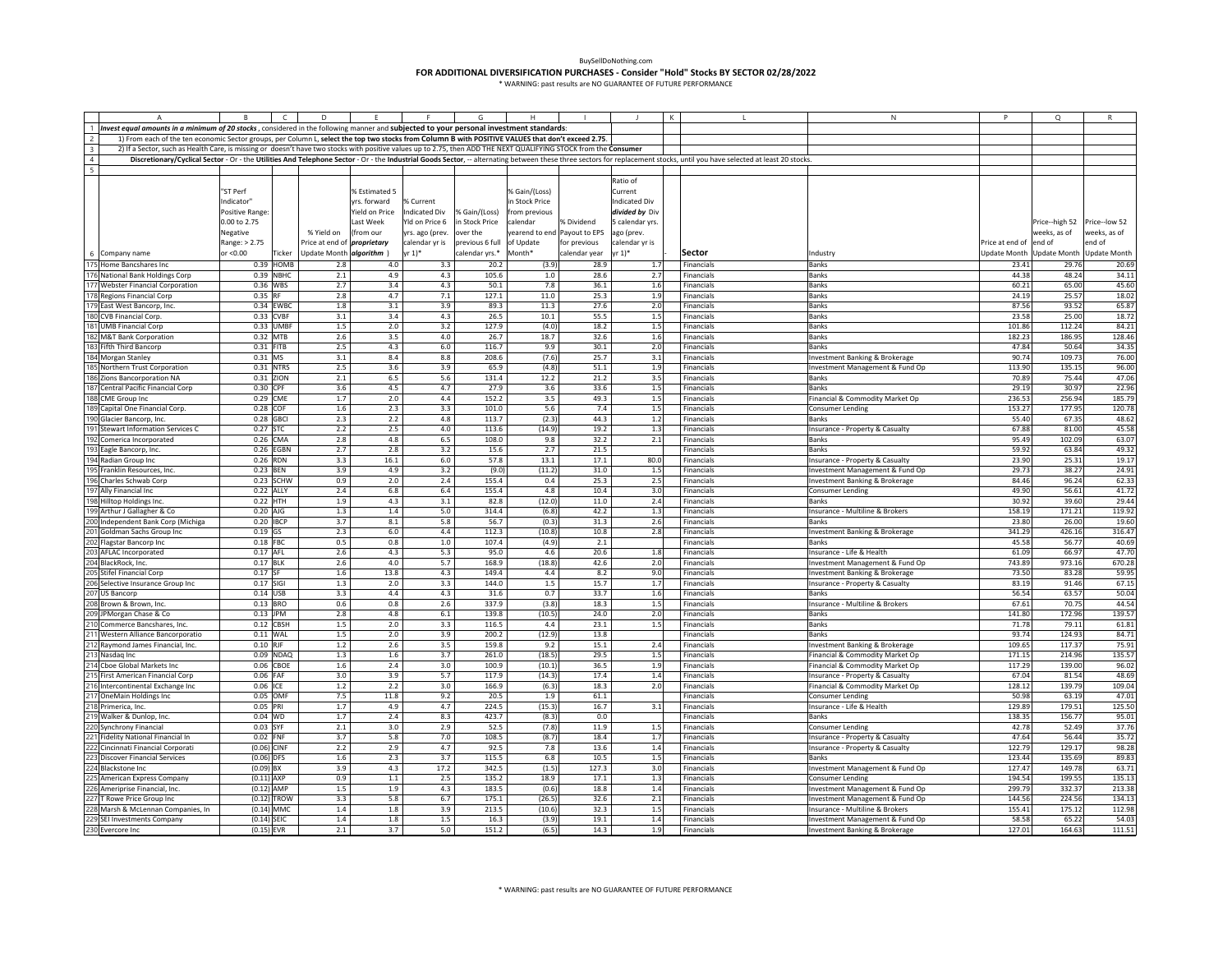|                          |                                                                                                                                                                                                                           |                       |             | D                                  |                |                      |                 |                |                             |                 |            |                          | N                                                  |                  | Q                         | R                   |
|--------------------------|---------------------------------------------------------------------------------------------------------------------------------------------------------------------------------------------------------------------------|-----------------------|-------------|------------------------------------|----------------|----------------------|-----------------|----------------|-----------------------------|-----------------|------------|--------------------------|----------------------------------------------------|------------------|---------------------------|---------------------|
|                          | 1 Invest equal amounts in a minimum of 20 stocks, considered in the following manner and subjected to your personal investment standards:                                                                                 |                       |             |                                    |                |                      |                 |                |                             |                 |            |                          |                                                    |                  |                           |                     |
|                          | 1) From each of the ten economic Sector groups, per Column L, select the top two stocks from Column B with POSITIVE VALUES that don't exceed 2.75.                                                                        |                       |             |                                    |                |                      |                 |                |                             |                 |            |                          |                                                    |                  |                           |                     |
| $\overline{\mathbf{3}}$  | 2) If a Sector, such as Health Care, is missing or doesn't have two stocks with positive values up to 2.75, then ADD THE NEXT QUALIFYING STOCK from the Consumer                                                          |                       |             |                                    |                |                      |                 |                |                             |                 |            |                          |                                                    |                  |                           |                     |
|                          | Discretionary/Cyclical Sector - Or - the Utilities And Telephone Sector - Or - the Industrial Goods Sector, -- alternating between these three sectors for replacement stocks, until you have selected at least 20 stocks |                       |             |                                    |                |                      |                 |                |                             |                 |            |                          |                                                    |                  |                           |                     |
| $\overline{\phantom{a}}$ |                                                                                                                                                                                                                           |                       |             |                                    |                |                      |                 |                |                             |                 |            |                          |                                                    |                  |                           |                     |
|                          |                                                                                                                                                                                                                           |                       |             |                                    |                |                      |                 |                |                             | Ratio of        |            |                          |                                                    |                  |                           |                     |
|                          |                                                                                                                                                                                                                           | "ST Perf              |             |                                    | % Estimated 5  |                      |                 | % Gain/(Loss)  |                             | Current         |            |                          |                                                    |                  |                           |                     |
|                          |                                                                                                                                                                                                                           | Indicator"            |             |                                    | yrs. forward   | % Current            |                 | n Stock Price  |                             | Indicated Div   |            |                          |                                                    |                  |                           |                     |
|                          |                                                                                                                                                                                                                           | Positive Range        |             |                                    | field on Price | <b>Indicated Div</b> | % Gain/(Loss)   | rom previous   |                             | divided by Div  |            |                          |                                                    |                  |                           |                     |
|                          |                                                                                                                                                                                                                           | 0.00 to 2.75          |             |                                    | ast Week       | Yld on Price 6       | in Stock Price  | calendar       | % Dividend                  | 5 calendar yrs. |            |                          |                                                    |                  | Price--high 52            | Price--low 52       |
|                          |                                                                                                                                                                                                                           | Negative              |             | % Yield on                         | (from our      | yrs. ago (prev.      | over the        |                | earend to end Payout to EPS | ago (prev.      |            |                          |                                                    |                  | veeks, as of              | veeks, as of        |
|                          |                                                                                                                                                                                                                           | Range: > 2.75         |             | Price at end of <i>proprietary</i> |                | calendar yr is       | previous 6 full | of Update      | for previous                | calendar yr is  |            |                          |                                                    | Price at end of  | end of                    | end of              |
|                          | 6 Company name                                                                                                                                                                                                            | or < 0.00             | Ticker      | Update Month algorithm )           |                | $yr 1$ <sup>*</sup>  | calendar yrs.*  | Month*         | calendar year               | r 1)*           |            | Sector                   | Industry                                           |                  | Update Month Update Month | <b>Update Month</b> |
|                          | 175 Home Bancshares Inc                                                                                                                                                                                                   | 0.39                  | <b>HOMB</b> | 2.8                                | 4.0            | 3.3                  | 20.2            | (3.9)          | 28.9                        |                 | 1.7        | Financials               | Banks                                              | 23.41            | 29.76                     | 20.69               |
| 176                      | National Bank Holdings Corp                                                                                                                                                                                               | 0.39                  | NBHC        | 2.1                                | 4.9            | 4.3                  | 105.6           | $1.0\,$        | 28.6                        |                 | 2.7        | Financials               | Banks                                              | 44.38            | 48.24                     | 34.11               |
|                          | <b>Webster Financial Corporation</b>                                                                                                                                                                                      | 0.36 WBS              |             | 2.7                                | 3.4            | 4.3                  | 50.1            | 7.8            | 36.1                        |                 | $1.6\,$    | Financials               | Banks                                              | 60.21            | 65.00                     | 45.60               |
|                          | 178 Regions Financial Corp                                                                                                                                                                                                | 0.35                  | RF          | $2.8\,$                            | 4.7            | 7.1                  | 127.1           | 11.0           | 25.3                        |                 | 1.9        | Financials               | Banks                                              | 24.19            | 25.57                     | 18.02               |
|                          | 179 East West Bancorp, Inc.                                                                                                                                                                                               |                       | 0.34 EWBC   | 1.8                                | 3.1            | 3.9                  | 89.3            | 11.3           | 27.6                        |                 | 2.0        | Financials               | <b>Banks</b>                                       | 87.56            | 93.52                     | 65.87               |
|                          | 180 CVB Financial Corp.                                                                                                                                                                                                   | 0.33 CVBF             |             | 3.1                                | 3.4            | 4.3                  | 26.5            | 10.1           | 55.5                        |                 | 1.5        | Financials               | Banks                                              | 23.58            | 25.00                     | 18.72               |
|                          | 181 UMB Financial Corp                                                                                                                                                                                                    | 0.33 UMBR             |             | 1.5                                | 2.0            | 3.2                  | 127.9           | (4.0)          | 18.2                        |                 | 1.5        | Financials               | <b>Banks</b>                                       | 101.86           | 112.24                    | 84.21               |
|                          | <b>M&amp;T Bank Corporation</b>                                                                                                                                                                                           | 0.32 MTB              |             | 2.6                                | 3.5            | 4.0                  | 26.7            | 18.7           | 32.6                        |                 | 1.6        | Financials               | <b>Banks</b>                                       | 182.23           | 186.95                    | 128.46              |
|                          | <b>Fifth Third Bancorp</b>                                                                                                                                                                                                | $0.31$ FITB           |             | 2.5                                | 4.3            | 6.0                  | 116.7           | 9.9            | 30.1                        |                 | 2.0        | <b>Financials</b>        | <b>Banks</b>                                       | 47.84            | 50.64                     | 34.35               |
|                          | 184 Morgan Stanley                                                                                                                                                                                                        | $0.31$ MS             |             | 3.1                                | 8.4            | 8.8                  | 208.6           | (7.6)          | 25.7                        |                 | 3.1        | <b>Financials</b>        | Investment Banking & Brokerage                     | 90.74            | 109.73                    | 76.00               |
|                          | Northern Trust Corporation                                                                                                                                                                                                | 0.31 NTRS             |             | 2.5                                | 3.6            | 3.9                  | 65.9            | (4.8)          | 51.1                        |                 | 1.9        | Financials               | Investment Management & Fund Op                    | 113.90           | 135.15                    | 96.00               |
|                          | Zions Bancorporation NA                                                                                                                                                                                                   | 0.31 ZION             |             | 2.1                                | 6.5            | 5.6                  | 131.4           | 12.2           | 21.2                        |                 | 3.5        | Financials               | Banks                                              | 70.89            | 75.44                     | 47.06               |
|                          | Central Pacific Financial Corp                                                                                                                                                                                            | 0.30 CPF              |             | 3.6                                | 4.5            | 4.7                  | 27.9            | 3.6            | 33.6                        |                 | 1.5        | Financials               | Banks                                              | 29.19            | 30.97                     | 22.96               |
|                          | 188 CME Group Inc                                                                                                                                                                                                         | 0.29 CME              |             | 1.7                                | 2.0            | 4.4                  | 152.2           | 3.5            | 49.3                        |                 | $1.5\,$    | Financials               | Financial & Commodity Market Op                    | 236.53           | 256.94                    | 185.79              |
|                          | Capital One Financial Corp.                                                                                                                                                                                               | 0.28                  | COF         | 1.6                                | 2.3            | 3.3                  | 101.0           | 5.6            | 7.4                         |                 | $1.5\,$    | Financials               | Consumer Lending                                   | 153.27           | 177.95                    | 120.78              |
|                          | Glacier Bancorp, Inc.                                                                                                                                                                                                     | 0.28                  | <b>GBCI</b> | 2.3                                | 2.2            | 4.8                  | 113.7           | (2.3)          | 44.3                        |                 | 1.2        | Financials               | <b>Banks</b>                                       | 55.40            | 67.35                     | 48.62               |
|                          | Stewart Information Services C                                                                                                                                                                                            | 0.27                  | <b>STC</b>  | 2.2                                | 2.5            | 4.0                  | 113.6           | (14.9)         | 19.2                        |                 | 1.3        | Financials               | nsurance - Property & Casualty                     | 67.88            | 81.00                     | 45.58               |
|                          | 192 Comerica Incorporated                                                                                                                                                                                                 | 0.26                  | CMA         | 2.8                                | 4.8            | 6.5                  | 108.0           | 9.8            | 32.2                        |                 | 2.1        | Financials               | Banks                                              | 95.49            | 102.09                    | 63.07               |
|                          | 193 Eagle Bancorp, Inc.                                                                                                                                                                                                   | 0.26                  | <b>EGBN</b> | 2.7                                | 2.8            | 3.2                  | 15.6            | 2.7            | 21.5                        |                 |            | Financials               | Banks                                              | 59.92            | 63.84                     | 49.32               |
| 194                      | Radian Group Inc                                                                                                                                                                                                          | 0.26 RDN              |             | 3.3                                | 16.1           | $6.0\,$              | 57.8            | 13.1           | 17.1                        |                 | 80.0       | Financials               | Insurance - Property & Casualty                    | 23.90            | 25.31                     | 19.17               |
|                          | 195 Franklin Resources, Inc.                                                                                                                                                                                              | 0.23 BEN              |             | 3.9                                | 4.9            | 3.2                  | (9.0)           | (11.2)         | 31.0                        |                 | 1.5        | Financials               | Investment Management & Fund Op                    | 29.73            | 38.27                     | 24.91               |
|                          | 196 Charles Schwab Corp                                                                                                                                                                                                   |                       | 0.23 SCHW   | 0.9                                | 2.0            | 2.4                  | 155.4           | 0.4            | 25.3                        |                 | 2.5        | Financials               | Investment Banking & Brokerage                     | 84.46            | 96.24                     | 62.33               |
|                          | Ally Financial Inc                                                                                                                                                                                                        | $0.22$ ALLY           |             | 2.4                                | 6.8            | 6.4                  | 155.4           | 4.8            | 10.4                        |                 | 3.0        | Financials               | Consumer Lending                                   | 49.90            | 56.61                     | 41.72               |
|                          | Hilltop Holdings Inc.                                                                                                                                                                                                     | 0.22 HTH              |             | 1.9                                | 4.3            | 3.1                  | 82.8            | (12.0)         | 11.0                        |                 | 2.4        | Financials               | Banks                                              | 30.92            | 39.60                     | 29.44               |
|                          | Arthur J Gallagher & Co                                                                                                                                                                                                   | $0.20$ AJG            |             | 1.3                                | $1.4\,$        | 5.0                  | 314.4           | (6.8)          | 42.2                        |                 | 1.3        | <b>Financials</b>        | nsurance - Multiline & Brokers                     | 158.19           | 171.21                    | 119.92              |
| 200                      | Independent Bank Corp (Michiga                                                                                                                                                                                            | 0.20 IBCP             |             | 3.7                                | 8.1            | 5.8                  | 56.7            | (0.3)          | 31.3                        |                 | 2.6        | Financials               | Banks                                              | 23.80            | 26.00                     | 19.60               |
|                          | 201 Goldman Sachs Group Inc                                                                                                                                                                                               | $0.19$ GS             |             | 2.3                                | 6.0            | 4.4                  | 112.3           | (10.8)         | 10.8                        |                 | 2.8        | Financials               | Investment Banking & Brokerage                     | 341.29           | 426.16                    | 316.47              |
|                          | <b>Flagstar Bancorp Inc</b>                                                                                                                                                                                               | $0.18$ FBC            |             | 0.5                                | 0.8            | $1.0\,$              | 107.4           | (4.9)          | 2.1                         |                 |            | Financials               | <b>Banks</b>                                       | 45.58            | 56.77                     | 40.69               |
|                          | AFLAC Incorporated                                                                                                                                                                                                        | 0.17 AFL              |             | $2.6\,$                            | 4.3            | $5.3\,$              | 95.0            | 4.6            | 20.6                        |                 | 1.8        | Financials               | Insurance - Life & Health                          | 61.09            | 66.97                     | 47.70               |
|                          | 204 BlackRock, Inc.                                                                                                                                                                                                       | 0.17 BLK              |             | 2.6                                | 4.0            | 5.7                  | 168.9           | (18.8)         | 42.6                        |                 | 2.0        | Financials               | Investment Management & Fund Op                    | 743.89           | 973.16                    | 670.28              |
|                          | Stifel Financial Corp                                                                                                                                                                                                     | $0.17$ SF             |             | 1.6                                | 13.8           | 4.3                  | 149.4           | 4.4            | 8.2                         |                 | 9.0        | Financials               | nvestment Banking & Brokerage                      | 73.50            | 83.28                     | 59.95               |
|                          | Selective Insurance Group Inc                                                                                                                                                                                             | 0.17                  | SIGI        | 1.3                                | 2.0            | 3.3                  | 144.0           | $1.5\,$        | 15.7                        |                 | 1.7        | Financials               | nsurance - Property & Casualty                     | 83.19            | 91.46                     | 67.15               |
|                          | 207 US Bancorp                                                                                                                                                                                                            | $0.14$ USB            |             | 3.3                                | 4.4            | 4.3                  | 31.6            | 0.7            | 33.7                        |                 | 1.6        | Financials               | Banks                                              | 56.54            | 63.57                     | 50.04               |
|                          | 208 Brown & Brown, Inc.                                                                                                                                                                                                   | 0.13 BRO              |             | 0.6                                | 0.8            | 2.6                  | 337.9           | (3.8)          | 18.3                        |                 | 1.5        | Financials               | Insurance - Multiline & Brokers                    | 67.61            | 70.75                     | 44.54               |
|                          | JPMorgan Chase & Co                                                                                                                                                                                                       | $0.13$ JPM            |             | 2.8                                | 4.8            | $6.1\,$              | 139.8           | (10.5)         | 24.0                        |                 | 2.0        | Financials               | Banks                                              | 141.80           | 172.96                    | 139.57              |
|                          | Commerce Bancshares, Inc.                                                                                                                                                                                                 | $0.12$ CBSH           |             | 1.5                                | 2.0            | 3.3                  | 116.5           | 4.4            | 23.1                        |                 | 1.5        | <b>Financials</b>        | <b>Banks</b>                                       | 71.78            | 79.11                     | 61.81               |
|                          | 211 Western Alliance Bancorporatio                                                                                                                                                                                        | 0.11 WAL              |             | 1.5                                | 2.0            | 3.9                  | 200.2           | (12.9)         | 13.8                        |                 |            | Financials               | <b>Banks</b>                                       | 93.74            | 124.93                    | 84.71               |
|                          | Raymond James Financial, Inc.                                                                                                                                                                                             | 0.10 RJF              |             | $1.2\,$                            | 2.6            | $3.5\,$              | 159.8           | 9.2            | 15.1                        |                 | 2.4        | Financials               | Investment Banking & Brokerage                     | 109.65           | 117.37                    | 75.91               |
|                          | Nasdag Inc                                                                                                                                                                                                                |                       | 0.09 NDAQ   | 1.3                                | 1.6            | 3.7                  | 261.0           | (18.5)         | 29.5                        |                 | 1.5        | Financials               | inancial & Commodity Market Op                     | 171.15           | 214.96                    | 135.57              |
|                          | Cboe Global Markets Inc                                                                                                                                                                                                   | 0.06 CBOE             |             | 1.6                                | 2.4            | 3.0                  | 100.9           | (10.1)         | 36.5                        |                 | 1.9        | Financials               | inancial & Commodity Market Op                     | 117.29           | 139.00                    | 96.02               |
|                          | First American Financial Corp                                                                                                                                                                                             | $0.06$ FAF            |             | 3.0                                | 3.9            | 5.7                  | 117.9           | (14.3)         | 17.4                        |                 | $1.4\,$    | Financials               | Insurance - Property & Casualty                    | 67.04            | 81.54                     | 48.69               |
|                          | 216 Intercontinental Exchange Inc                                                                                                                                                                                         | 0.06 ICE              |             | $1.2$                              | 2.2            | 3.0                  | 166.9           | (6.3)          | 18.3                        |                 | 2.0        | Financials               | Financial & Commodity Market Op                    | 128.12           | 139.79                    | 109.04              |
|                          | 217 OneMain Holdings Inc                                                                                                                                                                                                  | 0.05 OMF              |             | 7.5                                | 11.8           | 9.2                  | 20.5            | 1.9            | 61.1                        |                 |            | Financials               | Consumer Lending                                   | 50.98            | 63.19                     | 47.01               |
|                          | 218 Primerica, Inc.                                                                                                                                                                                                       | 0.05 PRI<br>$0.04$ WD |             | 1.7<br>1.7                         | 4.9<br>2.4     | 4.7<br>8.3           | 224.5<br>423.7  | (15.3)         | 16.7<br>0.0                 |                 | 3.1        | Financials               | Insurance - Life & Health<br>Banks                 | 129.89<br>138.35 | 179.51<br>156.77          | 125.50              |
|                          | 219 Walker & Dunlop, Inc.                                                                                                                                                                                                 |                       |             |                                    |                |                      |                 | (8.3)          |                             |                 |            | Financials               |                                                    |                  |                           | 95.01               |
|                          | Synchrony Financial<br>Fidelity National Financial In                                                                                                                                                                     | 0.03 SYF<br>0.02      | <b>FNF</b>  | 2.1<br>3.7                         | 3.0<br>5.8     | 2.9<br>7.0           | 52.5<br>108.5   | (7.8)<br>(8.7) | 11.9<br>18.4                |                 | 1.5<br>1.7 | Financials<br>Financials | Consumer Lending<br>nsurance - Property & Casualty | 42.78<br>47.64   | 52.49<br>56.44            | 37.76<br>35.7       |
|                          | Cincinnati Financial Corporati                                                                                                                                                                                            | $(0.06)$ CINF         |             | 2.2                                | 2.9            | 4.7                  | 92.5            | 7.8            | 13.6                        |                 | 1.4        | <b>Financials</b>        | Insurance - Property & Casualty                    | 122.79           | 129.17                    | 98.28               |
|                          | <b>Discover Financial Services</b>                                                                                                                                                                                        | $(0.06)$ DFS          |             | 1.6                                | 2.3            | 3.7                  | 115.5           | 6.8            | 10.5                        |                 | $1.5\,$    | Financials               | Banks                                              | 123.44           | 135.69                    | 89.83               |
| 223<br>224               | <b>Blackstone Inc</b>                                                                                                                                                                                                     | (0.09)                | <b>BX</b>   | 3.9                                | 4.3            | 17.2                 | 342.5           | (1.5)          | 127.3                       |                 | 3.0        | Financials               | Investment Management & Fund Op                    | 127.47           | 149.78                    | 63.71               |
|                          | American Express Company                                                                                                                                                                                                  | $(0.11)$ AXP          |             | 0.9                                | $1.1\,$        | 2.5                  | 135.2           | 18.9           | 17.1                        |                 | 1.3        | Financials               | Consumer Lending                                   | 194.54           | 199.55                    | 135.13              |
|                          | Ameriprise Financial, Inc.                                                                                                                                                                                                | $(0.12)$ AMP          |             | $1.5\,$                            | 1.9            | 4.3                  | 183.5           | (0.6)          | 18.8                        |                 | 1.4        | Financials               | Investment Management & Fund Op                    | 299.79           | 332.37                    | 213.38              |
|                          | T Rowe Price Group Inc                                                                                                                                                                                                    | (0.12) TROW           |             | 3.3                                | 5.8            | 6.7                  | 175.1           | (26.5)         | 32.6                        |                 | 2.1        | Financials               | Investment Management & Fund Op                    | 144.56           | 224.56                    | 134.13              |
|                          | Marsh & McLennan Companies, In                                                                                                                                                                                            | $(0.14)$ MMC          |             | 1.4                                | 1.8            | 3.9                  | 213.5           | (10.6)         | 32.3                        |                 | 1.5        | Financials               | nsurance - Multiline & Brokers                     | 155.41           | 175.12                    | 112.98              |
|                          | SEI Investments Company                                                                                                                                                                                                   | $(0.14)$ SEIC         |             | 1.4                                | 1.8            | 1.5                  | 16.3            | (3.9)          | 19.1                        |                 | 1.4        | Financials               | Investment Management & Fund Op                    | 58.58            | 65.22                     | 54.03               |
| 230                      | <b>Evercore Inc</b>                                                                                                                                                                                                       | (0.15)                | <b>EVR</b>  | 2.1                                | 3.7            | 5.0                  | 151.2           | (6.5)          | 14.3                        |                 | 1.9        | Financials               | <b>Investment Banking &amp; Brokerage</b>          | 127.01           | 164.63                    | 111.51              |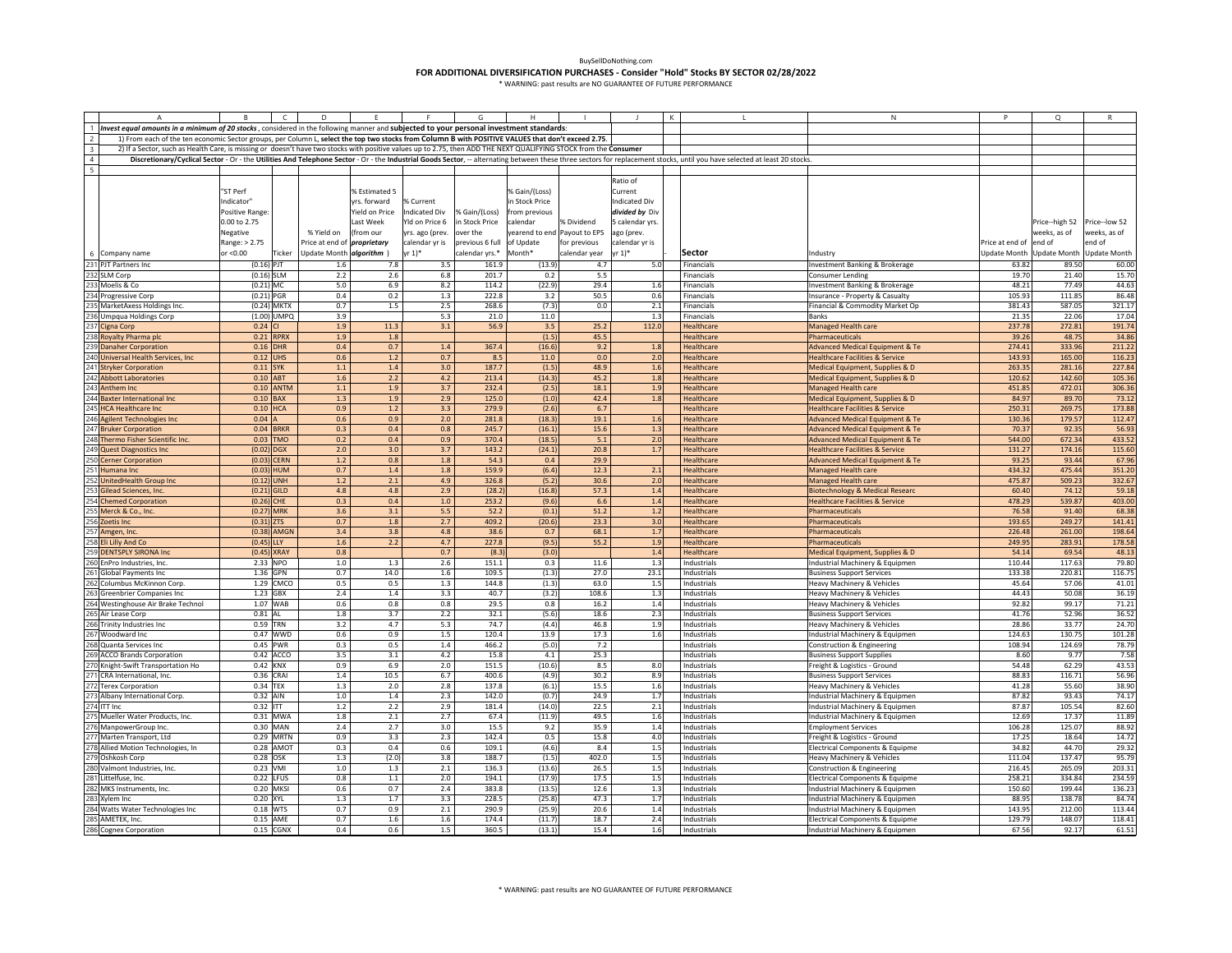|                         | $\overline{A}$                                                                                                                                                   | $\overline{B}$ | $\Box$          | D                                  | - E -          | F                    | G               | Н.             | $\mathbf{1}$                 | J                    | K | $\mathbf{L}$                                                                                                                                                                                                              | N                                          | P               | Q                         | R                   |
|-------------------------|------------------------------------------------------------------------------------------------------------------------------------------------------------------|----------------|-----------------|------------------------------------|----------------|----------------------|-----------------|----------------|------------------------------|----------------------|---|---------------------------------------------------------------------------------------------------------------------------------------------------------------------------------------------------------------------------|--------------------------------------------|-----------------|---------------------------|---------------------|
|                         | 1 Invest equal amounts in a minimum of 20 stocks, considered in the following manner and subjected to your personal investment standards:                        |                |                 |                                    |                |                      |                 |                |                              |                      |   |                                                                                                                                                                                                                           |                                            |                 |                           |                     |
|                         | 1) From each of the ten economic Sector groups, per Column L, select the top two stocks from Column B with POSITIVE VALUES that don't exceed 2.75.               |                |                 |                                    |                |                      |                 |                |                              |                      |   |                                                                                                                                                                                                                           |                                            |                 |                           |                     |
| $\overline{\mathbf{3}}$ | 2) If a Sector, such as Health Care, is missing or doesn't have two stocks with positive values up to 2.75, then ADD THE NEXT QUALIFYING STOCK from the Consumer |                |                 |                                    |                |                      |                 |                |                              |                      |   |                                                                                                                                                                                                                           |                                            |                 |                           |                     |
|                         |                                                                                                                                                                  |                |                 |                                    |                |                      |                 |                |                              |                      |   | Discretionary/Cyclical Sector - Or - the Utilities And Telephone Sector - Or - the Industrial Goods Sector, -- alternating between these three sectors for replacement stocks, until you have selected at least 20 stocks |                                            |                 |                           |                     |
| $\frac{4}{5}$           |                                                                                                                                                                  |                |                 |                                    |                |                      |                 |                |                              |                      |   |                                                                                                                                                                                                                           |                                            |                 |                           |                     |
|                         |                                                                                                                                                                  |                |                 |                                    |                |                      |                 |                |                              | Ratio of             |   |                                                                                                                                                                                                                           |                                            |                 |                           |                     |
|                         |                                                                                                                                                                  |                |                 |                                    |                |                      |                 |                |                              |                      |   |                                                                                                                                                                                                                           |                                            |                 |                           |                     |
|                         |                                                                                                                                                                  | "ST Perf       |                 |                                    | % Estimated 5  |                      |                 | % Gain/(Loss)  |                              | Current              |   |                                                                                                                                                                                                                           |                                            |                 |                           |                     |
|                         |                                                                                                                                                                  | Indicator"     |                 |                                    | yrs. forward   | % Current            |                 | in Stock Price |                              | <b>Indicated Div</b> |   |                                                                                                                                                                                                                           |                                            |                 |                           |                     |
|                         |                                                                                                                                                                  | Positive Range |                 |                                    | Yield on Price | <b>Indicated Div</b> | % Gain/(Loss)   | rom previous   |                              | divided by Div       |   |                                                                                                                                                                                                                           |                                            |                 |                           |                     |
|                         |                                                                                                                                                                  | 0.00 to 2.75   |                 |                                    | ast Week       | Yld on Price 6       | in Stock Price  | calendar       | % Dividend                   | 5 calendar yrs.      |   |                                                                                                                                                                                                                           |                                            |                 | Price--high 52            | Price--low 52       |
|                         |                                                                                                                                                                  | Negative       |                 | % Yield on                         | (from our      | yrs. ago (prev.      | over the        |                | yearend to end Payout to EPS | ago (prev.           |   |                                                                                                                                                                                                                           |                                            |                 | veeks, as of              | weeks, as of        |
|                         |                                                                                                                                                                  | Range: > 2.75  |                 | Price at end of <i>proprietary</i> |                | calendar yr is       | previous 6 full | of Update      | for previous                 | calendar yr is       |   |                                                                                                                                                                                                                           |                                            | Price at end of | end of                    | end of              |
|                         | 6 Company name                                                                                                                                                   | or <0.00       | Ticker          | Update Month <i>algorithm</i> )    |                | $yr 1$ <sup>*</sup>  | calendar yrs.*  | Month*         | calendar year                | r 1)*                |   | Sector                                                                                                                                                                                                                    | ndustry                                    |                 | Update Month Update Month | <b>Update Month</b> |
|                         |                                                                                                                                                                  | $(0.16)$ PJT   |                 | 1.6                                | 7.8            | 3.5                  | 161.9           | (13.9)         | 4.7                          | 5.0                  |   | Financials                                                                                                                                                                                                                | nvestment Banking & Brokerage              | 63.82           | 89.50                     | 60.00               |
|                         | 231 PJT Partners Inc<br>232 SLM Corp                                                                                                                             | $(0.16)$ SLM   |                 | 2.2                                | 2.6            | 6.8                  | 201.7           | 0.2            | 5.5                          |                      |   | Financials                                                                                                                                                                                                                | Consumer Lending                           | 19.70           | 21.40                     | 15.70               |
|                         |                                                                                                                                                                  |                |                 |                                    |                |                      |                 |                |                              |                      |   |                                                                                                                                                                                                                           |                                            |                 | 77.49                     |                     |
|                         | 233 Moelis & Co<br>233 Moelis & Co<br>234 Progressive Corp                                                                                                       | $(0.21)$ MC    |                 | 5.0                                | 6.9            | 8.2                  | 114.2           | (22.9)         | 29.4                         | 1.6                  |   | Financials                                                                                                                                                                                                                | Investment Banking & Brokerage             | 48.21           |                           | 44.63               |
|                         |                                                                                                                                                                  | $(0.21)$ PGR   |                 | 0.4                                | 0.2            | 1.3                  | 222.8           | 3.2            | 50.5                         | 0.6                  |   | Financials                                                                                                                                                                                                                | Insurance - Property & Casualty            | 105.93          | 111.85                    | 86.48               |
| 235                     | MarketAxess Holdings Inc.                                                                                                                                        | (0.24) MKTX    |                 | 0.7                                | 1.5            | 2.5                  | 268.6           | (7.3)          | 0.0                          | 2.1                  |   | Financials                                                                                                                                                                                                                | Financial & Commodity Market Op            | 381.43          | 587.05                    | 321.17              |
|                         | 236 Umpqua Holdings Corp                                                                                                                                         |                | (1.00) UMPO     | 3.9                                |                | 5.3                  | 21.0            | 11.0           |                              | 1.3                  |   | <b>Financials</b>                                                                                                                                                                                                         | <b>Banks</b>                               | 21.35           | 22.06                     | 17.04               |
|                         | 237 Cigna Corp                                                                                                                                                   | 0.24           |                 | 1.9                                | 11.3           | 3.1                  | 56.9            | 3.5            | 25.2                         | 112.0                |   | Healthcare                                                                                                                                                                                                                | Managed Health care                        | 237.78          | 272.8                     | 191.74              |
|                         | 238 Royalty Pharma plc                                                                                                                                           | 0.21           | <b>RPRX</b>     | 1.9                                | $1.8\,$        |                      |                 | (1.5)          | 45.5                         |                      |   | Healthcare                                                                                                                                                                                                                | harmaceuticals                             | 39.26           | 48.75                     | 34.86               |
|                         | 239 Danaher Corporation                                                                                                                                          | 0.16           | <b>HR</b>       | 0.4                                | 0.7            | 1.4                  | 367.4           | (16.6)         | 9.2                          | 1.8                  |   | Healthcare                                                                                                                                                                                                                | dvanced Medical Equipment & Te             | 274.41          | 333.9                     | 211.22              |
|                         | 240 Universal Health Services, Inc.                                                                                                                              | 0.12           | <b>UHS</b>      | 0.6                                | $1.2\,$        | 0.7                  | 8.5             | 11.0           | 0.0                          | 2.0                  |   | Healthcare                                                                                                                                                                                                                | lealthcare Facilities & Service            | 143.93          | 165.00                    | 116.23              |
|                         | 241 Stryker Corporation                                                                                                                                          | 0.11 SYK       |                 | 1.1                                | 1.4            | 3.0                  | 187.7           | (1.5)          | 48.9                         | 1.6                  |   | Healthcare                                                                                                                                                                                                                | Medical Equipment, Supplies & D            | 263.35          | 281.16                    | 227.84              |
|                         | 242 Abbott Laboratories                                                                                                                                          | $0.10$ ABT     |                 | 1.6                                | 2.2            | 4.2                  | 213.4           | (14.3)         | 45.2                         | 1.8                  |   | Healthcare                                                                                                                                                                                                                | Medical Equipment, Supplies & D            | 120.62          | 142.60                    | 105.36              |
|                         | 243 Anthem Inc                                                                                                                                                   |                | 0.10 ANTM       | $1.1$                              | 1.9            | 3.7                  | 232.4           | (2.5)          | 18.1                         | 1.9                  |   | Healthcare                                                                                                                                                                                                                | <b>Managed Health care</b>                 | 451.85          | 472.01                    | 306.36              |
|                         |                                                                                                                                                                  |                |                 |                                    |                |                      |                 |                |                              |                      |   |                                                                                                                                                                                                                           |                                            |                 |                           |                     |
|                         | 244 Baxter International Inc                                                                                                                                     | 0.10           | <b>BAX</b>      | 1.3                                | 1.9            | 2.9                  | 125.0           | (1.0)          | 42.4                         | 1.8                  |   | Healthcare                                                                                                                                                                                                                | Medical Equipment, Supplies & D            | 84.9            | 89.70                     | 73.12               |
|                         | 245 HCA Healthcare Inc                                                                                                                                           | 0.10           | <b>HCA</b>      | 0.9                                | 1.2            | 3.3                  | 279.9           | (2.6)          | 6.7                          |                      |   | Healthcare                                                                                                                                                                                                                | <b>Healthcare Facilities &amp; Service</b> | 250.31          | 269.75                    | 173.88              |
|                         | 246 Agilent Technologies Inc                                                                                                                                     | 0.04           |                 | 0.6                                | 0.9            | 2.0                  | 281.8           | (18.3)         | 19.1                         | 1.6                  |   | Healthcare                                                                                                                                                                                                                | dvanced Medical Equipment & Te             | 130.3           | 179.5                     | 112.4               |
|                         | 247 Bruker Corporation                                                                                                                                           | 0.04           | RKR             | 0.3                                | 0.4            | 0.8                  | 245.7           | (16.1)         | 15.6                         | 1.3                  |   | <b>Healthcare</b>                                                                                                                                                                                                         | dvanced Medical Equipment & Te             | 70.37           | 92.3                      | 56.93               |
|                         | 248 Thermo Fisher Scientific Inc.                                                                                                                                | 0.03           | MO <sup>-</sup> | 0.2                                | 0.4            | 0.9                  | 370.4           | (18.5)         | 5.1                          | 2.0                  |   | Healthcare                                                                                                                                                                                                                | <b>Advanced Medical Equipment &amp; Te</b> | 544.00          | 672.34                    | 433.52              |
|                         | 249 Quest Diagnostics Inc                                                                                                                                        | (0.02)         | <b>DGX</b>      | 2.0                                | 3.0            | 3.7                  | 143.2           | (24.1)         | 20.8                         | 1.7                  |   | Healthcare                                                                                                                                                                                                                | <b>Healthcare Facilities &amp; Service</b> | 131.27          | 174.16                    | 115.60              |
|                         | 250 Cerner Corporation                                                                                                                                           | (0.03)         | CERN            | 1.2                                | 0.8            | 1.8                  | 54.3            | 0.4            | 29.9                         |                      |   | Healthcare                                                                                                                                                                                                                | <b>Advanced Medical Equipment &amp; Te</b> | 93.25           | 93.44                     | 67.96               |
|                         | 251 Humana Inc                                                                                                                                                   | (0.03)         | HUM             | 0.7                                | 1.4            | 1.8                  | 159.9           | (6.4)          | 12.3                         | 2.1                  |   | Healthcare                                                                                                                                                                                                                | Managed Health care                        | 434.32          | 475.44                    | 351.20              |
|                         | 252 UnitedHealth Group Inc                                                                                                                                       | (0.12)         | <b>JNH</b>      | 1.2                                | 2.1            | 4.9                  | 326.8           | (5.2)          | 30.6                         | 2.0                  |   | <b>Healthcare</b>                                                                                                                                                                                                         | Managed Health care                        | 475.8           | 509.23                    | 332.67              |
|                         | 253 Gilead Sciences, Inc.                                                                                                                                        | (0.21)         | <b>GILD</b>     | 4.8                                | 4.8            | 2.9                  | (28.2)          | (16.8)         | 57.3                         | 1.4                  |   | Healthcare                                                                                                                                                                                                                | <b>Biotechnology &amp; Medical Researc</b> | 60.40           | 74.12                     | 59.18               |
|                         | 254 Chemed Corporation                                                                                                                                           | (0.26)         | HE              | 0.3                                | 0.4            | 1.0                  | 253.2           | (9.6)          | 6.6                          | 1.4                  |   | Healthcare                                                                                                                                                                                                                | lealthcare Facilities & Service            | 478.29          | 539.8                     | 403.00              |
|                         | 255 Merck & Co., Inc.                                                                                                                                            | (0.27)         | <b>MRK</b>      | 3.6                                | 3.1            | 5.5                  | 52.2            | (0.1)          | 51.2                         | 1.2                  |   | Healthcare                                                                                                                                                                                                                | harmaceuticals                             | 76.58           | 91.40                     | 68.38               |
|                         |                                                                                                                                                                  |                | 7TS             | 0.7                                |                | 2.7                  |                 |                | 23.3                         |                      |   |                                                                                                                                                                                                                           |                                            | 193.65          | 249.27                    | 141.41              |
|                         | 256 Zoetis Inc                                                                                                                                                   | (0.31)         |                 |                                    | 1.8            |                      | 409.2           | (20.6)         |                              | 3.0                  |   | Healthcare                                                                                                                                                                                                                | harmaceuticals                             |                 |                           |                     |
|                         | 257 Amgen, Inc.                                                                                                                                                  | $(0.38)$ AMGN  |                 | 3.4                                | 3.8            | 4.8                  | 38.6            | 0.7            | 68.1                         | 1.7                  |   | Healthcare                                                                                                                                                                                                                | harmaceuticals                             | 226.48          | 261.00                    | 198.64              |
|                         | 258 Eli Lilly And Co                                                                                                                                             | $(0.45)$ LLY   |                 | 1.6                                | 2.2            | 4.7                  | 227.8           | (9.5)          | 55.2                         | 1.9                  |   | Healthcare                                                                                                                                                                                                                | Pharmaceuticals                            | 249.9           | 283.91                    | 178.58              |
|                         | 259 DENTSPLY SIRONA Inc                                                                                                                                          | (0.45)         | <b>XRAY</b>     | 0.8                                |                | 0.7                  | (8.3)           | (3.0)          |                              | 1.4                  |   | Healthcare                                                                                                                                                                                                                | Medical Equipment, Supplies & D            | 54.14           | 69.54                     | 48.13               |
|                         | 260 EnPro Industries, Inc.                                                                                                                                       | 2.33 NPO       |                 | $1.0$                              | 1.3            | 2.6                  | 151.1           | 0.3            | 11.6                         | 1.3                  |   | Industrials                                                                                                                                                                                                               | Industrial Machinery & Equipmen            | 110.44          | 117.63                    | 79.80               |
|                         | Global Payments Inc                                                                                                                                              | 1.36           | GPN             | 0.7                                | 14.0           | 1.6                  | 109.5           | (1.3)          | 27.0                         | 23.1                 |   | Industrials                                                                                                                                                                                                               | <b>Business Support Services</b>           | 133.38          | 220.81                    | 116.7               |
|                         | Columbus McKinnon Corp                                                                                                                                           | 1.29           | CMCO            | 0.5                                | 0.5            | $1.3\,$              | 144.8           | (1.3)          | 63.0                         | 1.5                  |   | Industrials                                                                                                                                                                                                               | Heavy Machinery & Vehicles                 | 45.64           | 57.06                     | 41.01               |
| 263                     | Greenbrier Companies Inc                                                                                                                                         | 1.23           | <b>GBX</b>      | 2.4                                | $1.4\,$        | 3.3                  | 40.7            | (3.2)          | 108.6                        | 1.3                  |   | Industrials                                                                                                                                                                                                               | Heavy Machinery & Vehicles                 | 44.43           | 50.08                     | 36.19               |
|                         | 264 Westinghouse Air Brake Technol                                                                                                                               |                | 1.07 WAB        | 0.6                                | $0.8\,$        | 0.8                  | 29.5            | 0.8            | 16.2                         | $1.4\,$              |   | Industrials                                                                                                                                                                                                               | Heavy Machinery & Vehicles                 | 92.82           | 99.17                     | 71.21               |
|                         | 265 Air Lease Corp                                                                                                                                               | 0.81 AL        |                 | 1.8                                | 3.7            | 2.2                  | 32.1            | (5.6)          | 18.6                         | 2.3                  |   | Industrials                                                                                                                                                                                                               | <b>Business Support Services</b>           | 41.76           | 52.96                     | 36.52               |
|                         | Trinity Industries Inc                                                                                                                                           | 0.59 TRN       |                 | 3.2                                | 4.7            | 5.3                  | 74.7            | (4.4)          | 46.8                         | 1.9                  |   | Industrials                                                                                                                                                                                                               | Heavy Machinery & Vehicles                 | 28.86           | 33.77                     | 24.70               |
|                         | 267 Woodward Inc                                                                                                                                                 |                | 0.47 WWD        | 0.6                                | 0.9            | $1.5\,$              | 120.4           | 13.9           | 17.3                         | 1.6                  |   | Industrials                                                                                                                                                                                                               | Industrial Machinery & Equipmen            | 124.63          | 130.75                    | 101.28              |
|                         | 268 Quanta Services Inc                                                                                                                                          | 0.45 PWR       |                 | 0.3                                | 0.5            | 1.4                  | 466.2           | (5.0)          | 7.2                          |                      |   | Industrials                                                                                                                                                                                                               | Construction & Engineering                 | 108.94          | 124.69                    | 78.79               |
|                         |                                                                                                                                                                  |                |                 |                                    |                |                      |                 |                |                              |                      |   |                                                                                                                                                                                                                           |                                            |                 |                           |                     |
|                         | <b>ACCO Brands Corporation</b>                                                                                                                                   |                | 0.42 ACCO       | 3.5<br>0.9                         | 3.1            | 4.2                  | 15.8            | 4.1            | 25.3                         |                      |   | Industrials                                                                                                                                                                                                               | <b>Business Support Supplies</b>           | 8.60<br>54.48   | 9.77                      | 7.58<br>43.53       |
|                         | Knight-Swift Transportation Ho                                                                                                                                   | 0.42 KNX       |                 |                                    | 6.9            | 2.0                  | 151.5           | (10.6)         | 8.5                          | 8.0                  |   | Industrials                                                                                                                                                                                                               | Freight & Logistics - Ground               |                 | 62.29                     |                     |
|                         | CRA International, Inc.                                                                                                                                          | 0.36 CRAI      |                 | 1.4                                | 10.5           | 6.7                  | 400.6           | (4.9)          | 30.2                         | 8.9                  |   | Industrials                                                                                                                                                                                                               | <b>Business Support Services</b>           | 88.83           | 116.71                    | 56.96               |
|                         | <b>Terex Corporation</b>                                                                                                                                         | $0.34$ TEX     |                 | 1.3                                | $2.0\,$        | $2.8\,$              | 137.8           | (6.1)          | 15.5                         | 1.6                  |   | Industrials                                                                                                                                                                                                               | Heavy Machinery & Vehicles                 | 41.28           | 55.60                     | 38.90               |
|                         | Albany International Corp.                                                                                                                                       | 0.32 AIN       |                 | $1.0$                              | 1.4            | 2.3                  | 142.0           | (0.7)          | 24.9                         | 1.7                  |   | Industrials                                                                                                                                                                                                               | Industrial Machinery & Equipmen            | 87.82           | 93.43                     | 74.17               |
|                         | 274 ITT Inc                                                                                                                                                      | $0.32$ ITT     |                 | $1.2\,$                            | $2.2\,$        | 2.9                  | 181.4           | (14.0)         | 22.5                         | 2.1                  |   | Industrials                                                                                                                                                                                                               | Industrial Machinery & Equipmen            | 87.87           | 105.54                    | 82.60               |
|                         | 275 Mueller Water Products, Inc.                                                                                                                                 | 0.31 MWA       |                 | 1.8                                | 2.1            | 2.7                  | 67.4            | (11.9)         | 49.5                         | $1.6\,$              |   | Industrials                                                                                                                                                                                                               | Industrial Machinery & Equipmen            | 12.69           | 17.37                     | 11.89               |
|                         | ManpowerGroup Inc.                                                                                                                                               | 0.30 MAN       |                 | 2.4                                | 2.7            | 3.0                  | 15.5            | 9.2            | 35.9                         | 1.4                  |   | Industrials                                                                                                                                                                                                               | <b>Employment Services</b>                 | 106.28          | 125.07                    | 88.92               |
|                         | Marten Transport, Ltd                                                                                                                                            | 0.29           | <b>MRTN</b>     | 0.9                                | 3.3            | 2.3                  | 142.4           | 0.5            | 15.8                         | 4.0                  |   | Industrials                                                                                                                                                                                                               | reight & Logistics - Ground                | 17.25           | 18.64                     | 14.72               |
|                         | Allied Motion Technologies, In                                                                                                                                   | 0.28           | AMOT            | 0.3                                | 0.4            | 0.6                  | 109.1           | (4.6)          | 8.4                          | 1.5                  |   | Industrials                                                                                                                                                                                                               | Electrical Components & Equipme            | 34.82           | 44.70                     | 29.32               |
|                         | Oshkosh Corp                                                                                                                                                     | 0.28           | OSK             | $1.3\,$                            | (2.0)          | 3.8                  | 188.7           | (1.5)          | 402.0                        | $1.5\,$              |   | Industrials                                                                                                                                                                                                               | Heavy Machinery & Vehicles                 | 111.04          | 137.47                    | 95.79               |
|                         | Valmont Industries, Inc.                                                                                                                                         | 0.23 VMI       |                 | 1.0                                | 1.3            | 2.1                  | 136.3           | (13.6)         | 26.5                         | 1.5                  |   | Industrials                                                                                                                                                                                                               | Construction & Engineering                 | 216.45          | 265.09                    | 203.31              |
|                         | 281 Littelfuse, Inc.                                                                                                                                             |                |                 | 0.8                                | $1.1\,$        | 2.0                  | 194.1           | (17.9)         | 17.5                         | 1.5                  |   | Industrials                                                                                                                                                                                                               | Electrical Components & Equipme            | 258.21          | 334.84                    | 234.59              |
|                         |                                                                                                                                                                  |                | $0.22$ LFUS     |                                    |                |                      |                 |                |                              |                      |   |                                                                                                                                                                                                                           |                                            |                 |                           |                     |
|                         | MKS Instruments, Inc.                                                                                                                                            |                | 0.20 MKSI       | 0.6                                | 0.7            | 2.4                  | 383.8           | (13.5)         | 12.6                         | 1.3                  |   | Industrials                                                                                                                                                                                                               | Industrial Machinery & Equipmen            | 150.60          | 199.44                    | 136.23              |
|                         | Xylem Inc                                                                                                                                                        | 0.20 XYL       |                 | 1.3                                | 1.7            | 3.3                  | 228.5           | (25.8)         | 47.3                         | 1.7                  |   | Industrials                                                                                                                                                                                                               | Industrial Machinery & Equipmen            | 88.95           | 138.78                    | 84.74               |
|                         | Watts Water Technologies Inc                                                                                                                                     | $0.18$ WTS     |                 | 0.7                                | 0.9            | 2.1                  | 290.9           | (25.9)         | 20.6                         | 1.4                  |   | Industrials                                                                                                                                                                                                               | ndustrial Machinery & Equipmen             | 143.95          | 212.00                    | 113.44              |
|                         | AMETEK, Inc.                                                                                                                                                     | $0.15$ AME     |                 | 0.7                                | 1.6            | 1.6                  | 174.4           | (11.7)         | 18.7                         | 2.4                  |   | Industrials                                                                                                                                                                                                               | Electrical Components & Equipme            | 129.79          | 148.07                    | 118.41              |
|                         | 286 Cognex Corporation                                                                                                                                           |                | $0.15$ CGNX     | 0.4                                | 0.6            | 1.5                  | 360.5           | (13.1)         | 15.4                         | 1.6                  |   | Industrials                                                                                                                                                                                                               | Industrial Machinery & Equipmen            | 67.56           | 92.17                     | 61.51               |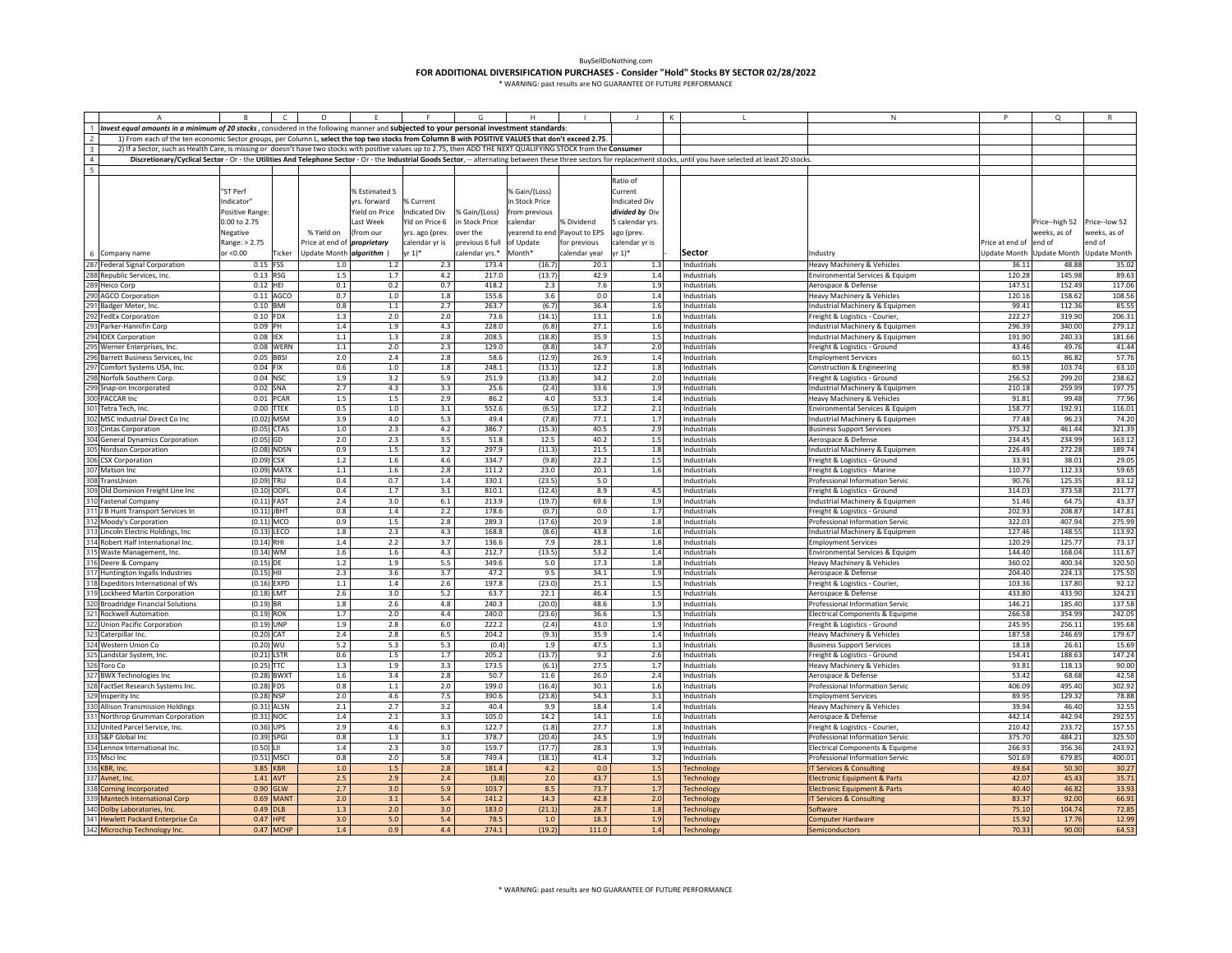|                         |                                                                                                                                                                  |                              |                        | D                                  |                |                      |                 |                  |                             |                    |            |                                                                                                                                                                                                                           | N                                                                  | P                      | $\Omega$                  |                     |
|-------------------------|------------------------------------------------------------------------------------------------------------------------------------------------------------------|------------------------------|------------------------|------------------------------------|----------------|----------------------|-----------------|------------------|-----------------------------|--------------------|------------|---------------------------------------------------------------------------------------------------------------------------------------------------------------------------------------------------------------------------|--------------------------------------------------------------------|------------------------|---------------------------|---------------------|
|                         | Invest equal amounts in a minimum of 20 stocks, considered in the following manner and subjected to your personal investment standards:                          |                              |                        |                                    |                |                      |                 |                  |                             |                    |            |                                                                                                                                                                                                                           |                                                                    |                        |                           |                     |
| $\overline{2}$          | 1) From each of the ten economic Sector groups, per Column L, select the top two stocks from Column B with POSITIVE VALUES that don't exceed 2.75.               |                              |                        |                                    |                |                      |                 |                  |                             |                    |            |                                                                                                                                                                                                                           |                                                                    |                        |                           |                     |
| $\overline{\mathbf{3}}$ | 2) If a Sector, such as Health Care, is missing or doesn't have two stocks with positive values up to 2.75, then ADD THE NEXT QUALIFYING STOCK from the Consumer |                              |                        |                                    |                |                      |                 |                  |                             |                    |            |                                                                                                                                                                                                                           |                                                                    |                        |                           |                     |
| $\overline{4}$          |                                                                                                                                                                  |                              |                        |                                    |                |                      |                 |                  |                             |                    |            | Discretionary/Cyclical Sector - Or - the Utilities And Telephone Sector - Or - the Industrial Goods Sector, -- alternating between these three sectors for replacement stocks, until you have selected at least 20 stocks |                                                                    |                        |                           |                     |
| 5                       |                                                                                                                                                                  |                              |                        |                                    |                |                      |                 |                  |                             |                    |            |                                                                                                                                                                                                                           |                                                                    |                        |                           |                     |
|                         |                                                                                                                                                                  |                              |                        |                                    |                |                      |                 |                  |                             | Ratio of           |            |                                                                                                                                                                                                                           |                                                                    |                        |                           |                     |
|                         |                                                                                                                                                                  | "ST Perf                     |                        |                                    | % Estimated 5  |                      |                 | % Gain/(Loss)    |                             | Current            |            |                                                                                                                                                                                                                           |                                                                    |                        |                           |                     |
|                         |                                                                                                                                                                  | Indicator"                   |                        |                                    | rs, forward    | % Current            |                 | n Stock Price    |                             | ndicated Div       |            |                                                                                                                                                                                                                           |                                                                    |                        |                           |                     |
|                         |                                                                                                                                                                  | Positive Range               |                        |                                    | Yield on Price | <b>Indicated Div</b> | % Gain/(Loss)   | rom previous     |                             | divided by Div     |            |                                                                                                                                                                                                                           |                                                                    |                        |                           |                     |
|                         |                                                                                                                                                                  | 0.00 to 2.75                 |                        |                                    | Last Week      | Yld on Price 6       | in Stock Price  | alendar          | % Dividend                  | calendar yrs.      |            |                                                                                                                                                                                                                           |                                                                    |                        | Price--high 52            | Price--low 52       |
|                         |                                                                                                                                                                  | Negative                     |                        | % Yield on                         | (from our      | yrs. ago (prev.      | over the        |                  | earend to end Payout to EPS | ago (prev.         |            |                                                                                                                                                                                                                           |                                                                    |                        | weeks, as of              | veeks, as of        |
|                         |                                                                                                                                                                  | Range: > 2.75                |                        | Price at end of <i>proprietary</i> |                | calendar yr is       | previous 6 full | of Update        | for previous                | alendar yr is      |            |                                                                                                                                                                                                                           |                                                                    | Price at end of end of |                           | end of              |
|                         | Company name                                                                                                                                                     | or <0.00                     | Ticker                 | Update Month algorithm             |                | $yr 1)*$             | calendar yrs.*  | Month*           | calendar year               | $r 1$ <sup>*</sup> |            | <b>Sector</b>                                                                                                                                                                                                             | Industry                                                           |                        | Update Month Update Month | <b>Update Month</b> |
| 287                     | <b>Federal Signal Corporation</b>                                                                                                                                | 0.15 FSS                     |                        | 1.0                                | 1.2            | 2.3                  | 173.4           | (16.7)           | 20.1                        |                    | 1.3        | Industrials                                                                                                                                                                                                               | Heavy Machinery & Vehicles                                         | 36.11                  | 48.88                     | 35.02               |
| 288                     | Republic Services, Inc.                                                                                                                                          | $0.13$ RSG                   |                        | $1.5\,$                            | 1.7            | 4.2                  | 217.0           | (13.7)           | 42.9                        |                    | 1.4        | Industrials                                                                                                                                                                                                               | Environmental Services & Equipm                                    | 120.28                 | 145.98                    | 89.63               |
|                         | Heico Corp                                                                                                                                                       | $0.12$ HEI                   |                        | 0.1                                | 0.2            | 0.7                  | 418.2           | 2.3              | 7.6                         |                    | 1.9        | Industrials                                                                                                                                                                                                               | Aerospace & Defense                                                | 147.51                 | 152.49                    | 117.06              |
|                         | <b>AGCO Corporation</b>                                                                                                                                          |                              | 0.11 AGCC              | 0.7                                | $1.0\,$        | $1.8\,$              | 155.6           | 3.6              | 0.0                         |                    | 1.4        | Industrials                                                                                                                                                                                                               | Heavy Machinery & Vehicles                                         | 120.16                 | 158.62                    | 108.56              |
|                         | Badger Meter, Inc.                                                                                                                                               | $0.10$ BMI                   |                        | 0.8                                | $1.1\,$        | 2.7                  | 263.7           | (6.7)            | 36.4                        |                    | 1.6        | Industrials                                                                                                                                                                                                               | Industrial Machinery & Equipmen                                    | 99.41                  | 112.36                    | 85.55               |
|                         | 292 FedEx Corporation                                                                                                                                            | $0.10$ FDX                   |                        | $1.3\,$                            | 2.0            | 2.0                  | 73.6            | (14.1)           | 13.1                        |                    | 1.6        | Industrials                                                                                                                                                                                                               | Freight & Logistics - Courier,                                     | 222.27                 | 319.90                    | 206.31              |
|                         | 293 Parker-Hannifin Corp                                                                                                                                         | 0.09 PH                      |                        | 1.4                                | 1.9            | 4.3                  | 228.0           | (6.8)            | 27.1                        |                    | 1.6        | Industrials                                                                                                                                                                                                               | Industrial Machinery & Equipmen                                    | 296.39                 | 340.00                    | 279.12              |
|                         | <b>DEX Corporation</b>                                                                                                                                           | 0.08 IEX                     |                        | $1.1$                              | 1.3            | 2.8                  | 208.5           | (18.8)           | 35.9                        |                    | 1.5        | Industrials                                                                                                                                                                                                               | Industrial Machinery & Equipmen                                    | 191.90                 | 240.33                    | 181.66              |
|                         | Werner Enterprises, Inc.                                                                                                                                         |                              | 0.08 WERN              | $1.1\,$                            | 2.0            | $2.3\,$              | 129.0           | (8.8)            | 14.7                        |                    | 2.0        | Industrials                                                                                                                                                                                                               | Freight & Logistics - Ground                                       | 43.46                  | 49.76                     | 41.44               |
|                         | 296 Barrett Business Services, Inc                                                                                                                               | 0.05 BBSI                    |                        | 2.0                                | 2.4            | 2.8                  | 58.6            | (12.9)           | 26.9                        |                    | 1.4        | Industrials                                                                                                                                                                                                               | <b>Employment Services</b>                                         | 60.15                  | 86.82                     | 57.76               |
|                         | Comfort Systems USA, Inc.                                                                                                                                        | 0.04 FIX                     |                        | 0.6                                | 1.0            | 1.8                  | 248.1           | (13.1)           | 12.2                        |                    | 1.8        | Industrials                                                                                                                                                                                                               | Construction & Engineering                                         | 85.98                  | 103.74                    | 63.10               |
|                         | 298 Norfolk Southern Corp.                                                                                                                                       | 0.04 NSC                     |                        | 1.9                                | 3.2            | 5.9                  | 251.9           | (13.8)           | 34.2                        |                    | 2.0        | Industrials                                                                                                                                                                                                               | Freight & Logistics - Ground                                       | 256.52                 | 299.20                    | 238.62              |
|                         | 299 Snap-on Incorporated                                                                                                                                         | 0.02 SNA                     |                        | 2.7                                | 4.3<br>1.5     | 3.3                  | 25.6            | (2.4)            | 33.6                        |                    | 1.9        | Industrials                                                                                                                                                                                                               | Industrial Machinery & Equipmen                                    | 210.18                 | 259.99                    | 197.75              |
|                         | 300 PACCAR Inc<br>Fetra Tech, Inc.                                                                                                                               |                              | 0.01 PCAR<br>0.00 TTEK | $1.5\,$<br>0.5                     | 1.0            | 2.9                  | 86.2<br>552.6   | $4.0\,$<br>(6.5) | 53.3<br>17.2                |                    | $1.4\,$    | Industrials<br>Industrials                                                                                                                                                                                                | Heavy Machinery & Vehicles                                         | 91.81<br>158.77        | 99.48<br>192.91           | 77.96               |
|                         | MSC Industrial Direct Co Inc                                                                                                                                     |                              | $(0.02)$ MSM           | 3.9                                | 4.0            | 3.1<br>5.3           | 49.4            | (7.8)            | 77.1                        |                    | 2.1<br>1.7 | Industrials                                                                                                                                                                                                               | Environmental Services & Equipm<br>Industrial Machinery & Equipmen | 77.48                  | 96.23                     | 116.0<br>74.20      |
|                         | Cintas Corporation                                                                                                                                               |                              | $(0.05)$ CTAS          | 1.0                                | 2.3            | 4.2                  | 386.7           | (15.3)           | 40.5                        |                    | 2.9        | Industrials                                                                                                                                                                                                               | <b>Business Support Services</b>                                   | 375.32                 | 461.44                    | 321.39              |
| 304                     | General Dynamics Corporation                                                                                                                                     | $(0.05)$ GD                  |                        | 2.0                                | 2.3            | 3.5                  | 51.8            | 12.5             | 40.2                        |                    | $1.5\,$    | Industrials                                                                                                                                                                                                               | Aerospace & Defense                                                | 234.45                 | 234.99                    | 163.12              |
|                         | Nordson Corporation                                                                                                                                              |                              | $(0.08)$ NDSN          | 0.9                                | $1.5\,$        | 3.2                  | 297.9           | (11.3)           | 21.5                        |                    | 1.8        | Industrials                                                                                                                                                                                                               | Industrial Machinery & Equipmen                                    | 226.49                 | 272.28                    | 189.74              |
|                         | 306 CSX Corporation                                                                                                                                              | $(0.09)$ CSX                 |                        | $1.2\,$                            | 1.6            | 4.6                  | 334.7           | (9.8)            | 22.2                        |                    | 1.5        | Industrials                                                                                                                                                                                                               | Freight & Logistics - Ground                                       | 33.91                  | 38.01                     | 29.05               |
|                         | Matson Inc                                                                                                                                                       |                              | $(0.09)$ MATX          | 1.1                                | 1.6            | 2.8                  | 111.2           | 23.0             | 20.1                        |                    | 1.6        | Industrials                                                                                                                                                                                                               | Freight & Logistics - Marine                                       | 110.77                 | 112.33                    | 59.65               |
|                         | TransUnion                                                                                                                                                       | (0.09) TRU                   |                        | 0.4                                | 0.7            | 1.4                  | 330.1           | (23.5)           | 5.0                         |                    |            | Industrials                                                                                                                                                                                                               | Professional Information Servic                                    | 90.76                  | 125.35                    | 83.12               |
|                         | Old Dominion Freight Line Inc                                                                                                                                    | (0.10) ODFL                  |                        | 0.4                                | 1.7            | 3.1                  | 810.1           | (12.4)           | 8.9                         |                    | 4.5        | Industrials                                                                                                                                                                                                               | Freight & Logistics - Ground                                       | 314.03                 | 373.58                    | 211.77              |
|                         | <b>Fastenal Company</b>                                                                                                                                          | $(0.11)$ FAST                |                        | 2.4                                | 3.0            | 6.1                  | 213.9           | (19.7)           | 69.6                        |                    | 1.9        | Industrials                                                                                                                                                                                                               | Industrial Machinery & Equipmen                                    | 51.46                  | 64.75                     | 43.37               |
|                         | J B Hunt Transport Services In                                                                                                                                   | $(0.11)$ JBHT                |                        | 0.8                                | 1.4            | 2.2                  | 178.6           | (0.7)            | 0.0                         |                    | 1.7        | Industrials                                                                                                                                                                                                               | Freight & Logistics - Ground                                       | 202.93                 | 208.87                    | 147.81              |
|                         | Moody's Corporation                                                                                                                                              |                              | $(0.11)$ MCO           | 0.9                                | 1.5            | 2.8                  | 289.3           | (17.6)           | 20.9                        |                    | 1.8        | Industrials                                                                                                                                                                                                               | Professional Information Servic                                    | 322.03                 | 407.94                    | 275.99              |
|                         | Lincoln Electric Holdings, Inc                                                                                                                                   |                              | $(0.13)$ LECO          | 1.8                                | 2.3            | 4.3                  | 168.8           | (8.6)            | 43.8                        |                    | 1.6        | Industrials                                                                                                                                                                                                               | Industrial Machinery & Equipmen                                    | 127.46                 | 148.55                    | 113.92              |
|                         | Robert Half International Inc.                                                                                                                                   | $(0.14)$ RHI                 |                        | $1.4\,$                            | 2.2            | 3.7                  | 136.6           | 7.9              | 28.1                        |                    | 1.8        | Industrials                                                                                                                                                                                                               | <b>Employment Services</b>                                         | 120.29                 | 125.77                    | 73.17               |
|                         | 315 Waste Management, Inc.                                                                                                                                       | $(0.14)$ WM                  |                        | $1.6\,$                            | $1.6\,$        | 4.3                  | 212.7           | (13.5)           | 53.2                        |                    | $1.4\,$    | Industrials                                                                                                                                                                                                               | Environmental Services & Equipm                                    | 144.40                 | 168.04                    | 111.67              |
|                         | 316 Deere & Company                                                                                                                                              | $(0.15)$ DE                  |                        | $1.2$                              | 1.9            | 5.5                  | 349.6           | 5.0              | 17.3                        |                    | 1.8        | Industrials                                                                                                                                                                                                               | Heavy Machinery & Vehicles                                         | 360.02                 | 400.34                    | 320.50              |
|                         | luntington Ingalls Industries                                                                                                                                    | $(0.15)$ HII                 |                        | 2.3                                | 3.6            | 3.7                  | 47.2            | 9.5              | 34.1                        |                    | 1.9        | Industrials                                                                                                                                                                                                               | Aerospace & Defense                                                | 204.40                 | 224.13                    | 175.50              |
|                         | Expeditors International of Ws                                                                                                                                   |                              | $(0.16)$ EXPD          | $1.1\,$                            | 1.4            | 2.6                  | 197.8           | (23.0)           | 25.1                        |                    | 1.5        | Industrials                                                                                                                                                                                                               | Freight & Logistics - Courier,                                     | 103.36                 | 137.80                    | 92.12               |
|                         | Lockheed Martin Corporation                                                                                                                                      | $(0.18)$ LMT                 |                        | 2.6                                | 3.0            | 5.2                  | 63.7            | 22.1             | 46.4                        |                    | 1.5        | Industrials                                                                                                                                                                                                               | Aerospace & Defense                                                | 433.80                 | 433.90                    | 324.23              |
|                         | <b>Broadridge Financial Solutions</b>                                                                                                                            | $(0.19)$ BR                  |                        | 1.8                                | 2.6            | 4.8                  | 240.3           | (20.0)           | 48.6                        |                    | 1.9        | Industrials                                                                                                                                                                                                               | Professional Information Servic                                    | 146.21                 | 185.40                    | 137.58              |
|                         | Rockwell Automation                                                                                                                                              | $(0.19)$ ROK                 |                        | 1.7                                | 2.0            | 4.4                  | 240.0           | (23.6)           | 36.6                        |                    | $1.5\,$    | Industrials                                                                                                                                                                                                               | Electrical Components & Equipme                                    | 266.58                 | 354.99                    | 242.05              |
|                         | <b>Union Pacific Corporation</b>                                                                                                                                 | $(0.19)$ UNP                 |                        | 1.9                                | 2.8            | 6.0                  | 222.2           | (2.4)            | 43.0                        |                    | 1.9        | Industrials                                                                                                                                                                                                               | Freight & Logistics - Ground                                       | 245.95                 | 256.11                    | 195.68              |
|                         | 323 Caterpillar Inc.                                                                                                                                             | $(0.20)$ CAT                 |                        | 2.4                                | 2.8            | 6.5                  | 204.2           | (9.3)            | 35.9                        |                    | 1.4        | Industrials                                                                                                                                                                                                               | Heavy Machinery & Vehicles                                         | 187.58                 | 246.69                    | 179.67              |
|                         | Western Union Co                                                                                                                                                 | $(0.20)$ WU                  |                        | 5.2                                | 5.3            | 5.3                  | (0.4)           | 1.9              | 47.5                        |                    | 1.3        | Industrials                                                                                                                                                                                                               | <b>Business Support Services</b>                                   | 18.18                  | 26.61                     | 15.69               |
|                         | andstar System, Inc.                                                                                                                                             | $(0.21)$ LSTR                |                        | 0.6                                | $1.5\,$        | 1.7                  | 205.2           | (13.7)           | 9.2                         |                    | 2.6        | Industrials                                                                                                                                                                                                               | Freight & Logistics - Ground                                       | 154.41                 | 188.63                    | 147.24              |
|                         | Toro Co                                                                                                                                                          | $(0.25)$ TTC                 |                        | 1.3                                | 1.9            | 3.3                  | 173.5           | (6.1)            | 27.5                        |                    | 1.7        | Industrials                                                                                                                                                                                                               | Heavy Machinery & Vehicles                                         | 93.81                  | 118.13                    | 90.00               |
|                         | <b>BWX Technologies Inc</b>                                                                                                                                      |                              | (0.28) BWXT            | $1.6\,$                            | 3.4            | 2.8                  | 50.7            | 11.6             | 26.0                        |                    | 2.4        | Industrials                                                                                                                                                                                                               | Aerospace & Defense                                                | 53.42                  | 68.68                     | 42.58               |
|                         | 328 FactSet Research Systems Inc.                                                                                                                                | $(0.28)$ FDS<br>$(0.28)$ NSP |                        | 0.8<br>2.0                         | $1.1\,$<br>4.6 | 2.0<br>7.5           | 199.0<br>390.6  | (16.4)<br>(23.8) | 30.1<br>54.3                |                    | 1.6<br>3.1 | Industrials                                                                                                                                                                                                               | Professional Information Servic                                    | 406.09<br>89.95        | 495.40<br>129.32          | 302.92<br>78.88     |
|                         | Insperity Inc                                                                                                                                                    |                              | $(0.31)$ ALSN          | $2.1\,$                            | 2.7            | 3.2                  | 40.4            | 9.9              | 18.4                        |                    | $1.4\,$    | Industrials<br>Industrials                                                                                                                                                                                                | <b>Employment Services</b>                                         | 39.94                  | 46.40                     | 32.55               |
|                         | 330 Allison Transmission Holdings<br>331 Northrop Grumman Corporation                                                                                            | $(0.31)$ NOC                 |                        | 1.4                                | 2.1            | 3.3                  | 105.0           | 14.2             | 14.1                        |                    | 1.6        | Industrials                                                                                                                                                                                                               | Heavy Machinery & Vehicles                                         | 442.14                 | 442.94                    | 292.55              |
|                         | <b>Jnited Parcel Service, Inc.</b>                                                                                                                               | $(0.36)$ UPS                 |                        | 2.9                                | 4.6            | 6.3                  | 122.7           | (1.8)            | 27.7                        |                    | 1.8        | Industrials                                                                                                                                                                                                               | Aerospace & Defense<br>Freight & Logistics - Courier,              | 210.42                 | 233.72                    | 157.5               |
|                         | S&P Global Inc                                                                                                                                                   | $(0.39)$ SPGI                |                        | 0.8                                | 1.3            | 3.1                  | 378.7           | (20.4)           | 24.5                        |                    | 1.9        | Industrials                                                                                                                                                                                                               | Professional Information Servic                                    | 375.70                 | 484.21                    | 325.50              |
| 334                     | Lennox International Inc.                                                                                                                                        | $(0.50)$ LII                 |                        | 1.4                                | 2.3            | 3.0                  | 159.7           | (17.7)           | 28.3                        |                    | 1.9        | Industrials                                                                                                                                                                                                               | Electrical Components & Equipme                                    | 266.93                 | 356.36                    | 243.92              |
|                         | 335 Msci Inc                                                                                                                                                     |                              | $(0.51)$ MSCI          | 0.8                                | 2.0            | 5.8                  | 749.4           | (18.1)           | 41.4                        |                    | 3.2        | Industrials                                                                                                                                                                                                               | Professional Information Servic                                    | 501.69                 | 679.85                    | 400.01              |
|                         | 336 KBR, Inc                                                                                                                                                     | 3.85 KBR                     |                        | 1.0                                | 1.5            | 2.8                  | 181.4           | 4.2              | 0.0                         |                    | 1.5        | <b>Technology</b>                                                                                                                                                                                                         | <b>T Services &amp; Consulting</b>                                 | 49.64                  | 50.30                     | 30.27               |
|                         | 337 Avnet, Inc                                                                                                                                                   | 1.41                         | AVT                    | 2.5                                | 2.9            | 2.4                  | (3.8)           | 2.0              | 43.7                        |                    | 1.5        | Technology                                                                                                                                                                                                                | lectronic Equipment & Parts                                        | 42.07                  | 45.43                     | 35.71               |
|                         | 338 Corning Incorporated                                                                                                                                         | 0.90                         | GLW                    | 2.7                                | 3.0            | 5.9                  | 103.7           | 8.5              | 73.7                        |                    | 1.7        | Technology                                                                                                                                                                                                                | lectronic Equipment & Parts                                        | 40.40                  | 46.82                     | 33.93               |
|                         | 339 Mantech International Corp                                                                                                                                   | 0.69                         | MAN <sup>®</sup>       | 2.0                                | 3.1            | 5.4                  | 141.2           | 14.3             | 42.8                        |                    | 2.0        | <b>Technology</b>                                                                                                                                                                                                         | <b>Services &amp; Consulting</b>                                   | 83.3                   | 92.00                     | 66.91               |
|                         | 340 Dolby Laboratories, Inc.                                                                                                                                     | 0.49                         | <b>DLB</b>             | 1.3                                | 2.0            | 3.0                  | 183.0           | (21.1)           | 28.7                        | 1.8                |            | <b>Fechnology</b>                                                                                                                                                                                                         | ioftware                                                           | 75.10                  | 104.74                    | 72.85               |
|                         | 341 Hewlett Packard Enterprise Co                                                                                                                                | 0.47                         | <b>HPE</b>             | 3.0                                | 5.0            | 5.4                  | 78.5            | 1.0              | 18.3                        |                    | 1.9        | <b>Fechnology</b>                                                                                                                                                                                                         | Computer Hardware                                                  | 15.92                  | 17.76                     | 12.99               |
|                         | 342 Microchip Technology Inc.                                                                                                                                    |                              | 0.47 MCHF              | 1.4                                | 0.9            | 4.4                  | 274.1           | (19.2)           | 111.0                       |                    | 1.4        | <b>Technology</b>                                                                                                                                                                                                         | Semiconductors                                                     | 70.33                  | 90.00                     | 64.53               |